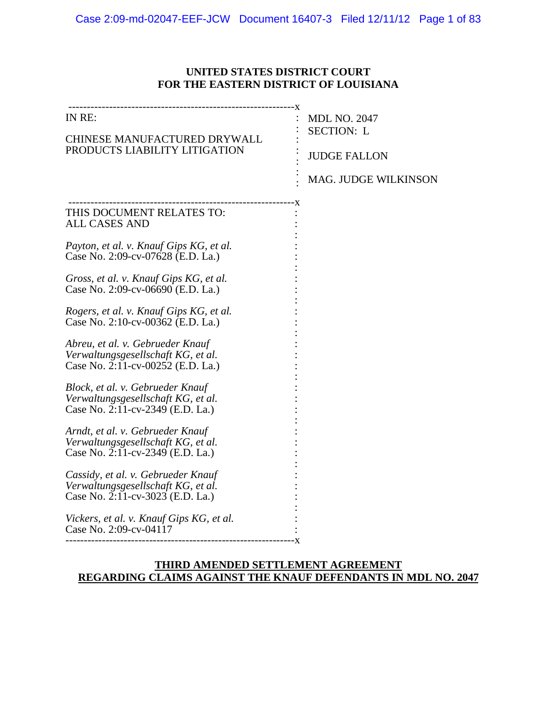#### **UNITED STATES DISTRICT COURT FOR THE EASTERN DISTRICT OF LOUISIANA**

|                                                                                                                                                                                                                                                                                                                                                                                                                                                                                                                                                                                                                                                                                                                                                                                                                                   | <b>MDL NO. 2047</b>         |
|-----------------------------------------------------------------------------------------------------------------------------------------------------------------------------------------------------------------------------------------------------------------------------------------------------------------------------------------------------------------------------------------------------------------------------------------------------------------------------------------------------------------------------------------------------------------------------------------------------------------------------------------------------------------------------------------------------------------------------------------------------------------------------------------------------------------------------------|-----------------------------|
| IN RE:                                                                                                                                                                                                                                                                                                                                                                                                                                                                                                                                                                                                                                                                                                                                                                                                                            | <b>SECTION: L</b>           |
| CHINESE MANUFACTURED DRYWALL                                                                                                                                                                                                                                                                                                                                                                                                                                                                                                                                                                                                                                                                                                                                                                                                      | <b>JUDGE FALLON</b>         |
| PRODUCTS LIABILITY LITIGATION                                                                                                                                                                                                                                                                                                                                                                                                                                                                                                                                                                                                                                                                                                                                                                                                     | <b>MAG. JUDGE WILKINSON</b> |
| THIS DOCUMENT RELATES TO:<br><b>ALL CASES AND</b><br>Payton, et al. v. Knauf Gips KG, et al.<br>Case No. 2:09-cv-07628 (E.D. La.)<br>Gross, et al. v. Knauf Gips KG, et al.<br>Case No. 2:09-cv-06690 (E.D. La.)<br>Rogers, et al. v. Knauf Gips KG, et al.<br>Case No. 2:10-cv-00362 (E.D. La.)<br>Abreu, et al. v. Gebrueder Knauf<br>Verwaltungsgesellschaft KG, et al.<br>Case No. 2:11-cv-00252 (E.D. La.)<br>Block, et al. v. Gebrueder Knauf<br>Verwaltungsgesellschaft KG, et al.<br>Case No. 2:11-cv-2349 (E.D. La.)<br>Arndt, et al. v. Gebrueder Knauf<br>Verwaltungsgesellschaft KG, et al.<br>Case No. 2:11-cv-2349 (E.D. La.)<br>Cassidy, et al. v. Gebrueder Knauf<br>Verwaltungsgesellschaft KG, et al.<br>Case No. 2:11-cv-3023 (E.D. La.)<br>Vickers, et al. v. Knauf Gips KG, et al.<br>Case No. 2:09-cv-04117 |                             |

### **THIRD AMENDED SETTLEMENT AGREEMENT REGARDING CLAIMS AGAINST THE KNAUF DEFENDANTS IN MDL NO. 2047**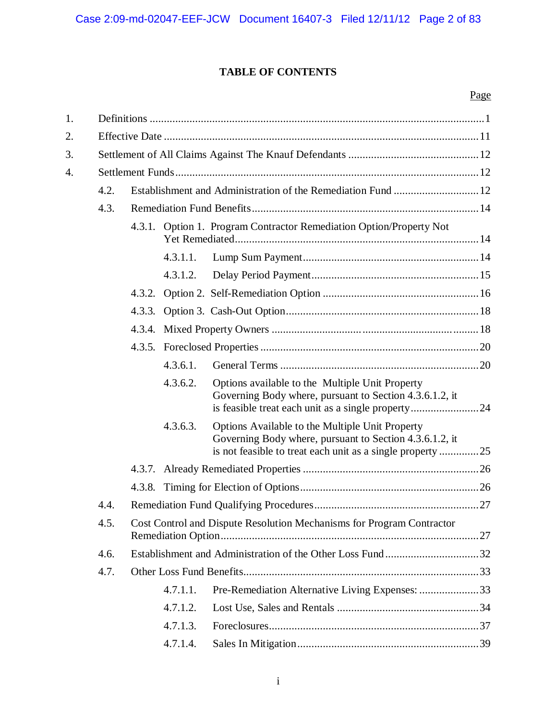## **TABLE OF CONTENTS**

### Page

| 1. |      |                                                                       |          |                                                                                                                                                                          |  |  |
|----|------|-----------------------------------------------------------------------|----------|--------------------------------------------------------------------------------------------------------------------------------------------------------------------------|--|--|
| 2. |      |                                                                       |          |                                                                                                                                                                          |  |  |
| 3. |      |                                                                       |          |                                                                                                                                                                          |  |  |
| 4. |      |                                                                       |          |                                                                                                                                                                          |  |  |
|    | 4.2. |                                                                       |          |                                                                                                                                                                          |  |  |
|    | 4.3. |                                                                       |          |                                                                                                                                                                          |  |  |
|    |      |                                                                       |          | 4.3.1. Option 1. Program Contractor Remediation Option/Property Not                                                                                                      |  |  |
|    |      |                                                                       | 4.3.1.1. |                                                                                                                                                                          |  |  |
|    |      |                                                                       | 4.3.1.2. |                                                                                                                                                                          |  |  |
|    |      | 4.3.2.                                                                |          |                                                                                                                                                                          |  |  |
|    |      | 4.3.3.                                                                |          |                                                                                                                                                                          |  |  |
|    |      | 4.3.4.                                                                |          |                                                                                                                                                                          |  |  |
|    |      |                                                                       |          |                                                                                                                                                                          |  |  |
|    |      |                                                                       | 4.3.6.1. |                                                                                                                                                                          |  |  |
|    |      |                                                                       | 4.3.6.2. | Options available to the Multiple Unit Property<br>Governing Body where, pursuant to Section 4.3.6.1.2, it                                                               |  |  |
|    |      |                                                                       | 4.3.6.3. | Options Available to the Multiple Unit Property<br>Governing Body where, pursuant to Section 4.3.6.1.2, it<br>is not feasible to treat each unit as a single property 25 |  |  |
|    |      | 4.3.7.                                                                |          |                                                                                                                                                                          |  |  |
|    |      |                                                                       |          |                                                                                                                                                                          |  |  |
|    | 4.4. |                                                                       |          |                                                                                                                                                                          |  |  |
|    | 4.5. | Cost Control and Dispute Resolution Mechanisms for Program Contractor |          |                                                                                                                                                                          |  |  |
|    | 4.6. |                                                                       |          |                                                                                                                                                                          |  |  |
|    | 4.7. |                                                                       |          |                                                                                                                                                                          |  |  |
|    |      |                                                                       | 4.7.1.1. | Pre-Remediation Alternative Living Expenses: 33                                                                                                                          |  |  |
|    |      |                                                                       | 4.7.1.2. |                                                                                                                                                                          |  |  |
|    |      |                                                                       | 4.7.1.3. |                                                                                                                                                                          |  |  |
|    |      |                                                                       | 4.7.1.4. |                                                                                                                                                                          |  |  |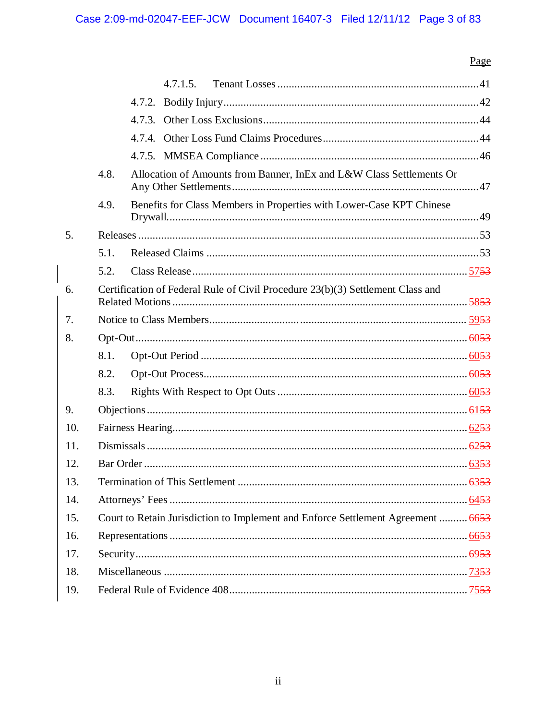# Page

|     |                                                                                  | 4.7.1.5.                                                             |  |  |  |  |
|-----|----------------------------------------------------------------------------------|----------------------------------------------------------------------|--|--|--|--|
|     |                                                                                  |                                                                      |  |  |  |  |
|     |                                                                                  |                                                                      |  |  |  |  |
|     |                                                                                  |                                                                      |  |  |  |  |
|     |                                                                                  |                                                                      |  |  |  |  |
|     | 4.8.                                                                             | Allocation of Amounts from Banner, InEx and L&W Class Settlements Or |  |  |  |  |
|     | 4.9.                                                                             | Benefits for Class Members in Properties with Lower-Case KPT Chinese |  |  |  |  |
| 5.  |                                                                                  |                                                                      |  |  |  |  |
|     | 5.1.                                                                             |                                                                      |  |  |  |  |
|     | 5.2.                                                                             |                                                                      |  |  |  |  |
| 6.  | Certification of Federal Rule of Civil Procedure 23(b)(3) Settlement Class and   |                                                                      |  |  |  |  |
| 7.  |                                                                                  |                                                                      |  |  |  |  |
| 8.  |                                                                                  |                                                                      |  |  |  |  |
|     | 8.1.                                                                             |                                                                      |  |  |  |  |
|     | 8.2.                                                                             |                                                                      |  |  |  |  |
|     | 8.3.                                                                             |                                                                      |  |  |  |  |
| 9.  |                                                                                  |                                                                      |  |  |  |  |
| 10. |                                                                                  |                                                                      |  |  |  |  |
| 11. |                                                                                  |                                                                      |  |  |  |  |
| 12. |                                                                                  |                                                                      |  |  |  |  |
| 13. |                                                                                  |                                                                      |  |  |  |  |
| 14. |                                                                                  |                                                                      |  |  |  |  |
| 15. | Court to Retain Jurisdiction to Implement and Enforce Settlement Agreement  6653 |                                                                      |  |  |  |  |
| 16. |                                                                                  |                                                                      |  |  |  |  |
| 17. |                                                                                  |                                                                      |  |  |  |  |
| 18. |                                                                                  |                                                                      |  |  |  |  |
| 19. |                                                                                  |                                                                      |  |  |  |  |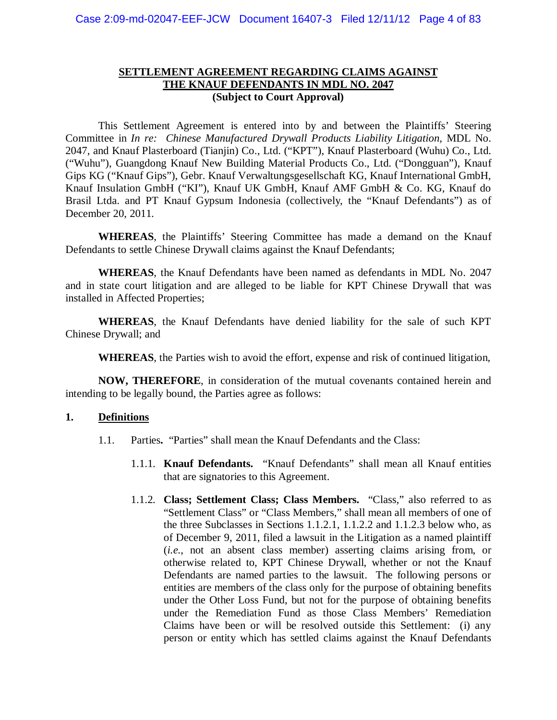#### **SETTLEMENT AGREEMENT REGARDING CLAIMS AGAINST THE KNAUF DEFENDANTS IN MDL NO. 2047 (Subject to Court Approval)**

This Settlement Agreement is entered into by and between the Plaintiffs' Steering Committee in *In re: Chinese Manufactured Drywall Products Liability Litigation*, MDL No. 2047, and Knauf Plasterboard (Tianjin) Co., Ltd. ("KPT"), Knauf Plasterboard (Wuhu) Co., Ltd. ("Wuhu"), Guangdong Knauf New Building Material Products Co., Ltd. ("Dongguan"), Knauf Gips KG ("Knauf Gips"), Gebr. Knauf Verwaltungsgesellschaft KG, Knauf International GmbH, Knauf Insulation GmbH ("KI"), Knauf UK GmbH, Knauf AMF GmbH & Co. KG, Knauf do Brasil Ltda. and PT Knauf Gypsum Indonesia (collectively, the "Knauf Defendants") as of December 20, 2011.

**WHEREAS**, the Plaintiffs' Steering Committee has made a demand on the Knauf Defendants to settle Chinese Drywall claims against the Knauf Defendants;

**WHEREAS**, the Knauf Defendants have been named as defendants in MDL No. 2047 and in state court litigation and are alleged to be liable for KPT Chinese Drywall that was installed in Affected Properties;

**WHEREAS**, the Knauf Defendants have denied liability for the sale of such KPT Chinese Drywall; and

**WHEREAS**, the Parties wish to avoid the effort, expense and risk of continued litigation,

**NOW, THEREFORE**, in consideration of the mutual covenants contained herein and intending to be legally bound, the Parties agree as follows:

#### **1. Definitions**

- 1.1. Parties**.** "Parties" shall mean the Knauf Defendants and the Class:
	- 1.1.1. **Knauf Defendants.** "Knauf Defendants" shall mean all Knauf entities that are signatories to this Agreement.
	- 1.1.2. **Class; Settlement Class; Class Members.** "Class," also referred to as "Settlement Class" or "Class Members," shall mean all members of one of the three Subclasses in Sections 1.1.2.1, 1.1.2.2 and 1.1.2.3 below who, as of December 9, 2011, filed a lawsuit in the Litigation as a named plaintiff (*i.e.*, not an absent class member) asserting claims arising from, or otherwise related to, KPT Chinese Drywall, whether or not the Knauf Defendants are named parties to the lawsuit. The following persons or entities are members of the class only for the purpose of obtaining benefits under the Other Loss Fund, but not for the purpose of obtaining benefits under the Remediation Fund as those Class Members' Remediation Claims have been or will be resolved outside this Settlement: (i) any person or entity which has settled claims against the Knauf Defendants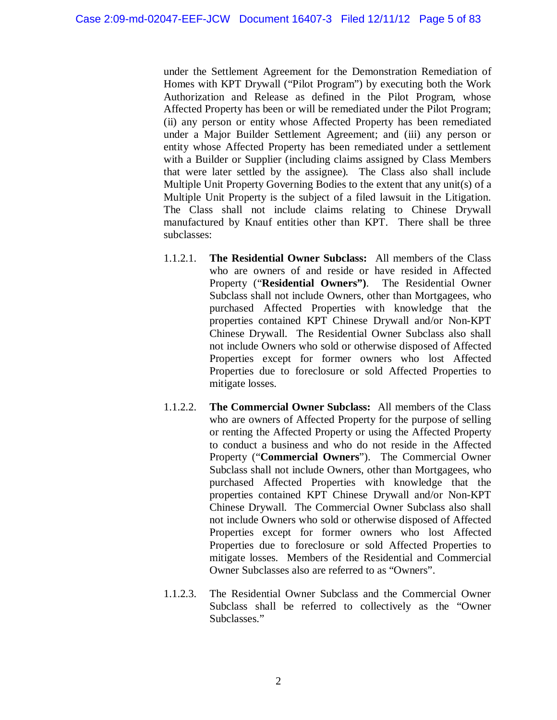under the Settlement Agreement for the Demonstration Remediation of Homes with KPT Drywall ("Pilot Program") by executing both the Work Authorization and Release as defined in the Pilot Program, whose Affected Property has been or will be remediated under the Pilot Program; (ii) any person or entity whose Affected Property has been remediated under a Major Builder Settlement Agreement; and (iii) any person or entity whose Affected Property has been remediated under a settlement with a Builder or Supplier (including claims assigned by Class Members that were later settled by the assignee). The Class also shall include Multiple Unit Property Governing Bodies to the extent that any unit(s) of a Multiple Unit Property is the subject of a filed lawsuit in the Litigation. The Class shall not include claims relating to Chinese Drywall manufactured by Knauf entities other than KPT. There shall be three subclasses:

- 1.1.2.1. **The Residential Owner Subclass:** All members of the Class who are owners of and reside or have resided in Affected Property ("**Residential Owners")**. The Residential Owner Subclass shall not include Owners, other than Mortgagees, who purchased Affected Properties with knowledge that the properties contained KPT Chinese Drywall and/or Non-KPT Chinese Drywall. The Residential Owner Subclass also shall not include Owners who sold or otherwise disposed of Affected Properties except for former owners who lost Affected Properties due to foreclosure or sold Affected Properties to mitigate losses.
- 1.1.2.2. **The Commercial Owner Subclass:** All members of the Class who are owners of Affected Property for the purpose of selling or renting the Affected Property or using the Affected Property to conduct a business and who do not reside in the Affected Property ("**Commercial Owners**"). The Commercial Owner Subclass shall not include Owners, other than Mortgagees, who purchased Affected Properties with knowledge that the properties contained KPT Chinese Drywall and/or Non-KPT Chinese Drywall. The Commercial Owner Subclass also shall not include Owners who sold or otherwise disposed of Affected Properties except for former owners who lost Affected Properties due to foreclosure or sold Affected Properties to mitigate losses. Members of the Residential and Commercial Owner Subclasses also are referred to as "Owners".
- 1.1.2.3. The Residential Owner Subclass and the Commercial Owner Subclass shall be referred to collectively as the "Owner Subclasses."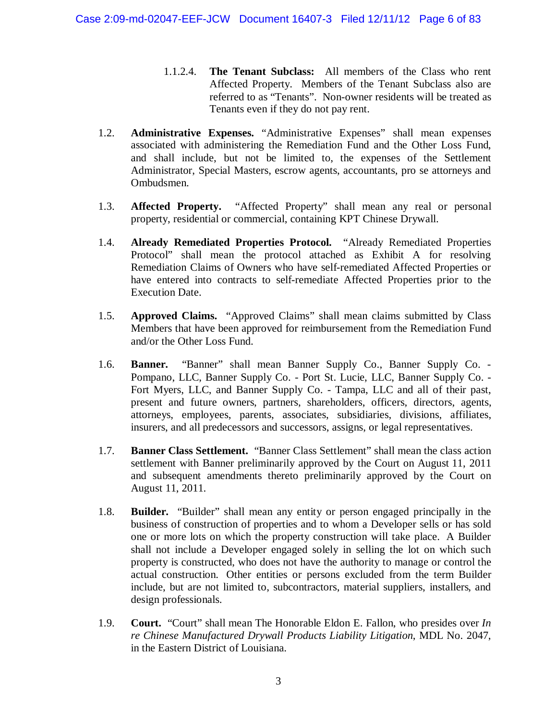- 1.1.2.4. **The Tenant Subclass:** All members of the Class who rent Affected Property. Members of the Tenant Subclass also are referred to as "Tenants". Non-owner residents will be treated as Tenants even if they do not pay rent.
- 1.2. **Administrative Expenses.** "Administrative Expenses" shall mean expenses associated with administering the Remediation Fund and the Other Loss Fund, and shall include, but not be limited to, the expenses of the Settlement Administrator, Special Masters, escrow agents, accountants, pro se attorneys and Ombudsmen.
- 1.3. **Affected Property.** "Affected Property" shall mean any real or personal property, residential or commercial, containing KPT Chinese Drywall.
- 1.4. **Already Remediated Properties Protocol.** "Already Remediated Properties Protocol" shall mean the protocol attached as Exhibit A for resolving Remediation Claims of Owners who have self-remediated Affected Properties or have entered into contracts to self-remediate Affected Properties prior to the Execution Date.
- 1.5. **Approved Claims.** "Approved Claims" shall mean claims submitted by Class Members that have been approved for reimbursement from the Remediation Fund and/or the Other Loss Fund.
- 1.6. **Banner.** "Banner" shall mean Banner Supply Co., Banner Supply Co. Pompano, LLC, Banner Supply Co. - Port St. Lucie, LLC, Banner Supply Co. - Fort Myers, LLC, and Banner Supply Co. - Tampa, LLC and all of their past, present and future owners, partners, shareholders, officers, directors, agents, attorneys, employees, parents, associates, subsidiaries, divisions, affiliates, insurers, and all predecessors and successors, assigns, or legal representatives.
- 1.7. **Banner Class Settlement.** "Banner Class Settlement" shall mean the class action settlement with Banner preliminarily approved by the Court on August 11, 2011 and subsequent amendments thereto preliminarily approved by the Court on August 11, 2011.
- 1.8. **Builder.** "Builder" shall mean any entity or person engaged principally in the business of construction of properties and to whom a Developer sells or has sold one or more lots on which the property construction will take place. A Builder shall not include a Developer engaged solely in selling the lot on which such property is constructed, who does not have the authority to manage or control the actual construction. Other entities or persons excluded from the term Builder include, but are not limited to, subcontractors, material suppliers, installers, and design professionals.
- 1.9. **Court.** "Court" shall mean The Honorable Eldon E. Fallon, who presides over *In re Chinese Manufactured Drywall Products Liability Litigation*, MDL No. 2047, in the Eastern District of Louisiana.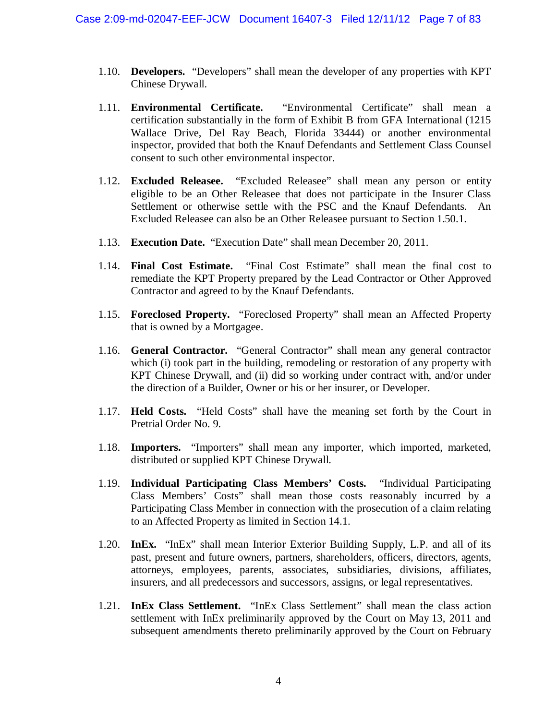- 1.10. **Developers.** "Developers" shall mean the developer of any properties with KPT Chinese Drywall.
- 1.11. **Environmental Certificate.** "Environmental Certificate" shall mean a certification substantially in the form of Exhibit B from GFA International (1215 Wallace Drive, Del Ray Beach, Florida 33444) or another environmental inspector, provided that both the Knauf Defendants and Settlement Class Counsel consent to such other environmental inspector.
- 1.12. **Excluded Releasee.** "Excluded Releasee" shall mean any person or entity eligible to be an Other Releasee that does not participate in the Insurer Class Settlement or otherwise settle with the PSC and the Knauf Defendants. An Excluded Releasee can also be an Other Releasee pursuant to Section 1.50.1.
- 1.13. **Execution Date.** "Execution Date" shall mean December 20, 2011.
- 1.14. **Final Cost Estimate.** "Final Cost Estimate" shall mean the final cost to remediate the KPT Property prepared by the Lead Contractor or Other Approved Contractor and agreed to by the Knauf Defendants.
- 1.15. **Foreclosed Property.** "Foreclosed Property" shall mean an Affected Property that is owned by a Mortgagee.
- 1.16. **General Contractor.** "General Contractor" shall mean any general contractor which (i) took part in the building, remodeling or restoration of any property with KPT Chinese Drywall, and (ii) did so working under contract with, and/or under the direction of a Builder, Owner or his or her insurer, or Developer.
- 1.17. **Held Costs.** "Held Costs" shall have the meaning set forth by the Court in Pretrial Order No. 9.
- 1.18. **Importers.** "Importers" shall mean any importer, which imported, marketed, distributed or supplied KPT Chinese Drywall.
- 1.19. **Individual Participating Class Members' Costs.** "Individual Participating Class Members' Costs" shall mean those costs reasonably incurred by a Participating Class Member in connection with the prosecution of a claim relating to an Affected Property as limited in Section 14.1.
- 1.20. **InEx.** "InEx" shall mean Interior Exterior Building Supply, L.P. and all of its past, present and future owners, partners, shareholders, officers, directors, agents, attorneys, employees, parents, associates, subsidiaries, divisions, affiliates, insurers, and all predecessors and successors, assigns, or legal representatives.
- 1.21. **InEx Class Settlement.** "InEx Class Settlement" shall mean the class action settlement with InEx preliminarily approved by the Court on May 13, 2011 and subsequent amendments thereto preliminarily approved by the Court on February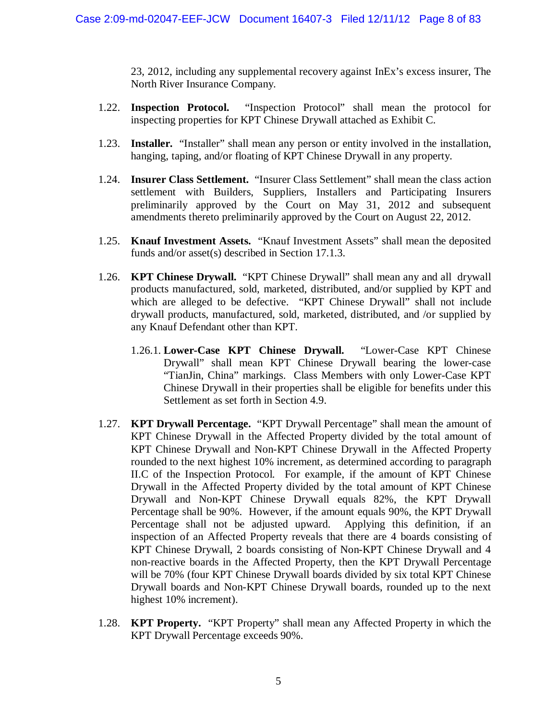23, 2012, including any supplemental recovery against InEx's excess insurer, The North River Insurance Company.

- 1.22. **Inspection Protocol.** "Inspection Protocol" shall mean the protocol for inspecting properties for KPT Chinese Drywall attached as Exhibit C.
- 1.23. **Installer.** "Installer" shall mean any person or entity involved in the installation, hanging, taping, and/or floating of KPT Chinese Drywall in any property.
- 1.24. **Insurer Class Settlement.** "Insurer Class Settlement" shall mean the class action settlement with Builders, Suppliers, Installers and Participating Insurers preliminarily approved by the Court on May 31, 2012 and subsequent amendments thereto preliminarily approved by the Court on August 22, 2012.
- 1.25. **Knauf Investment Assets.** "Knauf Investment Assets" shall mean the deposited funds and/or asset(s) described in Section 17.1.3.
- 1.26. **KPT Chinese Drywall.** "KPT Chinese Drywall" shall mean any and all drywall products manufactured, sold, marketed, distributed, and/or supplied by KPT and which are alleged to be defective. "KPT Chinese Drywall" shall not include drywall products, manufactured, sold, marketed, distributed, and /or supplied by any Knauf Defendant other than KPT.
	- 1.26.1. **Lower-Case KPT Chinese Drywall.** "Lower-Case KPT Chinese Drywall" shall mean KPT Chinese Drywall bearing the lower-case "TianJin, China" markings. Class Members with only Lower-Case KPT Chinese Drywall in their properties shall be eligible for benefits under this Settlement as set forth in Section 4.9.
- 1.27. **KPT Drywall Percentage.** "KPT Drywall Percentage" shall mean the amount of KPT Chinese Drywall in the Affected Property divided by the total amount of KPT Chinese Drywall and Non-KPT Chinese Drywall in the Affected Property rounded to the next highest 10% increment, as determined according to paragraph II.C of the Inspection Protocol. For example, if the amount of KPT Chinese Drywall in the Affected Property divided by the total amount of KPT Chinese Drywall and Non-KPT Chinese Drywall equals 82%, the KPT Drywall Percentage shall be 90%. However, if the amount equals 90%, the KPT Drywall Percentage shall not be adjusted upward. Applying this definition, if an inspection of an Affected Property reveals that there are 4 boards consisting of KPT Chinese Drywall, 2 boards consisting of Non-KPT Chinese Drywall and 4 non-reactive boards in the Affected Property, then the KPT Drywall Percentage will be 70% (four KPT Chinese Drywall boards divided by six total KPT Chinese Drywall boards and Non-KPT Chinese Drywall boards, rounded up to the next highest 10% increment).
- 1.28. **KPT Property.** "KPT Property" shall mean any Affected Property in which the KPT Drywall Percentage exceeds 90%.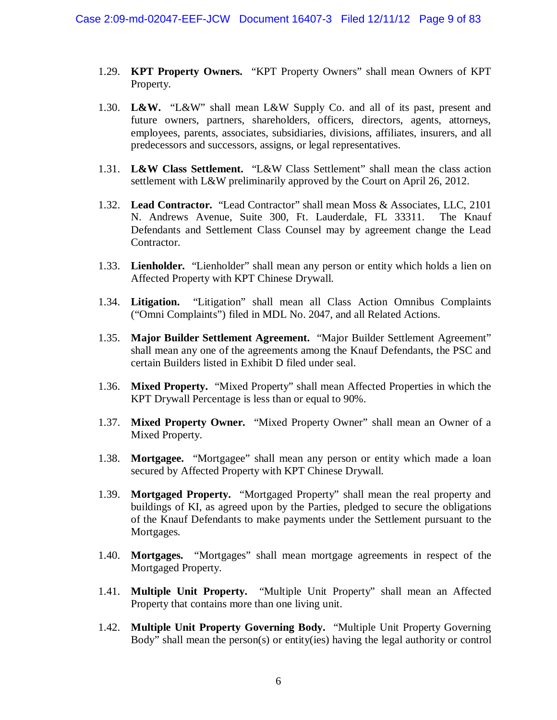- 1.29. **KPT Property Owners.** "KPT Property Owners" shall mean Owners of KPT Property.
- 1.30. **L&W.** "L&W" shall mean L&W Supply Co. and all of its past, present and future owners, partners, shareholders, officers, directors, agents, attorneys, employees, parents, associates, subsidiaries, divisions, affiliates, insurers, and all predecessors and successors, assigns, or legal representatives.
- 1.31. **L&W Class Settlement.** "L&W Class Settlement" shall mean the class action settlement with L&W preliminarily approved by the Court on April 26, 2012.
- 1.32. **Lead Contractor.** "Lead Contractor" shall mean Moss & Associates, LLC, 2101 N. Andrews Avenue, Suite 300, Ft. Lauderdale, FL 33311. The Knauf Defendants and Settlement Class Counsel may by agreement change the Lead Contractor.
- 1.33. **Lienholder.** "Lienholder" shall mean any person or entity which holds a lien on Affected Property with KPT Chinese Drywall.
- 1.34. **Litigation.** "Litigation" shall mean all Class Action Omnibus Complaints ("Omni Complaints") filed in MDL No. 2047, and all Related Actions.
- 1.35. **Major Builder Settlement Agreement.** "Major Builder Settlement Agreement" shall mean any one of the agreements among the Knauf Defendants, the PSC and certain Builders listed in Exhibit D filed under seal.
- 1.36. **Mixed Property.** "Mixed Property" shall mean Affected Properties in which the KPT Drywall Percentage is less than or equal to 90%.
- 1.37. **Mixed Property Owner.** "Mixed Property Owner" shall mean an Owner of a Mixed Property.
- 1.38. **Mortgagee.** "Mortgagee" shall mean any person or entity which made a loan secured by Affected Property with KPT Chinese Drywall.
- 1.39. **Mortgaged Property.** "Mortgaged Property" shall mean the real property and buildings of KI, as agreed upon by the Parties, pledged to secure the obligations of the Knauf Defendants to make payments under the Settlement pursuant to the Mortgages.
- 1.40. **Mortgages.** "Mortgages" shall mean mortgage agreements in respect of the Mortgaged Property.
- 1.41. **Multiple Unit Property.** "Multiple Unit Property" shall mean an Affected Property that contains more than one living unit.
- 1.42. **Multiple Unit Property Governing Body.** "Multiple Unit Property Governing Body" shall mean the person(s) or entity(ies) having the legal authority or control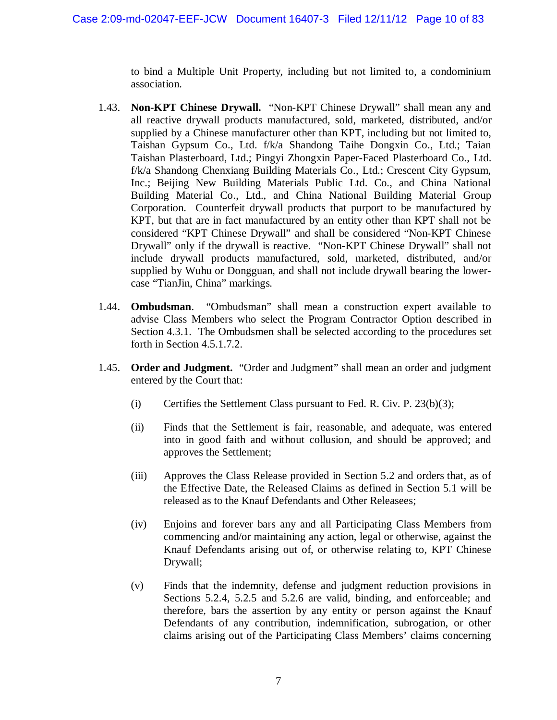to bind a Multiple Unit Property, including but not limited to, a condominium association.

- 1.43. **Non-KPT Chinese Drywall.** "Non-KPT Chinese Drywall" shall mean any and all reactive drywall products manufactured, sold, marketed, distributed, and/or supplied by a Chinese manufacturer other than KPT, including but not limited to, Taishan Gypsum Co., Ltd. f/k/a Shandong Taihe Dongxin Co., Ltd.; Taian Taishan Plasterboard, Ltd.; Pingyi Zhongxin Paper-Faced Plasterboard Co., Ltd. f/k/a Shandong Chenxiang Building Materials Co., Ltd.; Crescent City Gypsum, Inc.; Beijing New Building Materials Public Ltd. Co., and China National Building Material Co., Ltd., and China National Building Material Group Corporation. Counterfeit drywall products that purport to be manufactured by KPT, but that are in fact manufactured by an entity other than KPT shall not be considered "KPT Chinese Drywall" and shall be considered "Non-KPT Chinese Drywall" only if the drywall is reactive. "Non-KPT Chinese Drywall" shall not include drywall products manufactured, sold, marketed, distributed, and/or supplied by Wuhu or Dongguan, and shall not include drywall bearing the lowercase "TianJin, China" markings.
- 1.44. **Ombudsman**. "Ombudsman" shall mean a construction expert available to advise Class Members who select the Program Contractor Option described in Section 4.3.1. The Ombudsmen shall be selected according to the procedures set forth in Section 4.5.1.7.2.
- 1.45. **Order and Judgment.** "Order and Judgment" shall mean an order and judgment entered by the Court that:
	- (i) Certifies the Settlement Class pursuant to Fed. R. Civ. P.  $23(b)(3)$ ;
	- (ii) Finds that the Settlement is fair, reasonable, and adequate, was entered into in good faith and without collusion, and should be approved; and approves the Settlement;
	- (iii) Approves the Class Release provided in Section 5.2 and orders that, as of the Effective Date, the Released Claims as defined in Section 5.1 will be released as to the Knauf Defendants and Other Releasees;
	- (iv) Enjoins and forever bars any and all Participating Class Members from commencing and/or maintaining any action, legal or otherwise, against the Knauf Defendants arising out of, or otherwise relating to, KPT Chinese Drywall;
	- (v) Finds that the indemnity, defense and judgment reduction provisions in Sections 5.2.4, 5.2.5 and 5.2.6 are valid, binding, and enforceable; and therefore, bars the assertion by any entity or person against the Knauf Defendants of any contribution, indemnification, subrogation, or other claims arising out of the Participating Class Members' claims concerning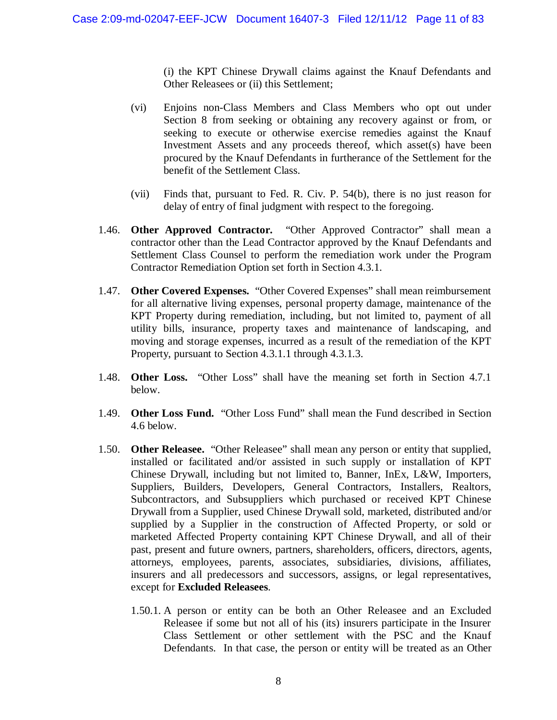(i) the KPT Chinese Drywall claims against the Knauf Defendants and Other Releasees or (ii) this Settlement;

- (vi) Enjoins non-Class Members and Class Members who opt out under Section 8 from seeking or obtaining any recovery against or from, or seeking to execute or otherwise exercise remedies against the Knauf Investment Assets and any proceeds thereof, which asset(s) have been procured by the Knauf Defendants in furtherance of the Settlement for the benefit of the Settlement Class.
- (vii) Finds that, pursuant to Fed. R. Civ. P. 54(b), there is no just reason for delay of entry of final judgment with respect to the foregoing.
- 1.46. **Other Approved Contractor.** "Other Approved Contractor" shall mean a contractor other than the Lead Contractor approved by the Knauf Defendants and Settlement Class Counsel to perform the remediation work under the Program Contractor Remediation Option set forth in Section 4.3.1.
- 1.47. **Other Covered Expenses.** "Other Covered Expenses" shall mean reimbursement for all alternative living expenses, personal property damage, maintenance of the KPT Property during remediation, including, but not limited to, payment of all utility bills, insurance, property taxes and maintenance of landscaping, and moving and storage expenses, incurred as a result of the remediation of the KPT Property, pursuant to Section 4.3.1.1 through 4.3.1.3.
- 1.48. **Other Loss.** "Other Loss" shall have the meaning set forth in Section 4.7.1 below.
- 1.49. **Other Loss Fund.** "Other Loss Fund" shall mean the Fund described in Section 4.6 below.
- 1.50. **Other Releasee.** "Other Releasee" shall mean any person or entity that supplied, installed or facilitated and/or assisted in such supply or installation of KPT Chinese Drywall, including but not limited to, Banner, InEx, L&W, Importers, Suppliers, Builders, Developers, General Contractors, Installers, Realtors, Subcontractors, and Subsuppliers which purchased or received KPT Chinese Drywall from a Supplier, used Chinese Drywall sold, marketed, distributed and/or supplied by a Supplier in the construction of Affected Property, or sold or marketed Affected Property containing KPT Chinese Drywall, and all of their past, present and future owners, partners, shareholders, officers, directors, agents, attorneys, employees, parents, associates, subsidiaries, divisions, affiliates, insurers and all predecessors and successors, assigns, or legal representatives, except for **Excluded Releasees**.
	- 1.50.1. A person or entity can be both an Other Releasee and an Excluded Releasee if some but not all of his (its) insurers participate in the Insurer Class Settlement or other settlement with the PSC and the Knauf Defendants. In that case, the person or entity will be treated as an Other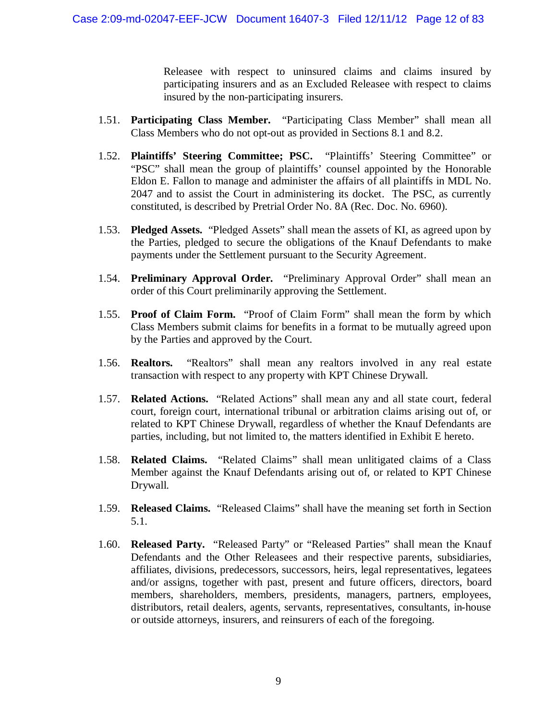Releasee with respect to uninsured claims and claims insured by participating insurers and as an Excluded Releasee with respect to claims insured by the non-participating insurers.

- 1.51. **Participating Class Member.** "Participating Class Member" shall mean all Class Members who do not opt-out as provided in Sections 8.1 and 8.2.
- 1.52. **Plaintiffs' Steering Committee; PSC.** "Plaintiffs' Steering Committee" or "PSC" shall mean the group of plaintiffs' counsel appointed by the Honorable Eldon E. Fallon to manage and administer the affairs of all plaintiffs in MDL No. 2047 and to assist the Court in administering its docket. The PSC, as currently constituted, is described by Pretrial Order No. 8A (Rec. Doc. No. 6960).
- 1.53. **Pledged Assets.** "Pledged Assets" shall mean the assets of KI, as agreed upon by the Parties, pledged to secure the obligations of the Knauf Defendants to make payments under the Settlement pursuant to the Security Agreement.
- 1.54. **Preliminary Approval Order.** "Preliminary Approval Order" shall mean an order of this Court preliminarily approving the Settlement.
- 1.55. **Proof of Claim Form.** "Proof of Claim Form" shall mean the form by which Class Members submit claims for benefits in a format to be mutually agreed upon by the Parties and approved by the Court.
- 1.56. **Realtors.** "Realtors" shall mean any realtors involved in any real estate transaction with respect to any property with KPT Chinese Drywall.
- 1.57. **Related Actions.** "Related Actions" shall mean any and all state court, federal court, foreign court, international tribunal or arbitration claims arising out of, or related to KPT Chinese Drywall, regardless of whether the Knauf Defendants are parties, including, but not limited to, the matters identified in Exhibit E hereto.
- 1.58. **Related Claims.** "Related Claims" shall mean unlitigated claims of a Class Member against the Knauf Defendants arising out of, or related to KPT Chinese Drywall.
- 1.59. **Released Claims.** "Released Claims" shall have the meaning set forth in Section 5.1.
- 1.60. **Released Party.** "Released Party" or "Released Parties" shall mean the Knauf Defendants and the Other Releasees and their respective parents, subsidiaries, affiliates, divisions, predecessors, successors, heirs, legal representatives, legatees and/or assigns, together with past, present and future officers, directors, board members, shareholders, members, presidents, managers, partners, employees, distributors, retail dealers, agents, servants, representatives, consultants, in-house or outside attorneys, insurers, and reinsurers of each of the foregoing.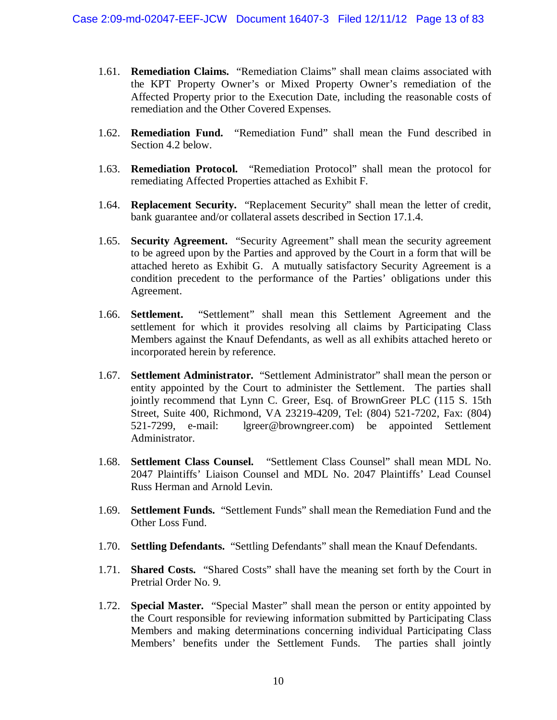- 1.61. **Remediation Claims.** "Remediation Claims" shall mean claims associated with the KPT Property Owner's or Mixed Property Owner's remediation of the Affected Property prior to the Execution Date, including the reasonable costs of remediation and the Other Covered Expenses.
- 1.62. **Remediation Fund.** "Remediation Fund" shall mean the Fund described in Section 4.2 below.
- 1.63. **Remediation Protocol.** "Remediation Protocol" shall mean the protocol for remediating Affected Properties attached as Exhibit F.
- 1.64. **Replacement Security.** "Replacement Security" shall mean the letter of credit, bank guarantee and/or collateral assets described in Section 17.1.4.
- 1.65. **Security Agreement.** "Security Agreement" shall mean the security agreement to be agreed upon by the Parties and approved by the Court in a form that will be attached hereto as Exhibit G. A mutually satisfactory Security Agreement is a condition precedent to the performance of the Parties' obligations under this Agreement.
- 1.66. **Settlement.** "Settlement" shall mean this Settlement Agreement and the settlement for which it provides resolving all claims by Participating Class Members against the Knauf Defendants, as well as all exhibits attached hereto or incorporated herein by reference.
- 1.67. **Settlement Administrator.** "Settlement Administrator" shall mean the person or entity appointed by the Court to administer the Settlement. The parties shall jointly recommend that Lynn C. Greer, Esq. of BrownGreer PLC (115 S. 15th Street, Suite 400, Richmond, VA 23219-4209, Tel: (804) 521-7202, Fax: (804) 521-7299, e-mail: lgreer@browngreer.com) be appointed Settlement Administrator.
- 1.68. **Settlement Class Counsel.** "Settlement Class Counsel" shall mean MDL No. 2047 Plaintiffs' Liaison Counsel and MDL No. 2047 Plaintiffs' Lead Counsel Russ Herman and Arnold Levin.
- 1.69. **Settlement Funds.** "Settlement Funds" shall mean the Remediation Fund and the Other Loss Fund.
- 1.70. **Settling Defendants.** "Settling Defendants" shall mean the Knauf Defendants.
- 1.71. **Shared Costs.** "Shared Costs" shall have the meaning set forth by the Court in Pretrial Order No. 9.
- 1.72. **Special Master.** "Special Master" shall mean the person or entity appointed by the Court responsible for reviewing information submitted by Participating Class Members and making determinations concerning individual Participating Class Members' benefits under the Settlement Funds. The parties shall jointly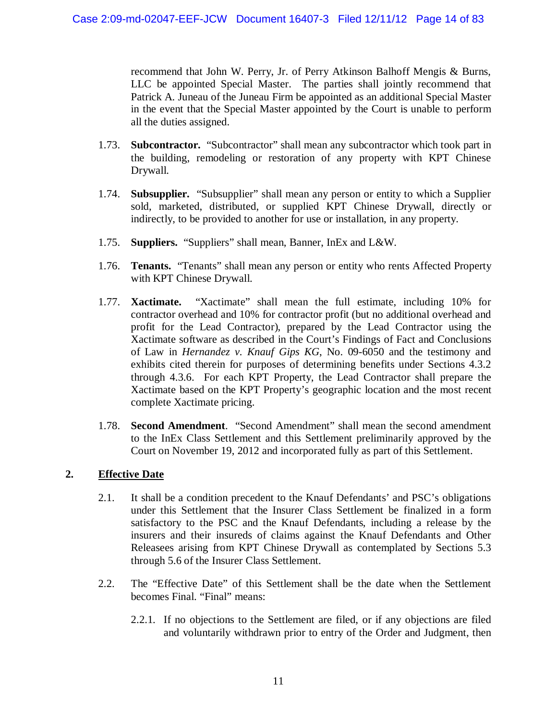recommend that John W. Perry, Jr. of Perry Atkinson Balhoff Mengis & Burns, LLC be appointed Special Master. The parties shall jointly recommend that Patrick A. Juneau of the Juneau Firm be appointed as an additional Special Master in the event that the Special Master appointed by the Court is unable to perform all the duties assigned.

- 1.73. **Subcontractor.** "Subcontractor" shall mean any subcontractor which took part in the building, remodeling or restoration of any property with KPT Chinese Drywall.
- 1.74. **Subsupplier.** "Subsupplier" shall mean any person or entity to which a Supplier sold, marketed, distributed, or supplied KPT Chinese Drywall, directly or indirectly, to be provided to another for use or installation, in any property.
- 1.75. **Suppliers.** "Suppliers" shall mean, Banner, InEx and L&W.
- 1.76. **Tenants.** "Tenants" shall mean any person or entity who rents Affected Property with KPT Chinese Drywall.
- 1.77. **Xactimate.** "Xactimate" shall mean the full estimate, including 10% for contractor overhead and 10% for contractor profit (but no additional overhead and profit for the Lead Contractor), prepared by the Lead Contractor using the Xactimate software as described in the Court's Findings of Fact and Conclusions of Law in *Hernandez v. Knauf Gips KG*, No. 09-6050 and the testimony and exhibits cited therein for purposes of determining benefits under Sections 4.3.2 through 4.3.6. For each KPT Property, the Lead Contractor shall prepare the Xactimate based on the KPT Property's geographic location and the most recent complete Xactimate pricing.
- 1.78. **Second Amendment**. "Second Amendment" shall mean the second amendment to the InEx Class Settlement and this Settlement preliminarily approved by the Court on November 19, 2012 and incorporated fully as part of this Settlement.

### **2. Effective Date**

- 2.1. It shall be a condition precedent to the Knauf Defendants' and PSC's obligations under this Settlement that the Insurer Class Settlement be finalized in a form satisfactory to the PSC and the Knauf Defendants, including a release by the insurers and their insureds of claims against the Knauf Defendants and Other Releasees arising from KPT Chinese Drywall as contemplated by Sections 5.3 through 5.6 of the Insurer Class Settlement.
- 2.2. The "Effective Date" of this Settlement shall be the date when the Settlement becomes Final. "Final" means:
	- 2.2.1. If no objections to the Settlement are filed, or if any objections are filed and voluntarily withdrawn prior to entry of the Order and Judgment, then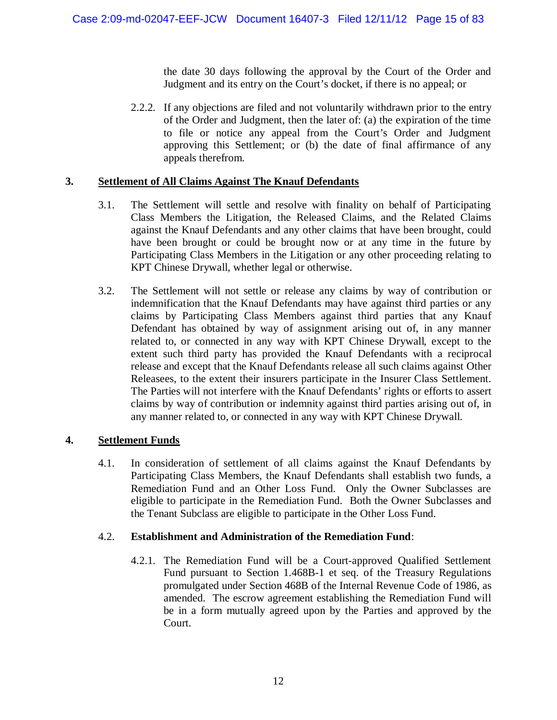the date 30 days following the approval by the Court of the Order and Judgment and its entry on the Court's docket, if there is no appeal; or

2.2.2. If any objections are filed and not voluntarily withdrawn prior to the entry of the Order and Judgment, then the later of: (a) the expiration of the time to file or notice any appeal from the Court's Order and Judgment approving this Settlement; or (b) the date of final affirmance of any appeals therefrom.

### **3. Settlement of All Claims Against The Knauf Defendants**

- 3.1. The Settlement will settle and resolve with finality on behalf of Participating Class Members the Litigation, the Released Claims, and the Related Claims against the Knauf Defendants and any other claims that have been brought, could have been brought or could be brought now or at any time in the future by Participating Class Members in the Litigation or any other proceeding relating to KPT Chinese Drywall, whether legal or otherwise.
- 3.2. The Settlement will not settle or release any claims by way of contribution or indemnification that the Knauf Defendants may have against third parties or any claims by Participating Class Members against third parties that any Knauf Defendant has obtained by way of assignment arising out of, in any manner related to, or connected in any way with KPT Chinese Drywall, except to the extent such third party has provided the Knauf Defendants with a reciprocal release and except that the Knauf Defendants release all such claims against Other Releasees, to the extent their insurers participate in the Insurer Class Settlement. The Parties will not interfere with the Knauf Defendants' rights or efforts to assert claims by way of contribution or indemnity against third parties arising out of, in any manner related to, or connected in any way with KPT Chinese Drywall.

### **4. Settlement Funds**

4.1. In consideration of settlement of all claims against the Knauf Defendants by Participating Class Members, the Knauf Defendants shall establish two funds, a Remediation Fund and an Other Loss Fund. Only the Owner Subclasses are eligible to participate in the Remediation Fund. Both the Owner Subclasses and the Tenant Subclass are eligible to participate in the Other Loss Fund.

### 4.2. **Establishment and Administration of the Remediation Fund**:

4.2.1. The Remediation Fund will be a Court-approved Qualified Settlement Fund pursuant to Section 1.468B-1 et seq. of the Treasury Regulations promulgated under Section 468B of the Internal Revenue Code of 1986, as amended. The escrow agreement establishing the Remediation Fund will be in a form mutually agreed upon by the Parties and approved by the Court.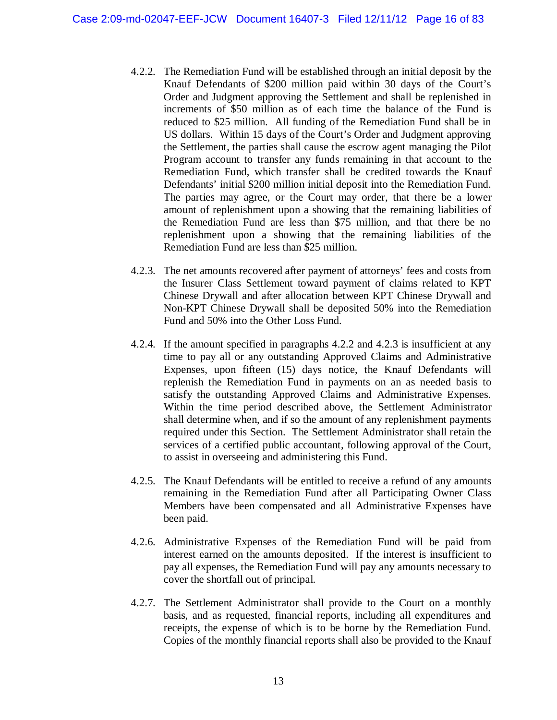- 4.2.2. The Remediation Fund will be established through an initial deposit by the Knauf Defendants of \$200 million paid within 30 days of the Court's Order and Judgment approving the Settlement and shall be replenished in increments of \$50 million as of each time the balance of the Fund is reduced to \$25 million. All funding of the Remediation Fund shall be in US dollars. Within 15 days of the Court's Order and Judgment approving the Settlement, the parties shall cause the escrow agent managing the Pilot Program account to transfer any funds remaining in that account to the Remediation Fund, which transfer shall be credited towards the Knauf Defendants' initial \$200 million initial deposit into the Remediation Fund. The parties may agree, or the Court may order, that there be a lower amount of replenishment upon a showing that the remaining liabilities of the Remediation Fund are less than \$75 million, and that there be no replenishment upon a showing that the remaining liabilities of the Remediation Fund are less than \$25 million.
- 4.2.3. The net amounts recovered after payment of attorneys' fees and costs from the Insurer Class Settlement toward payment of claims related to KPT Chinese Drywall and after allocation between KPT Chinese Drywall and Non-KPT Chinese Drywall shall be deposited 50% into the Remediation Fund and 50% into the Other Loss Fund.
- 4.2.4. If the amount specified in paragraphs 4.2.2 and 4.2.3 is insufficient at any time to pay all or any outstanding Approved Claims and Administrative Expenses, upon fifteen (15) days notice, the Knauf Defendants will replenish the Remediation Fund in payments on an as needed basis to satisfy the outstanding Approved Claims and Administrative Expenses. Within the time period described above, the Settlement Administrator shall determine when, and if so the amount of any replenishment payments required under this Section. The Settlement Administrator shall retain the services of a certified public accountant, following approval of the Court, to assist in overseeing and administering this Fund.
- 4.2.5. The Knauf Defendants will be entitled to receive a refund of any amounts remaining in the Remediation Fund after all Participating Owner Class Members have been compensated and all Administrative Expenses have been paid.
- 4.2.6. Administrative Expenses of the Remediation Fund will be paid from interest earned on the amounts deposited. If the interest is insufficient to pay all expenses, the Remediation Fund will pay any amounts necessary to cover the shortfall out of principal.
- 4.2.7. The Settlement Administrator shall provide to the Court on a monthly basis, and as requested, financial reports, including all expenditures and receipts, the expense of which is to be borne by the Remediation Fund. Copies of the monthly financial reports shall also be provided to the Knauf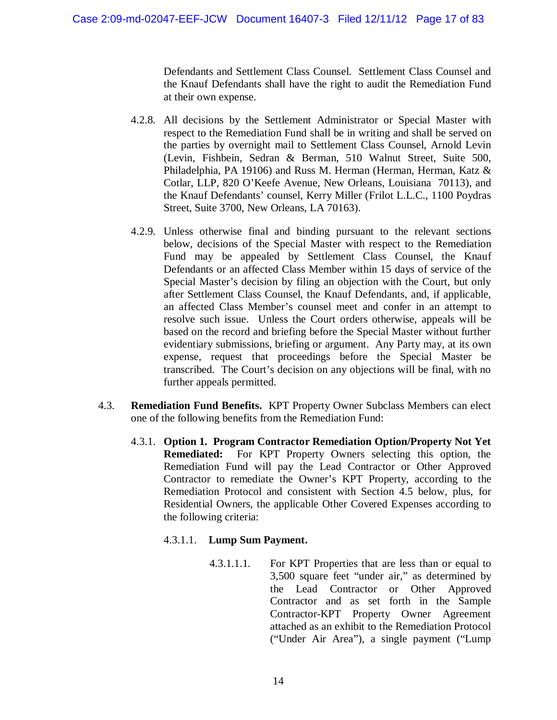Defendants and Settlement Class Counsel. Settlement Class Counsel and the Knauf Defendants shall have the right to audit the Remediation Fund at their own expense.

- 4.2.8. All decisions by the Settlement Administrator or Special Master with respect to the Remediation Fund shall be in writing and shall be served on the parties by overnight mail to Settlement Class Counsel, Arnold Levin (Levin, Fishbein, Sedran & Berman, 510 Walnut Street, Suite 500, Philadelphia, PA 19106) and Russ M. Herman (Herman, Herman, Katz & Cotlar, LLP, 820 O'Keefe Avenue, New Orleans, Louisiana 70113), and the Knauf Defendants' counsel, Kerry Miller (Frilot L.L.C., 1100 Poydras Street, Suite 3700, New Orleans, LA 70163).
- 4.2.9. Unless otherwise final and binding pursuant to the relevant sections below, decisions of the Special Master with respect to the Remediation Fund may be appealed by Settlement Class Counsel, the Knauf Defendants or an affected Class Member within 15 days of service of the Special Master's decision by filing an objection with the Court, but only after Settlement Class Counsel, the Knauf Defendants, and, if applicable, an affected Class Member's counsel meet and confer in an attempt to resolve such issue. Unless the Court orders otherwise, appeals will be based on the record and briefing before the Special Master without further evidentiary submissions, briefing or argument. Any Party may, at its own expense, request that proceedings before the Special Master be transcribed. The Court's decision on any objections will be final, with no further appeals permitted.
- 4.3. **Remediation Fund Benefits.** KPT Property Owner Subclass Members can elect one of the following benefits from the Remediation Fund:
	- 4.3.1. **Option 1. Program Contractor Remediation Option/Property Not Yet Remediated:** For KPT Property Owners selecting this option, the Remediation Fund will pay the Lead Contractor or Other Approved Contractor to remediate the Owner's KPT Property, according to the Remediation Protocol and consistent with Section 4.5 below, plus, for Residential Owners, the applicable Other Covered Expenses according to the following criteria:

### 4.3.1.1. **Lump Sum Payment.**

4.3.1.1.1. For KPT Properties that are less than or equal to 3,500 square feet "under air," as determined by the Lead Contractor or Other Approved Contractor and as set forth in the Sample Contractor-KPT Property Owner Agreement attached as an exhibit to the Remediation Protocol ("Under Air Area"), a single payment ("Lump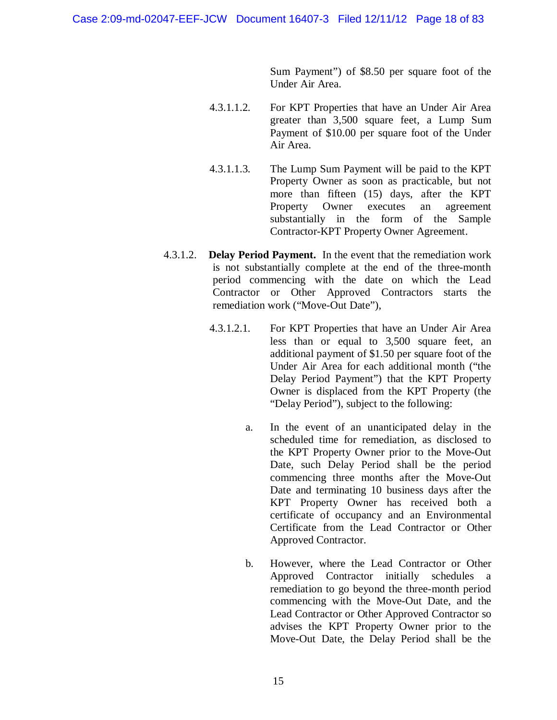Sum Payment") of \$8.50 per square foot of the Under Air Area.

- 4.3.1.1.2. For KPT Properties that have an Under Air Area greater than 3,500 square feet, a Lump Sum Payment of \$10.00 per square foot of the Under Air Area.
- 4.3.1.1.3. The Lump Sum Payment will be paid to the KPT Property Owner as soon as practicable, but not more than fifteen (15) days, after the KPT Property Owner executes an agreement substantially in the form of the Sample Contractor-KPT Property Owner Agreement.
- 4.3.1.2. **Delay Period Payment.** In the event that the remediation work is not substantially complete at the end of the three-month period commencing with the date on which the Lead Contractor or Other Approved Contractors starts the remediation work ("Move-Out Date"),
	- 4.3.1.2.1. For KPT Properties that have an Under Air Area less than or equal to 3,500 square feet, an additional payment of \$1.50 per square foot of the Under Air Area for each additional month ("the Delay Period Payment") that the KPT Property Owner is displaced from the KPT Property (the "Delay Period"), subject to the following:
		- a. In the event of an unanticipated delay in the scheduled time for remediation, as disclosed to the KPT Property Owner prior to the Move-Out Date, such Delay Period shall be the period commencing three months after the Move-Out Date and terminating 10 business days after the KPT Property Owner has received both a certificate of occupancy and an Environmental Certificate from the Lead Contractor or Other Approved Contractor.
		- b. However, where the Lead Contractor or Other Approved Contractor initially schedules a remediation to go beyond the three-month period commencing with the Move-Out Date, and the Lead Contractor or Other Approved Contractor so advises the KPT Property Owner prior to the Move-Out Date, the Delay Period shall be the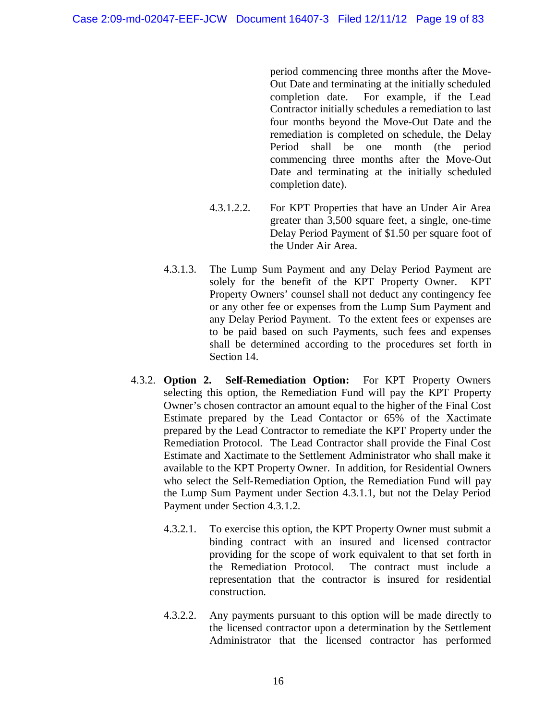period commencing three months after the Move-Out Date and terminating at the initially scheduled completion date. For example, if the Lead Contractor initially schedules a remediation to last four months beyond the Move-Out Date and the remediation is completed on schedule, the Delay Period shall be one month (the period commencing three months after the Move-Out Date and terminating at the initially scheduled completion date).

- 4.3.1.2.2. For KPT Properties that have an Under Air Area greater than 3,500 square feet, a single, one-time Delay Period Payment of \$1.50 per square foot of the Under Air Area.
- 4.3.1.3. The Lump Sum Payment and any Delay Period Payment are solely for the benefit of the KPT Property Owner. KPT Property Owners' counsel shall not deduct any contingency fee or any other fee or expenses from the Lump Sum Payment and any Delay Period Payment. To the extent fees or expenses are to be paid based on such Payments, such fees and expenses shall be determined according to the procedures set forth in Section 14.
- 4.3.2. **Option 2. Self-Remediation Option:** For KPT Property Owners selecting this option, the Remediation Fund will pay the KPT Property Owner's chosen contractor an amount equal to the higher of the Final Cost Estimate prepared by the Lead Contactor or 65% of the Xactimate prepared by the Lead Contractor to remediate the KPT Property under the Remediation Protocol. The Lead Contractor shall provide the Final Cost Estimate and Xactimate to the Settlement Administrator who shall make it available to the KPT Property Owner. In addition, for Residential Owners who select the Self-Remediation Option, the Remediation Fund will pay the Lump Sum Payment under Section 4.3.1.1, but not the Delay Period Payment under Section 4.3.1.2.
	- 4.3.2.1. To exercise this option, the KPT Property Owner must submit a binding contract with an insured and licensed contractor providing for the scope of work equivalent to that set forth in the Remediation Protocol. The contract must include a representation that the contractor is insured for residential construction.
	- 4.3.2.2. Any payments pursuant to this option will be made directly to the licensed contractor upon a determination by the Settlement Administrator that the licensed contractor has performed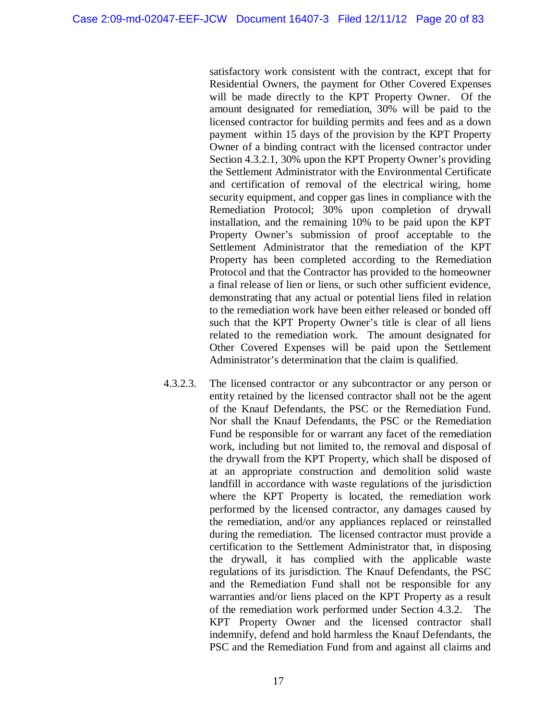satisfactory work consistent with the contract, except that for Residential Owners, the payment for Other Covered Expenses will be made directly to the KPT Property Owner. Of the amount designated for remediation, 30% will be paid to the licensed contractor for building permits and fees and as a down payment within 15 days of the provision by the KPT Property Owner of a binding contract with the licensed contractor under Section 4.3.2.1, 30% upon the KPT Property Owner's providing the Settlement Administrator with the Environmental Certificate and certification of removal of the electrical wiring, home security equipment, and copper gas lines in compliance with the Remediation Protocol; 30% upon completion of drywall installation, and the remaining 10% to be paid upon the KPT Property Owner's submission of proof acceptable to the Settlement Administrator that the remediation of the KPT Property has been completed according to the Remediation Protocol and that the Contractor has provided to the homeowner a final release of lien or liens, or such other sufficient evidence, demonstrating that any actual or potential liens filed in relation to the remediation work have been either released or bonded off such that the KPT Property Owner's title is clear of all liens related to the remediation work. The amount designated for Other Covered Expenses will be paid upon the Settlement Administrator's determination that the claim is qualified.

4.3.2.3. The licensed contractor or any subcontractor or any person or entity retained by the licensed contractor shall not be the agent of the Knauf Defendants, the PSC or the Remediation Fund. Nor shall the Knauf Defendants, the PSC or the Remediation Fund be responsible for or warrant any facet of the remediation work, including but not limited to, the removal and disposal of the drywall from the KPT Property, which shall be disposed of at an appropriate construction and demolition solid waste landfill in accordance with waste regulations of the jurisdiction where the KPT Property is located, the remediation work performed by the licensed contractor, any damages caused by the remediation, and/or any appliances replaced or reinstalled during the remediation. The licensed contractor must provide a certification to the Settlement Administrator that, in disposing the drywall, it has complied with the applicable waste regulations of its jurisdiction. The Knauf Defendants, the PSC and the Remediation Fund shall not be responsible for any warranties and/or liens placed on the KPT Property as a result of the remediation work performed under Section 4.3.2. The KPT Property Owner and the licensed contractor shall indemnify, defend and hold harmless the Knauf Defendants, the PSC and the Remediation Fund from and against all claims and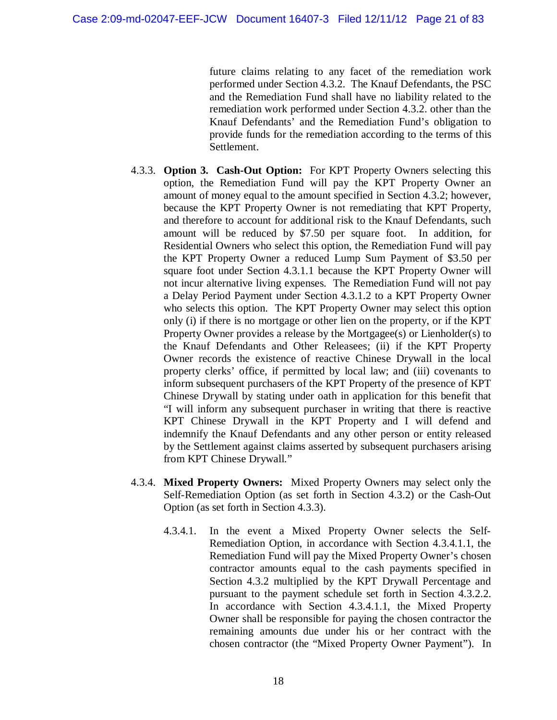future claims relating to any facet of the remediation work performed under Section 4.3.2. The Knauf Defendants, the PSC and the Remediation Fund shall have no liability related to the remediation work performed under Section 4.3.2. other than the Knauf Defendants' and the Remediation Fund's obligation to provide funds for the remediation according to the terms of this Settlement.

- 4.3.3. **Option 3. Cash-Out Option:** For KPT Property Owners selecting this option, the Remediation Fund will pay the KPT Property Owner an amount of money equal to the amount specified in Section 4.3.2; however, because the KPT Property Owner is not remediating that KPT Property, and therefore to account for additional risk to the Knauf Defendants, such amount will be reduced by \$7.50 per square foot. In addition, for Residential Owners who select this option, the Remediation Fund will pay the KPT Property Owner a reduced Lump Sum Payment of \$3.50 per square foot under Section 4.3.1.1 because the KPT Property Owner will not incur alternative living expenses. The Remediation Fund will not pay a Delay Period Payment under Section 4.3.1.2 to a KPT Property Owner who selects this option. The KPT Property Owner may select this option only (i) if there is no mortgage or other lien on the property, or if the KPT Property Owner provides a release by the Mortgagee(s) or Lienholder(s) to the Knauf Defendants and Other Releasees; (ii) if the KPT Property Owner records the existence of reactive Chinese Drywall in the local property clerks' office, if permitted by local law; and (iii) covenants to inform subsequent purchasers of the KPT Property of the presence of KPT Chinese Drywall by stating under oath in application for this benefit that "I will inform any subsequent purchaser in writing that there is reactive KPT Chinese Drywall in the KPT Property and I will defend and indemnify the Knauf Defendants and any other person or entity released by the Settlement against claims asserted by subsequent purchasers arising from KPT Chinese Drywall."
- 4.3.4. **Mixed Property Owners:** Mixed Property Owners may select only the Self-Remediation Option (as set forth in Section 4.3.2) or the Cash-Out Option (as set forth in Section 4.3.3).
	- 4.3.4.1. In the event a Mixed Property Owner selects the Self-Remediation Option, in accordance with Section 4.3.4.1.1, the Remediation Fund will pay the Mixed Property Owner's chosen contractor amounts equal to the cash payments specified in Section 4.3.2 multiplied by the KPT Drywall Percentage and pursuant to the payment schedule set forth in Section 4.3.2.2. In accordance with Section 4.3.4.1.1, the Mixed Property Owner shall be responsible for paying the chosen contractor the remaining amounts due under his or her contract with the chosen contractor (the "Mixed Property Owner Payment"). In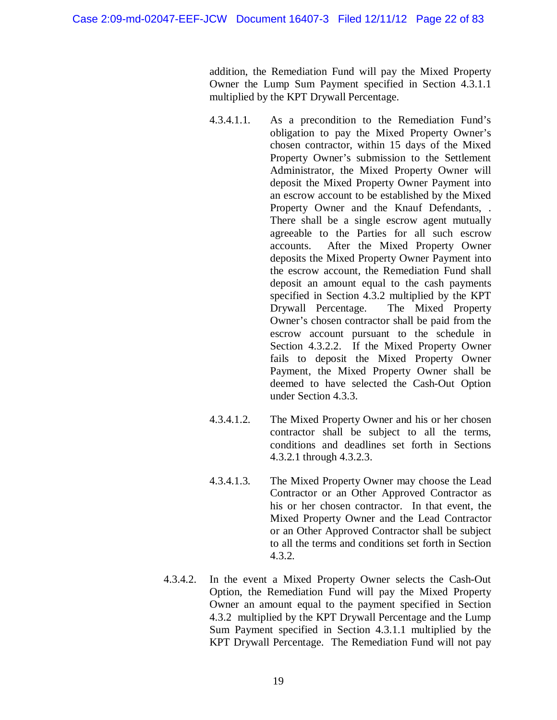addition, the Remediation Fund will pay the Mixed Property Owner the Lump Sum Payment specified in Section 4.3.1.1 multiplied by the KPT Drywall Percentage.

- 4.3.4.1.1. As a precondition to the Remediation Fund's obligation to pay the Mixed Property Owner's chosen contractor, within 15 days of the Mixed Property Owner's submission to the Settlement Administrator, the Mixed Property Owner will deposit the Mixed Property Owner Payment into an escrow account to be established by the Mixed Property Owner and the Knauf Defendants, . There shall be a single escrow agent mutually agreeable to the Parties for all such escrow accounts. After the Mixed Property Owner deposits the Mixed Property Owner Payment into the escrow account, the Remediation Fund shall deposit an amount equal to the cash payments specified in Section 4.3.2 multiplied by the KPT Drywall Percentage. The Mixed Property Owner's chosen contractor shall be paid from the escrow account pursuant to the schedule in Section 4.3.2.2. If the Mixed Property Owner fails to deposit the Mixed Property Owner Payment, the Mixed Property Owner shall be deemed to have selected the Cash-Out Option under Section 4.3.3.
- 4.3.4.1.2. The Mixed Property Owner and his or her chosen contractor shall be subject to all the terms, conditions and deadlines set forth in Sections 4.3.2.1 through 4.3.2.3.
- 4.3.4.1.3. The Mixed Property Owner may choose the Lead Contractor or an Other Approved Contractor as his or her chosen contractor. In that event, the Mixed Property Owner and the Lead Contractor or an Other Approved Contractor shall be subject to all the terms and conditions set forth in Section 4.3.2.
- 4.3.4.2. In the event a Mixed Property Owner selects the Cash-Out Option, the Remediation Fund will pay the Mixed Property Owner an amount equal to the payment specified in Section 4.3.2 multiplied by the KPT Drywall Percentage and the Lump Sum Payment specified in Section 4.3.1.1 multiplied by the KPT Drywall Percentage. The Remediation Fund will not pay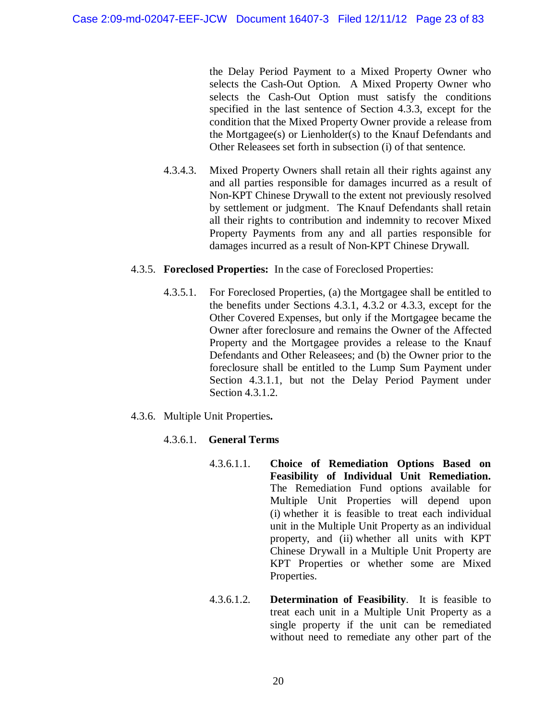the Delay Period Payment to a Mixed Property Owner who selects the Cash-Out Option. A Mixed Property Owner who selects the Cash-Out Option must satisfy the conditions specified in the last sentence of Section 4.3.3, except for the condition that the Mixed Property Owner provide a release from the Mortgagee(s) or Lienholder(s) to the Knauf Defendants and Other Releasees set forth in subsection (i) of that sentence.

4.3.4.3. Mixed Property Owners shall retain all their rights against any and all parties responsible for damages incurred as a result of Non-KPT Chinese Drywall to the extent not previously resolved by settlement or judgment. The Knauf Defendants shall retain all their rights to contribution and indemnity to recover Mixed Property Payments from any and all parties responsible for damages incurred as a result of Non-KPT Chinese Drywall.

#### 4.3.5. **Foreclosed Properties:** In the case of Foreclosed Properties:

- 4.3.5.1. For Foreclosed Properties, (a) the Mortgagee shall be entitled to the benefits under Sections 4.3.1, 4.3.2 or 4.3.3, except for the Other Covered Expenses, but only if the Mortgagee became the Owner after foreclosure and remains the Owner of the Affected Property and the Mortgagee provides a release to the Knauf Defendants and Other Releasees; and (b) the Owner prior to the foreclosure shall be entitled to the Lump Sum Payment under Section 4.3.1.1, but not the Delay Period Payment under Section 4.3.1.2.
- 4.3.6. Multiple Unit Properties**.**

### 4.3.6.1. **General Terms**

- 4.3.6.1.1. **Choice of Remediation Options Based on Feasibility of Individual Unit Remediation.**  The Remediation Fund options available for Multiple Unit Properties will depend upon (i) whether it is feasible to treat each individual unit in the Multiple Unit Property as an individual property, and (ii) whether all units with KPT Chinese Drywall in a Multiple Unit Property are KPT Properties or whether some are Mixed Properties.
- 4.3.6.1.2. **Determination of Feasibility**. It is feasible to treat each unit in a Multiple Unit Property as a single property if the unit can be remediated without need to remediate any other part of the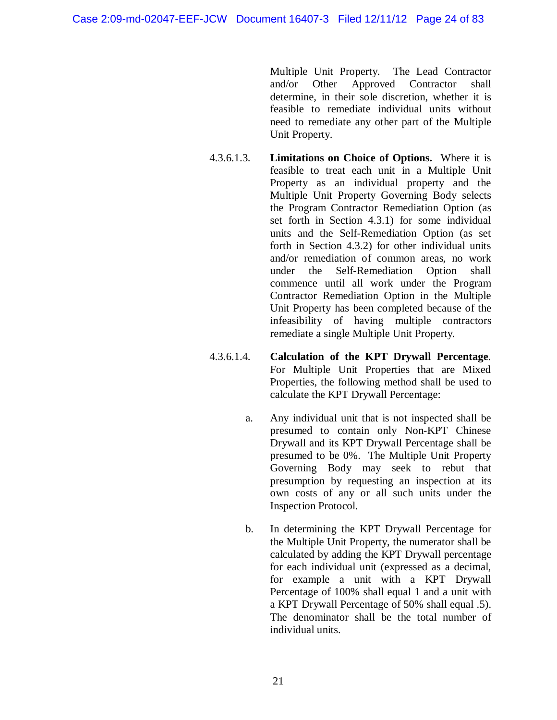Multiple Unit Property. The Lead Contractor and/or Other Approved Contractor shall determine, in their sole discretion, whether it is feasible to remediate individual units without need to remediate any other part of the Multiple Unit Property.

- 4.3.6.1.3. **Limitations on Choice of Options.** Where it is feasible to treat each unit in a Multiple Unit Property as an individual property and the Multiple Unit Property Governing Body selects the Program Contractor Remediation Option (as set forth in Section 4.3.1) for some individual units and the Self-Remediation Option (as set forth in Section 4.3.2) for other individual units and/or remediation of common areas, no work under the Self-Remediation Option shall commence until all work under the Program Contractor Remediation Option in the Multiple Unit Property has been completed because of the infeasibility of having multiple contractors remediate a single Multiple Unit Property.
- 4.3.6.1.4. **Calculation of the KPT Drywall Percentage**. For Multiple Unit Properties that are Mixed Properties, the following method shall be used to calculate the KPT Drywall Percentage:
	- a. Any individual unit that is not inspected shall be presumed to contain only Non-KPT Chinese Drywall and its KPT Drywall Percentage shall be presumed to be 0%. The Multiple Unit Property Governing Body may seek to rebut that presumption by requesting an inspection at its own costs of any or all such units under the Inspection Protocol.
	- b. In determining the KPT Drywall Percentage for the Multiple Unit Property, the numerator shall be calculated by adding the KPT Drywall percentage for each individual unit (expressed as a decimal, for example a unit with a KPT Drywall Percentage of 100% shall equal 1 and a unit with a KPT Drywall Percentage of 50% shall equal .5). The denominator shall be the total number of individual units.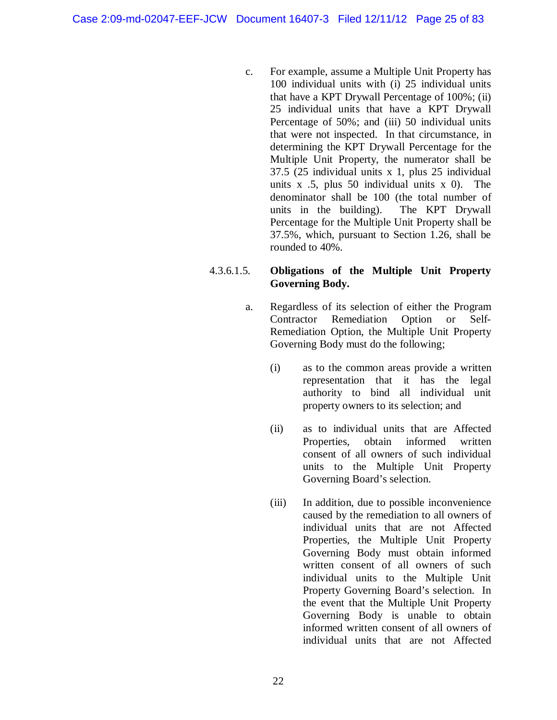c. For example, assume a Multiple Unit Property has 100 individual units with (i) 25 individual units that have a KPT Drywall Percentage of 100%; (ii) 25 individual units that have a KPT Drywall Percentage of 50%; and (iii) 50 individual units that were not inspected. In that circumstance, in determining the KPT Drywall Percentage for the Multiple Unit Property, the numerator shall be 37.5 (25 individual units x 1, plus 25 individual units  $x$  .5, plus 50 individual units  $x$  0). The denominator shall be 100 (the total number of units in the building). The KPT Drywall Percentage for the Multiple Unit Property shall be 37.5%, which, pursuant to Section 1.26, shall be rounded to 40%.

### 4.3.6.1.5. **Obligations of the Multiple Unit Property Governing Body.**

- a. Regardless of its selection of either the Program Contractor Remediation Option or Self-Remediation Option, the Multiple Unit Property Governing Body must do the following;
	- (i) as to the common areas provide a written representation that it has the legal authority to bind all individual unit property owners to its selection; and
	- (ii) as to individual units that are Affected Properties, obtain informed written consent of all owners of such individual units to the Multiple Unit Property Governing Board's selection.
	- (iii) In addition, due to possible inconvenience caused by the remediation to all owners of individual units that are not Affected Properties, the Multiple Unit Property Governing Body must obtain informed written consent of all owners of such individual units to the Multiple Unit Property Governing Board's selection. In the event that the Multiple Unit Property Governing Body is unable to obtain informed written consent of all owners of individual units that are not Affected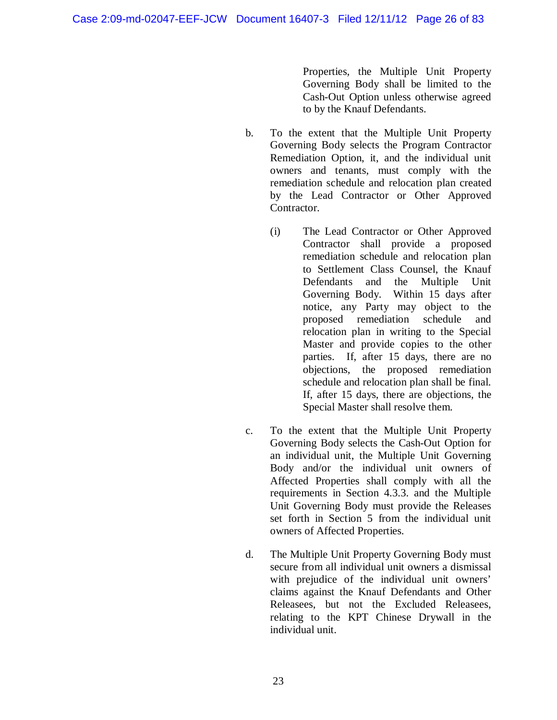Properties, the Multiple Unit Property Governing Body shall be limited to the Cash-Out Option unless otherwise agreed to by the Knauf Defendants.

- b. To the extent that the Multiple Unit Property Governing Body selects the Program Contractor Remediation Option, it, and the individual unit owners and tenants, must comply with the remediation schedule and relocation plan created by the Lead Contractor or Other Approved Contractor.
	- (i) The Lead Contractor or Other Approved Contractor shall provide a proposed remediation schedule and relocation plan to Settlement Class Counsel, the Knauf Defendants and the Multiple Unit Governing Body. Within 15 days after notice, any Party may object to the proposed remediation schedule and relocation plan in writing to the Special Master and provide copies to the other parties. If, after 15 days, there are no objections, the proposed remediation schedule and relocation plan shall be final. If, after 15 days, there are objections, the Special Master shall resolve them.
- c. To the extent that the Multiple Unit Property Governing Body selects the Cash-Out Option for an individual unit, the Multiple Unit Governing Body and/or the individual unit owners of Affected Properties shall comply with all the requirements in Section 4.3.3. and the Multiple Unit Governing Body must provide the Releases set forth in Section 5 from the individual unit owners of Affected Properties.
- d. The Multiple Unit Property Governing Body must secure from all individual unit owners a dismissal with prejudice of the individual unit owners' claims against the Knauf Defendants and Other Releasees, but not the Excluded Releasees, relating to the KPT Chinese Drywall in the individual unit.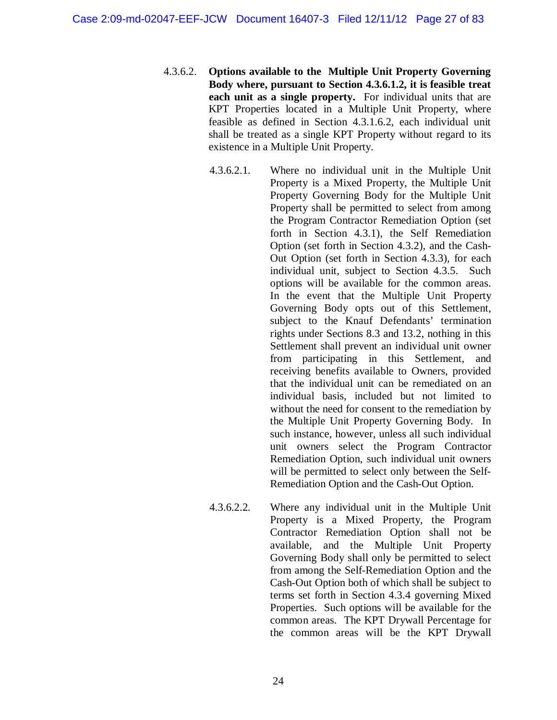- 4.3.6.2. **Options available to the Multiple Unit Property Governing Body where, pursuant to Section 4.3.6.1.2, it is feasible treat each unit as a single property.** For individual units that are KPT Properties located in a Multiple Unit Property, where feasible as defined in Section 4.3.1.6.2, each individual unit shall be treated as a single KPT Property without regard to its existence in a Multiple Unit Property.
	- 4.3.6.2.1. Where no individual unit in the Multiple Unit Property is a Mixed Property, the Multiple Unit Property Governing Body for the Multiple Unit Property shall be permitted to select from among the Program Contractor Remediation Option (set forth in Section 4.3.1), the Self Remediation Option (set forth in Section 4.3.2), and the Cash-Out Option (set forth in Section 4.3.3), for each individual unit, subject to Section 4.3.5. Such options will be available for the common areas. In the event that the Multiple Unit Property Governing Body opts out of this Settlement, subject to the Knauf Defendants' termination rights under Sections 8.3 and 13.2, nothing in this Settlement shall prevent an individual unit owner from participating in this Settlement, and receiving benefits available to Owners, provided that the individual unit can be remediated on an individual basis, included but not limited to without the need for consent to the remediation by the Multiple Unit Property Governing Body. In such instance, however, unless all such individual unit owners select the Program Contractor Remediation Option, such individual unit owners will be permitted to select only between the Self-Remediation Option and the Cash-Out Option.
	- 4.3.6.2.2. Where any individual unit in the Multiple Unit Property is a Mixed Property, the Program Contractor Remediation Option shall not be available, and the Multiple Unit Property Governing Body shall only be permitted to select from among the Self-Remediation Option and the Cash-Out Option both of which shall be subject to terms set forth in Section 4.3.4 governing Mixed Properties. Such options will be available for the common areas. The KPT Drywall Percentage for the common areas will be the KPT Drywall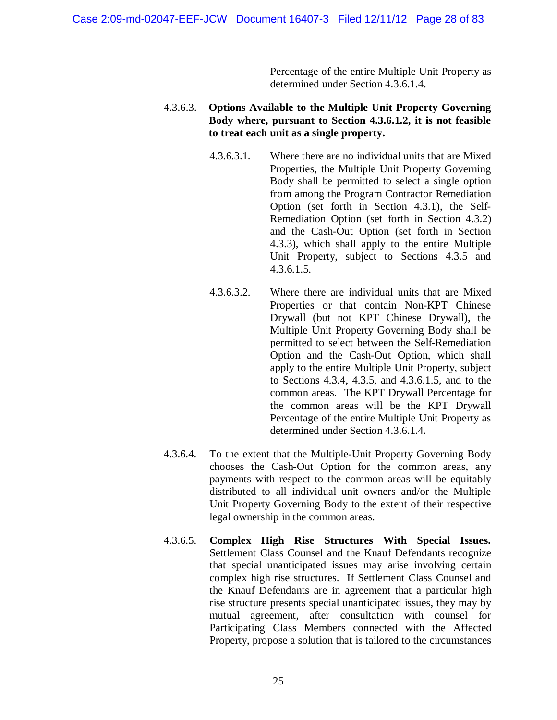Percentage of the entire Multiple Unit Property as determined under Section 4.3.6.1.4.

### 4.3.6.3. **Options Available to the Multiple Unit Property Governing Body where, pursuant to Section 4.3.6.1.2, it is not feasible to treat each unit as a single property.**

- 4.3.6.3.1. Where there are no individual units that are Mixed Properties, the Multiple Unit Property Governing Body shall be permitted to select a single option from among the Program Contractor Remediation Option (set forth in Section 4.3.1), the Self-Remediation Option (set forth in Section 4.3.2) and the Cash-Out Option (set forth in Section 4.3.3), which shall apply to the entire Multiple Unit Property, subject to Sections 4.3.5 and 4.3.6.1.5.
- 4.3.6.3.2. Where there are individual units that are Mixed Properties or that contain Non-KPT Chinese Drywall (but not KPT Chinese Drywall), the Multiple Unit Property Governing Body shall be permitted to select between the Self-Remediation Option and the Cash-Out Option, which shall apply to the entire Multiple Unit Property, subject to Sections 4.3.4, 4.3.5, and 4.3.6.1.5, and to the common areas. The KPT Drywall Percentage for the common areas will be the KPT Drywall Percentage of the entire Multiple Unit Property as determined under Section 4.3.6.1.4.
- 4.3.6.4. To the extent that the Multiple-Unit Property Governing Body chooses the Cash-Out Option for the common areas, any payments with respect to the common areas will be equitably distributed to all individual unit owners and/or the Multiple Unit Property Governing Body to the extent of their respective legal ownership in the common areas.
- 4.3.6.5. **Complex High Rise Structures With Special Issues.** Settlement Class Counsel and the Knauf Defendants recognize that special unanticipated issues may arise involving certain complex high rise structures. If Settlement Class Counsel and the Knauf Defendants are in agreement that a particular high rise structure presents special unanticipated issues, they may by mutual agreement, after consultation with counsel for Participating Class Members connected with the Affected Property, propose a solution that is tailored to the circumstances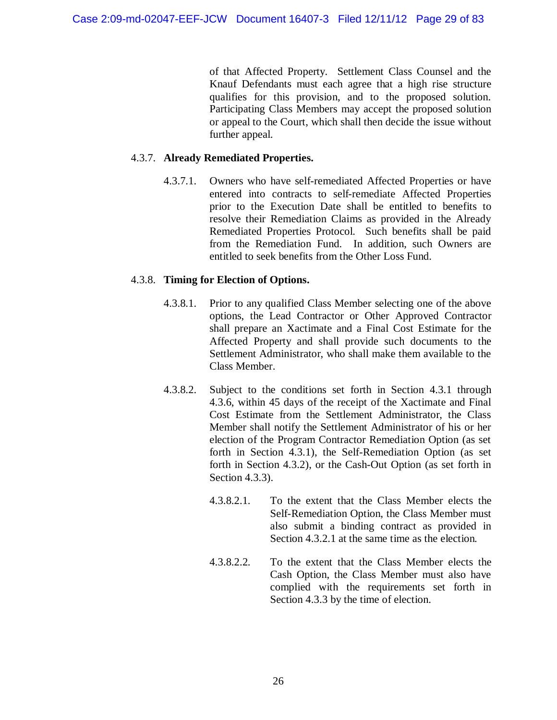of that Affected Property. Settlement Class Counsel and the Knauf Defendants must each agree that a high rise structure qualifies for this provision, and to the proposed solution. Participating Class Members may accept the proposed solution or appeal to the Court, which shall then decide the issue without further appeal.

### 4.3.7. **Already Remediated Properties.**

4.3.7.1. Owners who have self-remediated Affected Properties or have entered into contracts to self-remediate Affected Properties prior to the Execution Date shall be entitled to benefits to resolve their Remediation Claims as provided in the Already Remediated Properties Protocol. Such benefits shall be paid from the Remediation Fund. In addition, such Owners are entitled to seek benefits from the Other Loss Fund.

### 4.3.8. **Timing for Election of Options.**

- 4.3.8.1. Prior to any qualified Class Member selecting one of the above options, the Lead Contractor or Other Approved Contractor shall prepare an Xactimate and a Final Cost Estimate for the Affected Property and shall provide such documents to the Settlement Administrator, who shall make them available to the Class Member.
- 4.3.8.2. Subject to the conditions set forth in Section 4.3.1 through 4.3.6, within 45 days of the receipt of the Xactimate and Final Cost Estimate from the Settlement Administrator, the Class Member shall notify the Settlement Administrator of his or her election of the Program Contractor Remediation Option (as set forth in Section 4.3.1), the Self-Remediation Option (as set forth in Section 4.3.2), or the Cash-Out Option (as set forth in Section 4.3.3).
	- 4.3.8.2.1. To the extent that the Class Member elects the Self-Remediation Option, the Class Member must also submit a binding contract as provided in Section 4.3.2.1 at the same time as the election.
	- 4.3.8.2.2. To the extent that the Class Member elects the Cash Option, the Class Member must also have complied with the requirements set forth in Section 4.3.3 by the time of election.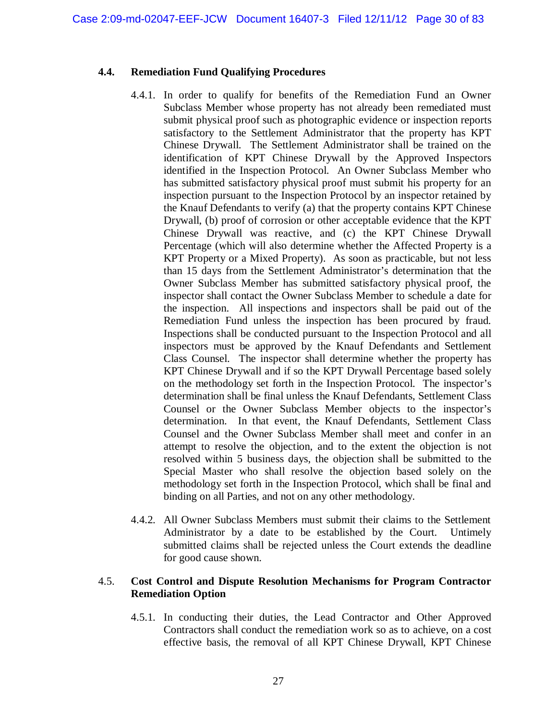### **4.4. Remediation Fund Qualifying Procedures**

- 4.4.1. In order to qualify for benefits of the Remediation Fund an Owner Subclass Member whose property has not already been remediated must submit physical proof such as photographic evidence or inspection reports satisfactory to the Settlement Administrator that the property has KPT Chinese Drywall. The Settlement Administrator shall be trained on the identification of KPT Chinese Drywall by the Approved Inspectors identified in the Inspection Protocol. An Owner Subclass Member who has submitted satisfactory physical proof must submit his property for an inspection pursuant to the Inspection Protocol by an inspector retained by the Knauf Defendants to verify (a) that the property contains KPT Chinese Drywall, (b) proof of corrosion or other acceptable evidence that the KPT Chinese Drywall was reactive, and (c) the KPT Chinese Drywall Percentage (which will also determine whether the Affected Property is a KPT Property or a Mixed Property). As soon as practicable, but not less than 15 days from the Settlement Administrator's determination that the Owner Subclass Member has submitted satisfactory physical proof, the inspector shall contact the Owner Subclass Member to schedule a date for the inspection. All inspections and inspectors shall be paid out of the Remediation Fund unless the inspection has been procured by fraud. Inspections shall be conducted pursuant to the Inspection Protocol and all inspectors must be approved by the Knauf Defendants and Settlement Class Counsel. The inspector shall determine whether the property has KPT Chinese Drywall and if so the KPT Drywall Percentage based solely on the methodology set forth in the Inspection Protocol. The inspector's determination shall be final unless the Knauf Defendants, Settlement Class Counsel or the Owner Subclass Member objects to the inspector's determination. In that event, the Knauf Defendants, Settlement Class Counsel and the Owner Subclass Member shall meet and confer in an attempt to resolve the objection, and to the extent the objection is not resolved within 5 business days, the objection shall be submitted to the Special Master who shall resolve the objection based solely on the methodology set forth in the Inspection Protocol, which shall be final and binding on all Parties, and not on any other methodology.
- 4.4.2. All Owner Subclass Members must submit their claims to the Settlement Administrator by a date to be established by the Court. Untimely submitted claims shall be rejected unless the Court extends the deadline for good cause shown.

#### 4.5. **Cost Control and Dispute Resolution Mechanisms for Program Contractor Remediation Option**

4.5.1. In conducting their duties, the Lead Contractor and Other Approved Contractors shall conduct the remediation work so as to achieve, on a cost effective basis, the removal of all KPT Chinese Drywall, KPT Chinese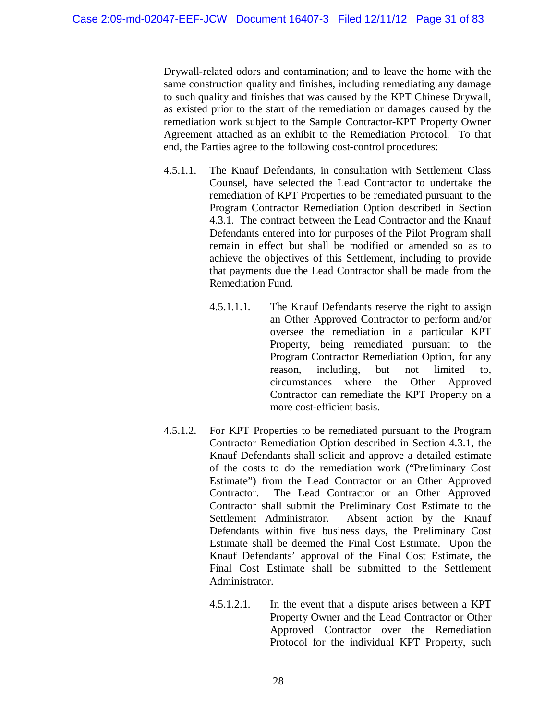Drywall-related odors and contamination; and to leave the home with the same construction quality and finishes, including remediating any damage to such quality and finishes that was caused by the KPT Chinese Drywall, as existed prior to the start of the remediation or damages caused by the remediation work subject to the Sample Contractor-KPT Property Owner Agreement attached as an exhibit to the Remediation Protocol. To that end, the Parties agree to the following cost-control procedures:

- 4.5.1.1. The Knauf Defendants, in consultation with Settlement Class Counsel, have selected the Lead Contractor to undertake the remediation of KPT Properties to be remediated pursuant to the Program Contractor Remediation Option described in Section 4.3.1. The contract between the Lead Contractor and the Knauf Defendants entered into for purposes of the Pilot Program shall remain in effect but shall be modified or amended so as to achieve the objectives of this Settlement, including to provide that payments due the Lead Contractor shall be made from the Remediation Fund.
	- 4.5.1.1.1. The Knauf Defendants reserve the right to assign an Other Approved Contractor to perform and/or oversee the remediation in a particular KPT Property, being remediated pursuant to the Program Contractor Remediation Option, for any reason, including, but not limited to, circumstances where the Other Approved Contractor can remediate the KPT Property on a more cost-efficient basis.
- 4.5.1.2. For KPT Properties to be remediated pursuant to the Program Contractor Remediation Option described in Section 4.3.1, the Knauf Defendants shall solicit and approve a detailed estimate of the costs to do the remediation work ("Preliminary Cost Estimate") from the Lead Contractor or an Other Approved Contractor. The Lead Contractor or an Other Approved Contractor shall submit the Preliminary Cost Estimate to the Settlement Administrator. Absent action by the Knauf Defendants within five business days, the Preliminary Cost Estimate shall be deemed the Final Cost Estimate. Upon the Knauf Defendants' approval of the Final Cost Estimate, the Final Cost Estimate shall be submitted to the Settlement Administrator.
	- 4.5.1.2.1. In the event that a dispute arises between a KPT Property Owner and the Lead Contractor or Other Approved Contractor over the Remediation Protocol for the individual KPT Property, such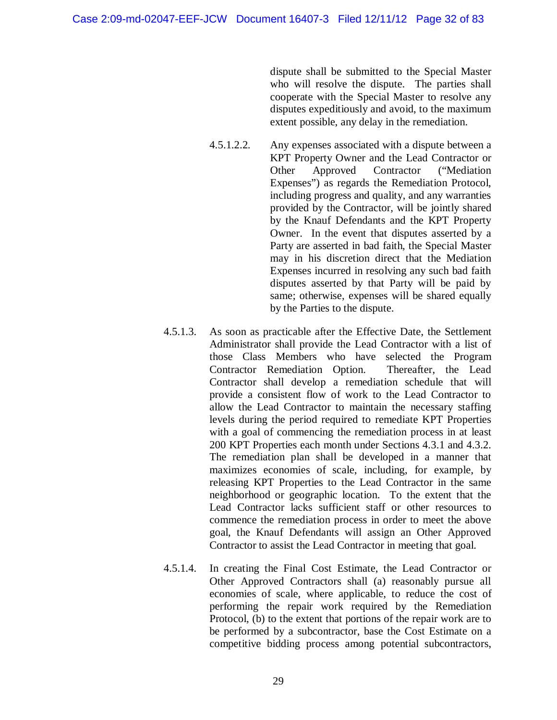dispute shall be submitted to the Special Master who will resolve the dispute. The parties shall cooperate with the Special Master to resolve any disputes expeditiously and avoid, to the maximum extent possible, any delay in the remediation.

- 4.5.1.2.2. Any expenses associated with a dispute between a KPT Property Owner and the Lead Contractor or Other Approved Contractor ("Mediation Expenses") as regards the Remediation Protocol, including progress and quality, and any warranties provided by the Contractor, will be jointly shared by the Knauf Defendants and the KPT Property Owner. In the event that disputes asserted by a Party are asserted in bad faith, the Special Master may in his discretion direct that the Mediation Expenses incurred in resolving any such bad faith disputes asserted by that Party will be paid by same; otherwise, expenses will be shared equally by the Parties to the dispute.
- 4.5.1.3. As soon as practicable after the Effective Date, the Settlement Administrator shall provide the Lead Contractor with a list of those Class Members who have selected the Program Contractor Remediation Option. Thereafter, the Lead Contractor shall develop a remediation schedule that will provide a consistent flow of work to the Lead Contractor to allow the Lead Contractor to maintain the necessary staffing levels during the period required to remediate KPT Properties with a goal of commencing the remediation process in at least 200 KPT Properties each month under Sections 4.3.1 and 4.3.2. The remediation plan shall be developed in a manner that maximizes economies of scale, including, for example, by releasing KPT Properties to the Lead Contractor in the same neighborhood or geographic location. To the extent that the Lead Contractor lacks sufficient staff or other resources to commence the remediation process in order to meet the above goal, the Knauf Defendants will assign an Other Approved Contractor to assist the Lead Contractor in meeting that goal.
- 4.5.1.4. In creating the Final Cost Estimate, the Lead Contractor or Other Approved Contractors shall (a) reasonably pursue all economies of scale, where applicable, to reduce the cost of performing the repair work required by the Remediation Protocol, (b) to the extent that portions of the repair work are to be performed by a subcontractor, base the Cost Estimate on a competitive bidding process among potential subcontractors,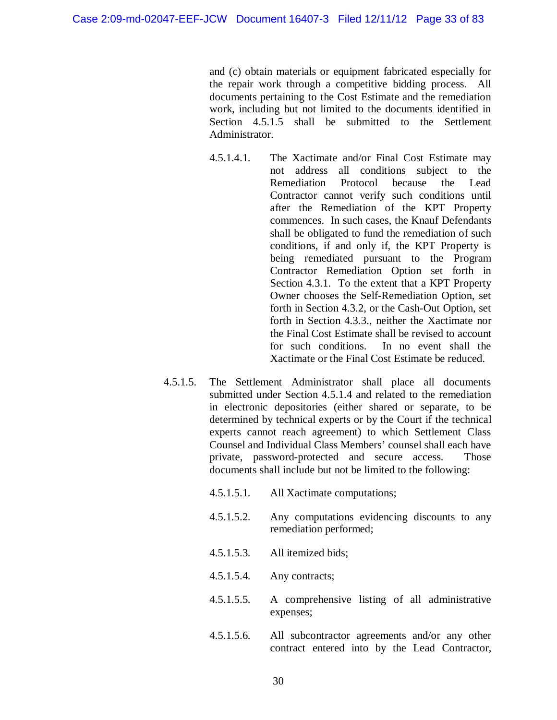and (c) obtain materials or equipment fabricated especially for the repair work through a competitive bidding process. All documents pertaining to the Cost Estimate and the remediation work, including but not limited to the documents identified in Section 4.5.1.5 shall be submitted to the Settlement Administrator.

- 4.5.1.4.1. The Xactimate and/or Final Cost Estimate may not address all conditions subject to the Remediation Protocol because the Lead Contractor cannot verify such conditions until after the Remediation of the KPT Property commences. In such cases, the Knauf Defendants shall be obligated to fund the remediation of such conditions, if and only if, the KPT Property is being remediated pursuant to the Program Contractor Remediation Option set forth in Section 4.3.1. To the extent that a KPT Property Owner chooses the Self-Remediation Option, set forth in Section 4.3.2, or the Cash-Out Option, set forth in Section 4.3.3., neither the Xactimate nor the Final Cost Estimate shall be revised to account for such conditions. In no event shall the Xactimate or the Final Cost Estimate be reduced.
- 4.5.1.5. The Settlement Administrator shall place all documents submitted under Section 4.5.1.4 and related to the remediation in electronic depositories (either shared or separate, to be determined by technical experts or by the Court if the technical experts cannot reach agreement) to which Settlement Class Counsel and Individual Class Members' counsel shall each have private, password-protected and secure access. Those documents shall include but not be limited to the following:
	- 4.5.1.5.1. All Xactimate computations;
	- 4.5.1.5.2. Any computations evidencing discounts to any remediation performed;
	- 4.5.1.5.3. All itemized bids;
	- 4.5.1.5.4. Any contracts;
	- 4.5.1.5.5. A comprehensive listing of all administrative expenses;
	- 4.5.1.5.6. All subcontractor agreements and/or any other contract entered into by the Lead Contractor,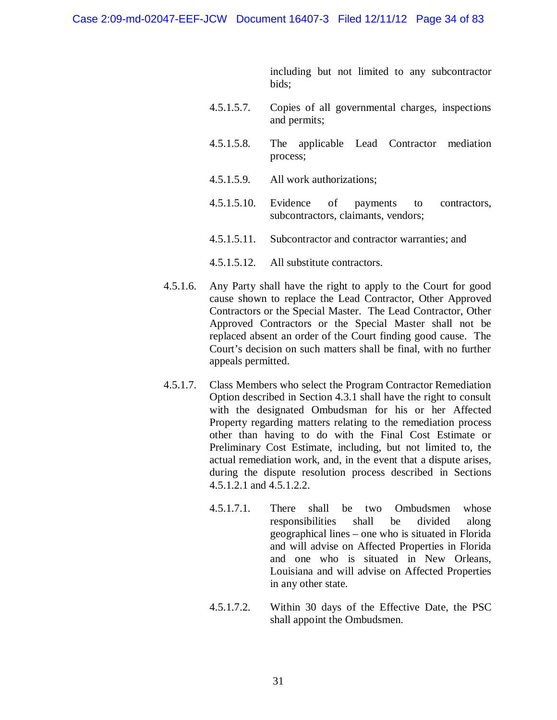including but not limited to any subcontractor bids;

- 4.5.1.5.7. Copies of all governmental charges, inspections and permits;
- 4.5.1.5.8. The applicable Lead Contractor mediation process;
- 4.5.1.5.9. All work authorizations;
- 4.5.1.5.10. Evidence of payments to contractors, subcontractors, claimants, vendors;
- 4.5.1.5.11. Subcontractor and contractor warranties; and
- 4.5.1.5.12. All substitute contractors.
- 4.5.1.6. Any Party shall have the right to apply to the Court for good cause shown to replace the Lead Contractor, Other Approved Contractors or the Special Master. The Lead Contractor, Other Approved Contractors or the Special Master shall not be replaced absent an order of the Court finding good cause. The Court's decision on such matters shall be final, with no further appeals permitted.
- 4.5.1.7. Class Members who select the Program Contractor Remediation Option described in Section 4.3.1 shall have the right to consult with the designated Ombudsman for his or her Affected Property regarding matters relating to the remediation process other than having to do with the Final Cost Estimate or Preliminary Cost Estimate, including, but not limited to, the actual remediation work, and, in the event that a dispute arises, during the dispute resolution process described in Sections 4.5.1.2.1 and 4.5.1.2.2.
	- 4.5.1.7.1. There shall be two Ombudsmen whose responsibilities shall be divided along geographical lines – one who is situated in Florida and will advise on Affected Properties in Florida and one who is situated in New Orleans, Louisiana and will advise on Affected Properties in any other state.
	- 4.5.1.7.2. Within 30 days of the Effective Date, the PSC shall appoint the Ombudsmen.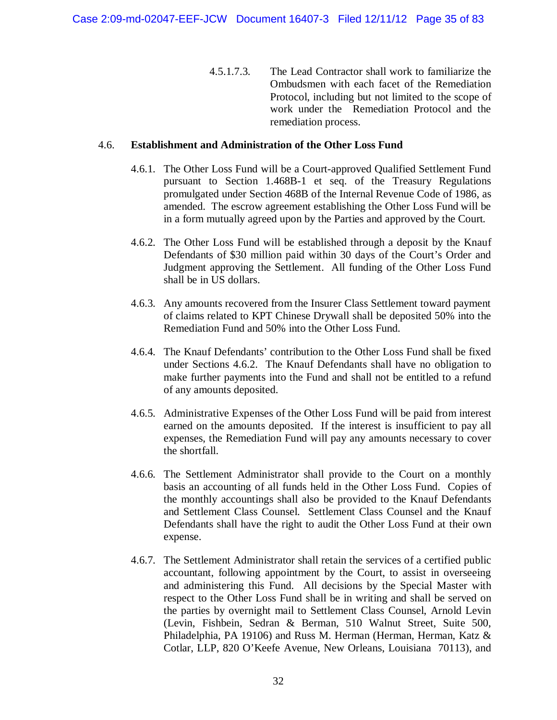4.5.1.7.3. The Lead Contractor shall work to familiarize the Ombudsmen with each facet of the Remediation Protocol, including but not limited to the scope of work under the Remediation Protocol and the remediation process.

### 4.6. **Establishment and Administration of the Other Loss Fund**

- 4.6.1. The Other Loss Fund will be a Court-approved Qualified Settlement Fund pursuant to Section 1.468B-1 et seq. of the Treasury Regulations promulgated under Section 468B of the Internal Revenue Code of 1986, as amended. The escrow agreement establishing the Other Loss Fund will be in a form mutually agreed upon by the Parties and approved by the Court.
- 4.6.2. The Other Loss Fund will be established through a deposit by the Knauf Defendants of \$30 million paid within 30 days of the Court's Order and Judgment approving the Settlement. All funding of the Other Loss Fund shall be in US dollars.
- 4.6.3. Any amounts recovered from the Insurer Class Settlement toward payment of claims related to KPT Chinese Drywall shall be deposited 50% into the Remediation Fund and 50% into the Other Loss Fund.
- 4.6.4. The Knauf Defendants' contribution to the Other Loss Fund shall be fixed under Sections 4.6.2. The Knauf Defendants shall have no obligation to make further payments into the Fund and shall not be entitled to a refund of any amounts deposited.
- 4.6.5. Administrative Expenses of the Other Loss Fund will be paid from interest earned on the amounts deposited. If the interest is insufficient to pay all expenses, the Remediation Fund will pay any amounts necessary to cover the shortfall.
- 4.6.6. The Settlement Administrator shall provide to the Court on a monthly basis an accounting of all funds held in the Other Loss Fund. Copies of the monthly accountings shall also be provided to the Knauf Defendants and Settlement Class Counsel. Settlement Class Counsel and the Knauf Defendants shall have the right to audit the Other Loss Fund at their own expense.
- 4.6.7. The Settlement Administrator shall retain the services of a certified public accountant, following appointment by the Court, to assist in overseeing and administering this Fund. All decisions by the Special Master with respect to the Other Loss Fund shall be in writing and shall be served on the parties by overnight mail to Settlement Class Counsel, Arnold Levin (Levin, Fishbein, Sedran & Berman, 510 Walnut Street, Suite 500, Philadelphia, PA 19106) and Russ M. Herman (Herman, Herman, Katz & Cotlar, LLP, 820 O'Keefe Avenue, New Orleans, Louisiana 70113), and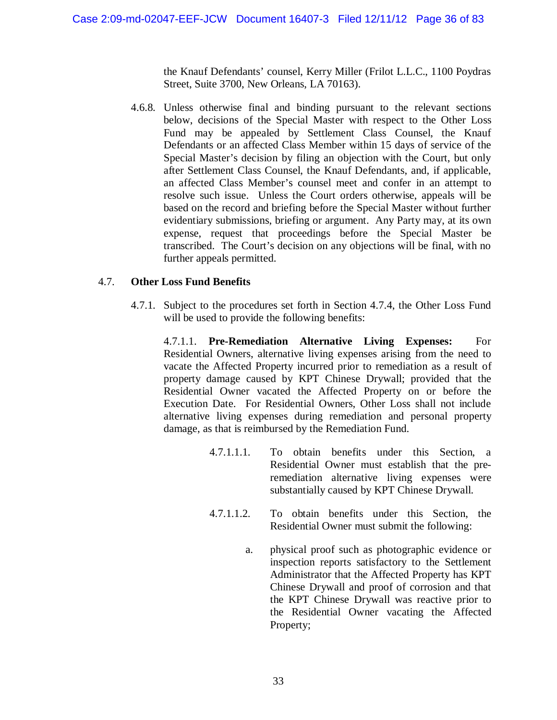the Knauf Defendants' counsel, Kerry Miller (Frilot L.L.C., 1100 Poydras Street, Suite 3700, New Orleans, LA 70163).

4.6.8. Unless otherwise final and binding pursuant to the relevant sections below, decisions of the Special Master with respect to the Other Loss Fund may be appealed by Settlement Class Counsel, the Knauf Defendants or an affected Class Member within 15 days of service of the Special Master's decision by filing an objection with the Court, but only after Settlement Class Counsel, the Knauf Defendants, and, if applicable, an affected Class Member's counsel meet and confer in an attempt to resolve such issue. Unless the Court orders otherwise, appeals will be based on the record and briefing before the Special Master without further evidentiary submissions, briefing or argument. Any Party may, at its own expense, request that proceedings before the Special Master be transcribed. The Court's decision on any objections will be final, with no further appeals permitted.

### 4.7. **Other Loss Fund Benefits**

4.7.1. Subject to the procedures set forth in Section 4.7.4, the Other Loss Fund will be used to provide the following benefits:

4.7.1.1. **Pre-Remediation Alternative Living Expenses:** For Residential Owners, alternative living expenses arising from the need to vacate the Affected Property incurred prior to remediation as a result of property damage caused by KPT Chinese Drywall; provided that the Residential Owner vacated the Affected Property on or before the Execution Date. For Residential Owners, Other Loss shall not include alternative living expenses during remediation and personal property damage, as that is reimbursed by the Remediation Fund.

- 4.7.1.1.1. To obtain benefits under this Section, a Residential Owner must establish that the preremediation alternative living expenses were substantially caused by KPT Chinese Drywall.
- 4.7.1.1.2. To obtain benefits under this Section, the Residential Owner must submit the following:
	- a. physical proof such as photographic evidence or inspection reports satisfactory to the Settlement Administrator that the Affected Property has KPT Chinese Drywall and proof of corrosion and that the KPT Chinese Drywall was reactive prior to the Residential Owner vacating the Affected Property;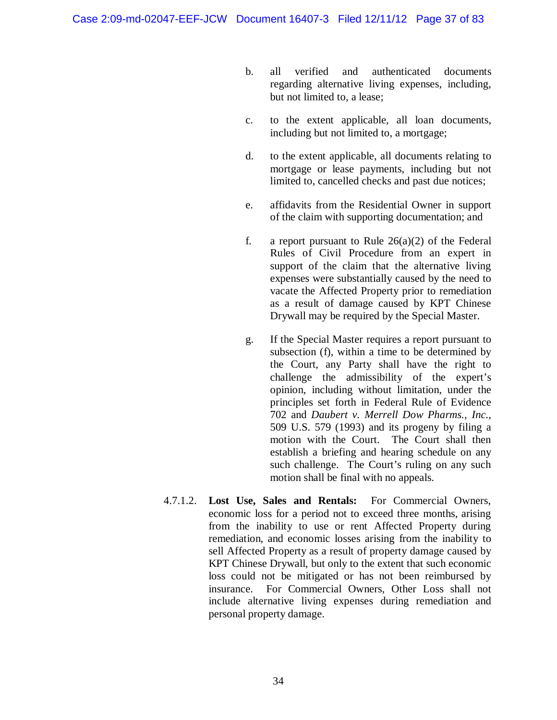- b. all verified and authenticated documents regarding alternative living expenses, including, but not limited to, a lease;
- c. to the extent applicable, all loan documents, including but not limited to, a mortgage;
- d. to the extent applicable, all documents relating to mortgage or lease payments, including but not limited to, cancelled checks and past due notices;
- e. affidavits from the Residential Owner in support of the claim with supporting documentation; and
- f. a report pursuant to Rule  $26(a)(2)$  of the Federal Rules of Civil Procedure from an expert in support of the claim that the alternative living expenses were substantially caused by the need to vacate the Affected Property prior to remediation as a result of damage caused by KPT Chinese Drywall may be required by the Special Master.
- g. If the Special Master requires a report pursuant to subsection (f), within a time to be determined by the Court, any Party shall have the right to challenge the admissibility of the expert's opinion, including without limitation, under the principles set forth in Federal Rule of Evidence 702 and *Daubert v. Merrell Dow Pharms., Inc.*, 509 U.S. 579 (1993) and its progeny by filing a motion with the Court. The Court shall then establish a briefing and hearing schedule on any such challenge. The Court's ruling on any such motion shall be final with no appeals.
- 4.7.1.2. **Lost Use, Sales and Rentals:** For Commercial Owners, economic loss for a period not to exceed three months, arising from the inability to use or rent Affected Property during remediation, and economic losses arising from the inability to sell Affected Property as a result of property damage caused by KPT Chinese Drywall, but only to the extent that such economic loss could not be mitigated or has not been reimbursed by insurance. For Commercial Owners, Other Loss shall not include alternative living expenses during remediation and personal property damage.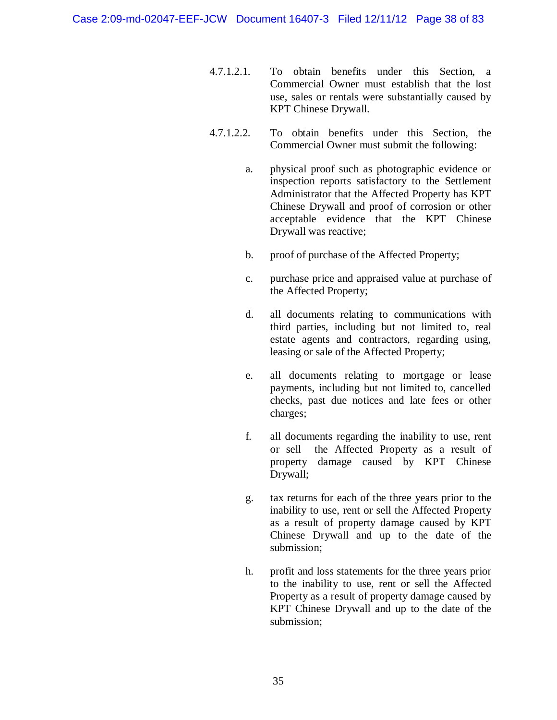- 4.7.1.2.1. To obtain benefits under this Section, a Commercial Owner must establish that the lost use, sales or rentals were substantially caused by KPT Chinese Drywall.
- 4.7.1.2.2. To obtain benefits under this Section, the Commercial Owner must submit the following:
	- a. physical proof such as photographic evidence or inspection reports satisfactory to the Settlement Administrator that the Affected Property has KPT Chinese Drywall and proof of corrosion or other acceptable evidence that the KPT Chinese Drywall was reactive;
	- b. proof of purchase of the Affected Property;
	- c. purchase price and appraised value at purchase of the Affected Property;
	- d. all documents relating to communications with third parties, including but not limited to, real estate agents and contractors, regarding using, leasing or sale of the Affected Property;
	- e. all documents relating to mortgage or lease payments, including but not limited to, cancelled checks, past due notices and late fees or other charges;
	- f. all documents regarding the inability to use, rent or sell the Affected Property as a result of property damage caused by KPT Chinese Drywall;
	- g. tax returns for each of the three years prior to the inability to use, rent or sell the Affected Property as a result of property damage caused by KPT Chinese Drywall and up to the date of the submission;
	- h. profit and loss statements for the three years prior to the inability to use, rent or sell the Affected Property as a result of property damage caused by KPT Chinese Drywall and up to the date of the submission;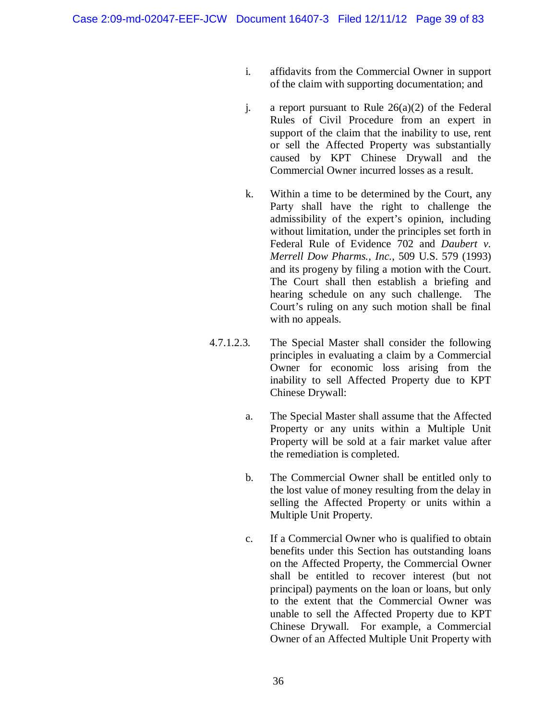- i. affidavits from the Commercial Owner in support of the claim with supporting documentation; and
- j. a report pursuant to Rule  $26(a)(2)$  of the Federal Rules of Civil Procedure from an expert in support of the claim that the inability to use, rent or sell the Affected Property was substantially caused by KPT Chinese Drywall and the Commercial Owner incurred losses as a result.
- k. Within a time to be determined by the Court, any Party shall have the right to challenge the admissibility of the expert's opinion, including without limitation, under the principles set forth in Federal Rule of Evidence 702 and *Daubert v. Merrell Dow Pharms., Inc.*, 509 U.S. 579 (1993) and its progeny by filing a motion with the Court. The Court shall then establish a briefing and hearing schedule on any such challenge. The Court's ruling on any such motion shall be final with no appeals.
- 4.7.1.2.3. The Special Master shall consider the following principles in evaluating a claim by a Commercial Owner for economic loss arising from the inability to sell Affected Property due to KPT Chinese Drywall:
	- a. The Special Master shall assume that the Affected Property or any units within a Multiple Unit Property will be sold at a fair market value after the remediation is completed.
	- b. The Commercial Owner shall be entitled only to the lost value of money resulting from the delay in selling the Affected Property or units within a Multiple Unit Property.
	- c. If a Commercial Owner who is qualified to obtain benefits under this Section has outstanding loans on the Affected Property, the Commercial Owner shall be entitled to recover interest (but not principal) payments on the loan or loans, but only to the extent that the Commercial Owner was unable to sell the Affected Property due to KPT Chinese Drywall. For example, a Commercial Owner of an Affected Multiple Unit Property with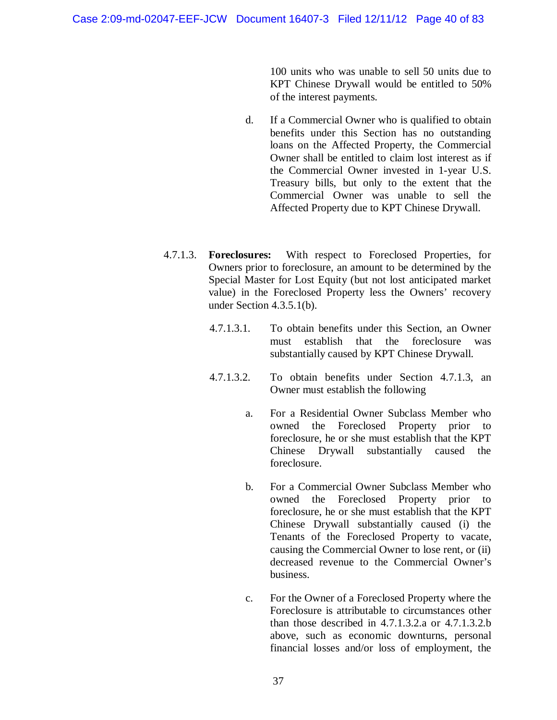100 units who was unable to sell 50 units due to KPT Chinese Drywall would be entitled to 50% of the interest payments.

- d. If a Commercial Owner who is qualified to obtain benefits under this Section has no outstanding loans on the Affected Property, the Commercial Owner shall be entitled to claim lost interest as if the Commercial Owner invested in 1-year U.S. Treasury bills, but only to the extent that the Commercial Owner was unable to sell the Affected Property due to KPT Chinese Drywall.
- 4.7.1.3. **Foreclosures:** With respect to Foreclosed Properties, for Owners prior to foreclosure, an amount to be determined by the Special Master for Lost Equity (but not lost anticipated market value) in the Foreclosed Property less the Owners' recovery under Section 4.3.5.1(b).
	- 4.7.1.3.1. To obtain benefits under this Section, an Owner must establish that the foreclosure was substantially caused by KPT Chinese Drywall.
	- 4.7.1.3.2. To obtain benefits under Section 4.7.1.3, an Owner must establish the following
		- a. For a Residential Owner Subclass Member who owned the Foreclosed Property prior to foreclosure, he or she must establish that the KPT Chinese Drywall substantially caused the foreclosure.
		- b. For a Commercial Owner Subclass Member who owned the Foreclosed Property prior to foreclosure, he or she must establish that the KPT Chinese Drywall substantially caused (i) the Tenants of the Foreclosed Property to vacate, causing the Commercial Owner to lose rent, or (ii) decreased revenue to the Commercial Owner's business.
		- c. For the Owner of a Foreclosed Property where the Foreclosure is attributable to circumstances other than those described in 4.7.1.3.2.a or 4.7.1.3.2.b above, such as economic downturns, personal financial losses and/or loss of employment, the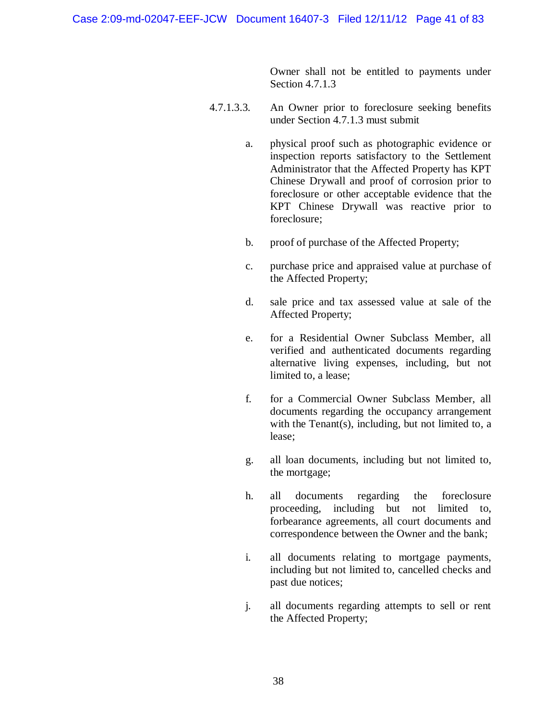Owner shall not be entitled to payments under Section 4.7.1.3

- 4.7.1.3.3. An Owner prior to foreclosure seeking benefits under Section 4.7.1.3 must submit
	- a. physical proof such as photographic evidence or inspection reports satisfactory to the Settlement Administrator that the Affected Property has KPT Chinese Drywall and proof of corrosion prior to foreclosure or other acceptable evidence that the KPT Chinese Drywall was reactive prior to foreclosure;
	- b. proof of purchase of the Affected Property;
	- c. purchase price and appraised value at purchase of the Affected Property;
	- d. sale price and tax assessed value at sale of the Affected Property;
	- e. for a Residential Owner Subclass Member, all verified and authenticated documents regarding alternative living expenses, including, but not limited to, a lease;
	- f. for a Commercial Owner Subclass Member, all documents regarding the occupancy arrangement with the Tenant(s), including, but not limited to, a lease;
	- g. all loan documents, including but not limited to, the mortgage;
	- h. all documents regarding the foreclosure proceeding, including but not limited to, forbearance agreements, all court documents and correspondence between the Owner and the bank;
	- i. all documents relating to mortgage payments, including but not limited to, cancelled checks and past due notices;
	- j. all documents regarding attempts to sell or rent the Affected Property;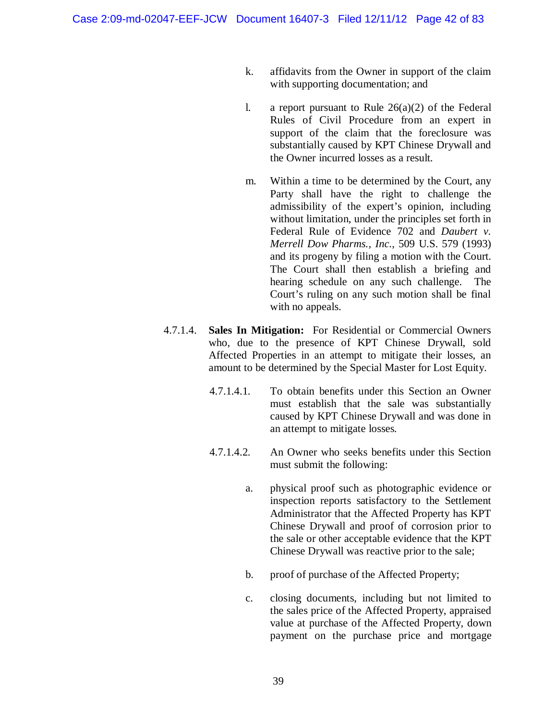- k. affidavits from the Owner in support of the claim with supporting documentation; and
- l. a report pursuant to Rule  $26(a)(2)$  of the Federal Rules of Civil Procedure from an expert in support of the claim that the foreclosure was substantially caused by KPT Chinese Drywall and the Owner incurred losses as a result.
- m. Within a time to be determined by the Court, any Party shall have the right to challenge the admissibility of the expert's opinion, including without limitation, under the principles set forth in Federal Rule of Evidence 702 and *Daubert v. Merrell Dow Pharms., Inc.*, 509 U.S. 579 (1993) and its progeny by filing a motion with the Court. The Court shall then establish a briefing and hearing schedule on any such challenge. The Court's ruling on any such motion shall be final with no appeals.
- 4.7.1.4. **Sales In Mitigation:** For Residential or Commercial Owners who, due to the presence of KPT Chinese Drywall, sold Affected Properties in an attempt to mitigate their losses, an amount to be determined by the Special Master for Lost Equity.
	- 4.7.1.4.1. To obtain benefits under this Section an Owner must establish that the sale was substantially caused by KPT Chinese Drywall and was done in an attempt to mitigate losses.
	- 4.7.1.4.2. An Owner who seeks benefits under this Section must submit the following:
		- a. physical proof such as photographic evidence or inspection reports satisfactory to the Settlement Administrator that the Affected Property has KPT Chinese Drywall and proof of corrosion prior to the sale or other acceptable evidence that the KPT Chinese Drywall was reactive prior to the sale;
		- b. proof of purchase of the Affected Property;
		- c. closing documents, including but not limited to the sales price of the Affected Property, appraised value at purchase of the Affected Property, down payment on the purchase price and mortgage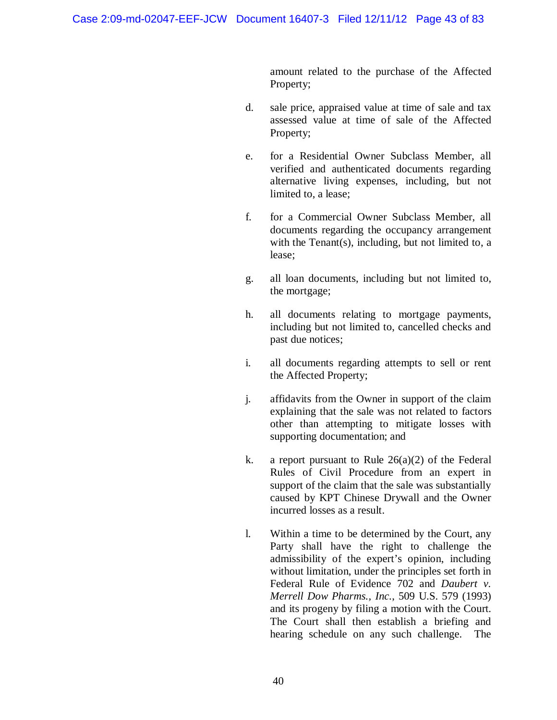amount related to the purchase of the Affected Property;

- d. sale price, appraised value at time of sale and tax assessed value at time of sale of the Affected Property;
- e. for a Residential Owner Subclass Member, all verified and authenticated documents regarding alternative living expenses, including, but not limited to, a lease;
- f. for a Commercial Owner Subclass Member, all documents regarding the occupancy arrangement with the Tenant $(s)$ , including, but not limited to, a lease;
- g. all loan documents, including but not limited to, the mortgage;
- h. all documents relating to mortgage payments, including but not limited to, cancelled checks and past due notices;
- i. all documents regarding attempts to sell or rent the Affected Property;
- j. affidavits from the Owner in support of the claim explaining that the sale was not related to factors other than attempting to mitigate losses with supporting documentation; and
- k. a report pursuant to Rule  $26(a)(2)$  of the Federal Rules of Civil Procedure from an expert in support of the claim that the sale was substantially caused by KPT Chinese Drywall and the Owner incurred losses as a result.
- l. Within a time to be determined by the Court, any Party shall have the right to challenge the admissibility of the expert's opinion, including without limitation, under the principles set forth in Federal Rule of Evidence 702 and *Daubert v. Merrell Dow Pharms., Inc.*, 509 U.S. 579 (1993) and its progeny by filing a motion with the Court. The Court shall then establish a briefing and hearing schedule on any such challenge. The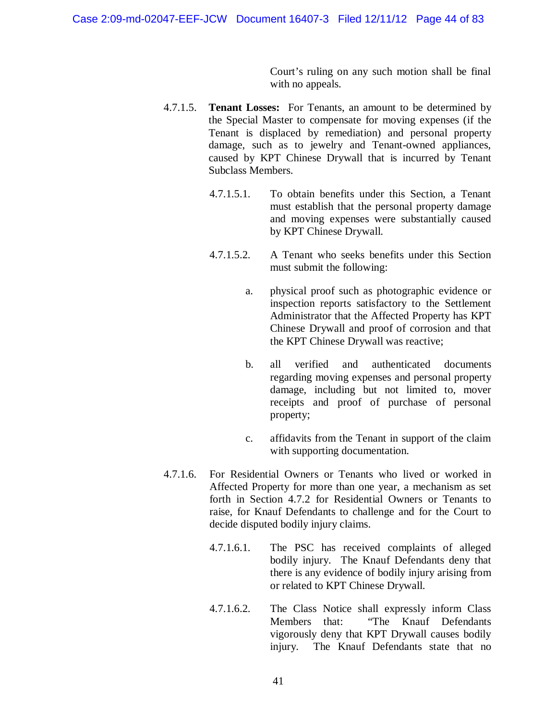Court's ruling on any such motion shall be final with no appeals.

- 4.7.1.5. **Tenant Losses:** For Tenants, an amount to be determined by the Special Master to compensate for moving expenses (if the Tenant is displaced by remediation) and personal property damage, such as to jewelry and Tenant-owned appliances, caused by KPT Chinese Drywall that is incurred by Tenant Subclass Members.
	- 4.7.1.5.1. To obtain benefits under this Section, a Tenant must establish that the personal property damage and moving expenses were substantially caused by KPT Chinese Drywall.
	- 4.7.1.5.2. A Tenant who seeks benefits under this Section must submit the following:
		- a. physical proof such as photographic evidence or inspection reports satisfactory to the Settlement Administrator that the Affected Property has KPT Chinese Drywall and proof of corrosion and that the KPT Chinese Drywall was reactive;
		- b. all verified and authenticated documents regarding moving expenses and personal property damage, including but not limited to, mover receipts and proof of purchase of personal property;
		- c. affidavits from the Tenant in support of the claim with supporting documentation.
- 4.7.1.6. For Residential Owners or Tenants who lived or worked in Affected Property for more than one year, a mechanism as set forth in Section 4.7.2 for Residential Owners or Tenants to raise, for Knauf Defendants to challenge and for the Court to decide disputed bodily injury claims.
	- 4.7.1.6.1. The PSC has received complaints of alleged bodily injury. The Knauf Defendants deny that there is any evidence of bodily injury arising from or related to KPT Chinese Drywall.
	- 4.7.1.6.2. The Class Notice shall expressly inform Class Members that: "The Knauf Defendants vigorously deny that KPT Drywall causes bodily injury. The Knauf Defendants state that no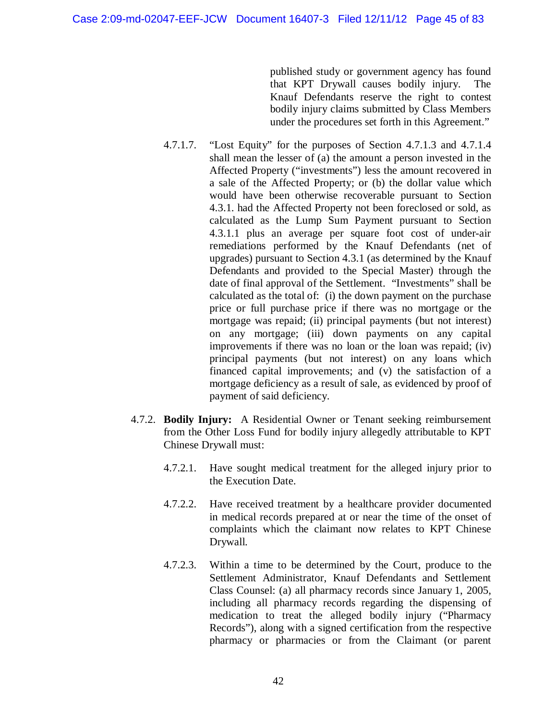published study or government agency has found that KPT Drywall causes bodily injury. The Knauf Defendants reserve the right to contest bodily injury claims submitted by Class Members under the procedures set forth in this Agreement."

- 4.7.1.7. "Lost Equity" for the purposes of Section 4.7.1.3 and 4.7.1.4 shall mean the lesser of (a) the amount a person invested in the Affected Property ("investments") less the amount recovered in a sale of the Affected Property; or (b) the dollar value which would have been otherwise recoverable pursuant to Section 4.3.1. had the Affected Property not been foreclosed or sold, as calculated as the Lump Sum Payment pursuant to Section 4.3.1.1 plus an average per square foot cost of under-air remediations performed by the Knauf Defendants (net of upgrades) pursuant to Section 4.3.1 (as determined by the Knauf Defendants and provided to the Special Master) through the date of final approval of the Settlement. "Investments" shall be calculated as the total of: (i) the down payment on the purchase price or full purchase price if there was no mortgage or the mortgage was repaid; (ii) principal payments (but not interest) on any mortgage; (iii) down payments on any capital improvements if there was no loan or the loan was repaid; (iv) principal payments (but not interest) on any loans which financed capital improvements; and (v) the satisfaction of a mortgage deficiency as a result of sale, as evidenced by proof of payment of said deficiency.
- 4.7.2. **Bodily Injury:** A Residential Owner or Tenant seeking reimbursement from the Other Loss Fund for bodily injury allegedly attributable to KPT Chinese Drywall must:
	- 4.7.2.1. Have sought medical treatment for the alleged injury prior to the Execution Date.
	- 4.7.2.2. Have received treatment by a healthcare provider documented in medical records prepared at or near the time of the onset of complaints which the claimant now relates to KPT Chinese Drywall.
	- 4.7.2.3. Within a time to be determined by the Court, produce to the Settlement Administrator, Knauf Defendants and Settlement Class Counsel: (a) all pharmacy records since January 1, 2005, including all pharmacy records regarding the dispensing of medication to treat the alleged bodily injury ("Pharmacy Records"), along with a signed certification from the respective pharmacy or pharmacies or from the Claimant (or parent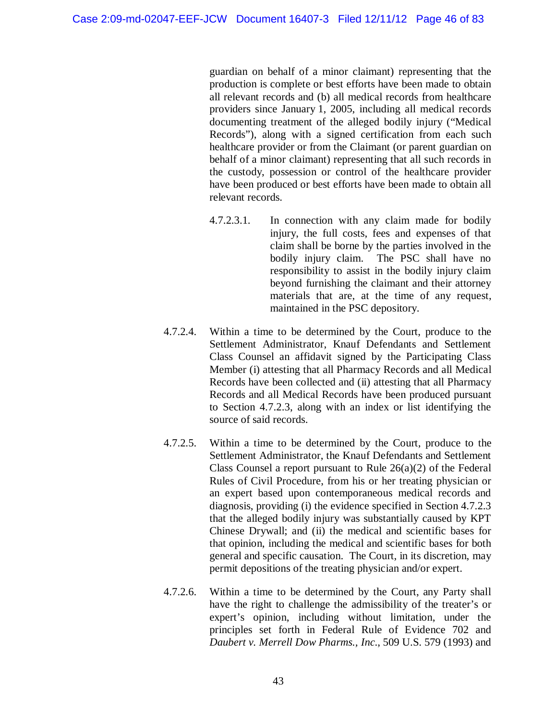guardian on behalf of a minor claimant) representing that the production is complete or best efforts have been made to obtain all relevant records and (b) all medical records from healthcare providers since January 1, 2005, including all medical records documenting treatment of the alleged bodily injury ("Medical Records"), along with a signed certification from each such healthcare provider or from the Claimant (or parent guardian on behalf of a minor claimant) representing that all such records in the custody, possession or control of the healthcare provider have been produced or best efforts have been made to obtain all relevant records.

- 4.7.2.3.1. In connection with any claim made for bodily injury, the full costs, fees and expenses of that claim shall be borne by the parties involved in the bodily injury claim. The PSC shall have no responsibility to assist in the bodily injury claim beyond furnishing the claimant and their attorney materials that are, at the time of any request, maintained in the PSC depository.
- 4.7.2.4. Within a time to be determined by the Court, produce to the Settlement Administrator, Knauf Defendants and Settlement Class Counsel an affidavit signed by the Participating Class Member (i) attesting that all Pharmacy Records and all Medical Records have been collected and (ii) attesting that all Pharmacy Records and all Medical Records have been produced pursuant to Section 4.7.2.3, along with an index or list identifying the source of said records.
- 4.7.2.5. Within a time to be determined by the Court, produce to the Settlement Administrator, the Knauf Defendants and Settlement Class Counsel a report pursuant to Rule 26(a)(2) of the Federal Rules of Civil Procedure, from his or her treating physician or an expert based upon contemporaneous medical records and diagnosis, providing (i) the evidence specified in Section 4.7.2.3 that the alleged bodily injury was substantially caused by KPT Chinese Drywall; and (ii) the medical and scientific bases for that opinion, including the medical and scientific bases for both general and specific causation. The Court, in its discretion, may permit depositions of the treating physician and/or expert.
- 4.7.2.6. Within a time to be determined by the Court, any Party shall have the right to challenge the admissibility of the treater's or expert's opinion, including without limitation, under the principles set forth in Federal Rule of Evidence 702 and *Daubert v. Merrell Dow Pharms., Inc.*, 509 U.S. 579 (1993) and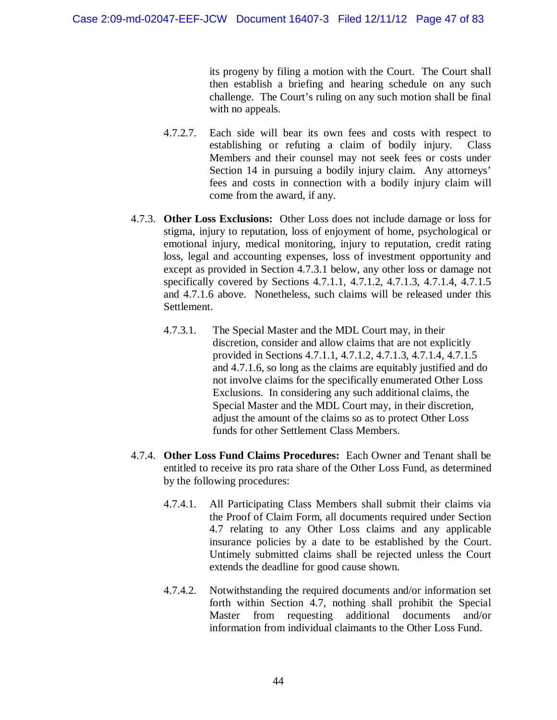its progeny by filing a motion with the Court. The Court shall then establish a briefing and hearing schedule on any such challenge. The Court's ruling on any such motion shall be final with no appeals.

- 4.7.2.7. Each side will bear its own fees and costs with respect to establishing or refuting a claim of bodily injury. Class Members and their counsel may not seek fees or costs under Section 14 in pursuing a bodily injury claim. Any attorneys' fees and costs in connection with a bodily injury claim will come from the award, if any.
- 4.7.3. **Other Loss Exclusions:** Other Loss does not include damage or loss for stigma, injury to reputation, loss of enjoyment of home, psychological or emotional injury, medical monitoring, injury to reputation, credit rating loss, legal and accounting expenses, loss of investment opportunity and except as provided in Section 4.7.3.1 below, any other loss or damage not specifically covered by Sections 4.7.1.1, 4.7.1.2, 4.7.1.3, 4.7.1.4, 4.7.1.5 and 4.7.1.6 above. Nonetheless, such claims will be released under this Settlement.
	- 4.7.3.1. The Special Master and the MDL Court may, in their discretion, consider and allow claims that are not explicitly provided in Sections 4.7.1.1, 4.7.1.2, 4.7.1.3, 4.7.1.4, 4.7.1.5 and 4.7.1.6, so long as the claims are equitably justified and do not involve claims for the specifically enumerated Other Loss Exclusions. In considering any such additional claims, the Special Master and the MDL Court may, in their discretion, adjust the amount of the claims so as to protect Other Loss funds for other Settlement Class Members.
- 4.7.4. **Other Loss Fund Claims Procedures:** Each Owner and Tenant shall be entitled to receive its pro rata share of the Other Loss Fund, as determined by the following procedures:
	- 4.7.4.1. All Participating Class Members shall submit their claims via the Proof of Claim Form, all documents required under Section 4.7 relating to any Other Loss claims and any applicable insurance policies by a date to be established by the Court. Untimely submitted claims shall be rejected unless the Court extends the deadline for good cause shown.
	- 4.7.4.2. Notwithstanding the required documents and/or information set forth within Section 4.7, nothing shall prohibit the Special Master from requesting additional documents and/or information from individual claimants to the Other Loss Fund.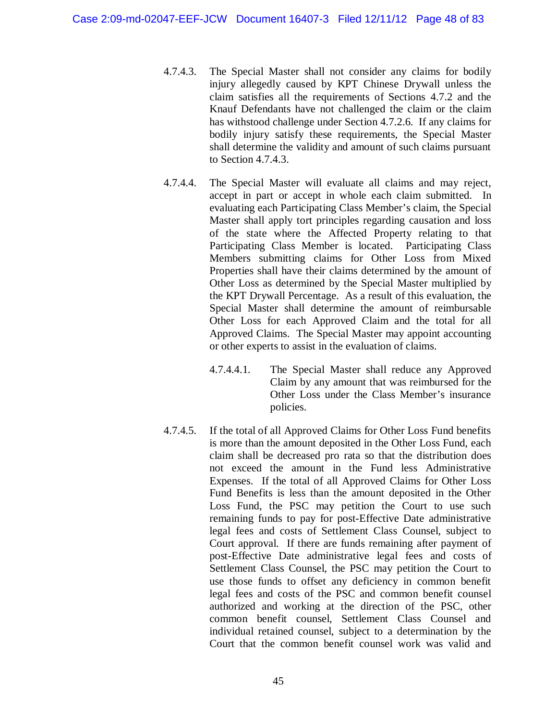- 4.7.4.3. The Special Master shall not consider any claims for bodily injury allegedly caused by KPT Chinese Drywall unless the claim satisfies all the requirements of Sections 4.7.2 and the Knauf Defendants have not challenged the claim or the claim has withstood challenge under Section 4.7.2.6. If any claims for bodily injury satisfy these requirements, the Special Master shall determine the validity and amount of such claims pursuant to Section 4.7.4.3.
- 4.7.4.4. The Special Master will evaluate all claims and may reject, accept in part or accept in whole each claim submitted. In evaluating each Participating Class Member's claim, the Special Master shall apply tort principles regarding causation and loss of the state where the Affected Property relating to that Participating Class Member is located. Participating Class Members submitting claims for Other Loss from Mixed Properties shall have their claims determined by the amount of Other Loss as determined by the Special Master multiplied by the KPT Drywall Percentage. As a result of this evaluation, the Special Master shall determine the amount of reimbursable Other Loss for each Approved Claim and the total for all Approved Claims. The Special Master may appoint accounting or other experts to assist in the evaluation of claims.
	- 4.7.4.4.1. The Special Master shall reduce any Approved Claim by any amount that was reimbursed for the Other Loss under the Class Member's insurance policies.
- 4.7.4.5. If the total of all Approved Claims for Other Loss Fund benefits is more than the amount deposited in the Other Loss Fund, each claim shall be decreased pro rata so that the distribution does not exceed the amount in the Fund less Administrative Expenses. If the total of all Approved Claims for Other Loss Fund Benefits is less than the amount deposited in the Other Loss Fund, the PSC may petition the Court to use such remaining funds to pay for post-Effective Date administrative legal fees and costs of Settlement Class Counsel, subject to Court approval. If there are funds remaining after payment of post-Effective Date administrative legal fees and costs of Settlement Class Counsel, the PSC may petition the Court to use those funds to offset any deficiency in common benefit legal fees and costs of the PSC and common benefit counsel authorized and working at the direction of the PSC, other common benefit counsel, Settlement Class Counsel and individual retained counsel, subject to a determination by the Court that the common benefit counsel work was valid and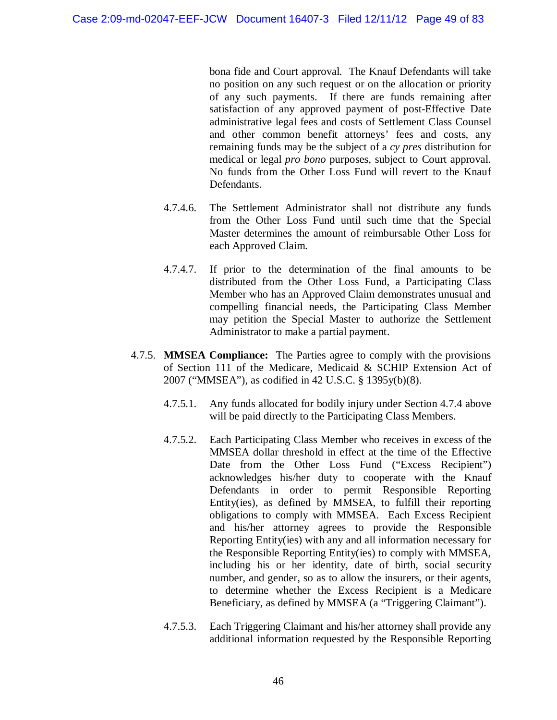bona fide and Court approval. The Knauf Defendants will take no position on any such request or on the allocation or priority of any such payments. If there are funds remaining after satisfaction of any approved payment of post-Effective Date administrative legal fees and costs of Settlement Class Counsel and other common benefit attorneys' fees and costs, any remaining funds may be the subject of a *cy pres* distribution for medical or legal *pro bono* purposes, subject to Court approval. No funds from the Other Loss Fund will revert to the Knauf Defendants.

- 4.7.4.6. The Settlement Administrator shall not distribute any funds from the Other Loss Fund until such time that the Special Master determines the amount of reimbursable Other Loss for each Approved Claim.
- 4.7.4.7. If prior to the determination of the final amounts to be distributed from the Other Loss Fund, a Participating Class Member who has an Approved Claim demonstrates unusual and compelling financial needs, the Participating Class Member may petition the Special Master to authorize the Settlement Administrator to make a partial payment.
- 4.7.5. **MMSEA Compliance:** The Parties agree to comply with the provisions of Section 111 of the Medicare, Medicaid & SCHIP Extension Act of 2007 ("MMSEA"), as codified in 42 U.S.C. § 1395y(b)(8).
	- 4.7.5.1. Any funds allocated for bodily injury under Section 4.7.4 above will be paid directly to the Participating Class Members.
	- 4.7.5.2. Each Participating Class Member who receives in excess of the MMSEA dollar threshold in effect at the time of the Effective Date from the Other Loss Fund ("Excess Recipient") acknowledges his/her duty to cooperate with the Knauf Defendants in order to permit Responsible Reporting Entity(ies), as defined by MMSEA, to fulfill their reporting obligations to comply with MMSEA. Each Excess Recipient and his/her attorney agrees to provide the Responsible Reporting Entity(ies) with any and all information necessary for the Responsible Reporting Entity(ies) to comply with MMSEA, including his or her identity, date of birth, social security number, and gender, so as to allow the insurers, or their agents, to determine whether the Excess Recipient is a Medicare Beneficiary, as defined by MMSEA (a "Triggering Claimant").
	- 4.7.5.3. Each Triggering Claimant and his/her attorney shall provide any additional information requested by the Responsible Reporting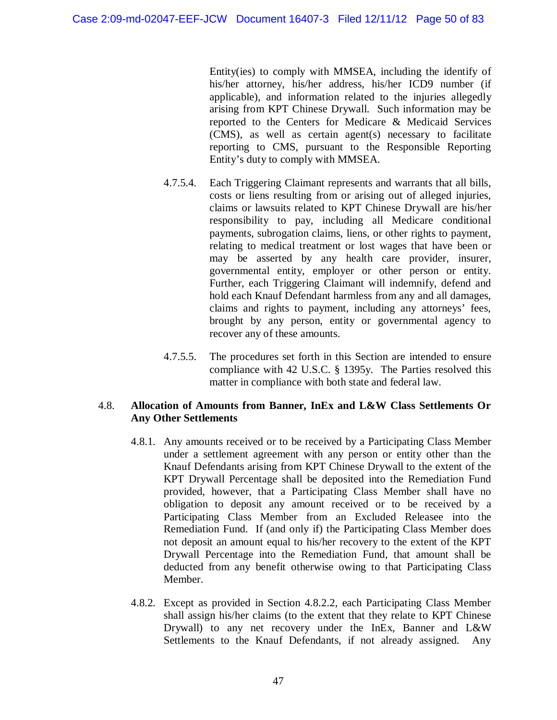Entity(ies) to comply with MMSEA, including the identify of his/her attorney, his/her address, his/her ICD9 number (if applicable), and information related to the injuries allegedly arising from KPT Chinese Drywall. Such information may be reported to the Centers for Medicare & Medicaid Services (CMS), as well as certain agent(s) necessary to facilitate reporting to CMS, pursuant to the Responsible Reporting Entity's duty to comply with MMSEA.

- 4.7.5.4. Each Triggering Claimant represents and warrants that all bills, costs or liens resulting from or arising out of alleged injuries, claims or lawsuits related to KPT Chinese Drywall are his/her responsibility to pay, including all Medicare conditional payments, subrogation claims, liens, or other rights to payment, relating to medical treatment or lost wages that have been or may be asserted by any health care provider, insurer, governmental entity, employer or other person or entity. Further, each Triggering Claimant will indemnify, defend and hold each Knauf Defendant harmless from any and all damages, claims and rights to payment, including any attorneys' fees, brought by any person, entity or governmental agency to recover any of these amounts.
- 4.7.5.5. The procedures set forth in this Section are intended to ensure compliance with 42 U.S.C. § 1395y. The Parties resolved this matter in compliance with both state and federal law.

### 4.8. **Allocation of Amounts from Banner, InEx and L&W Class Settlements Or Any Other Settlements**

- 4.8.1. Any amounts received or to be received by a Participating Class Member under a settlement agreement with any person or entity other than the Knauf Defendants arising from KPT Chinese Drywall to the extent of the KPT Drywall Percentage shall be deposited into the Remediation Fund provided, however, that a Participating Class Member shall have no obligation to deposit any amount received or to be received by a Participating Class Member from an Excluded Releasee into the Remediation Fund. If (and only if) the Participating Class Member does not deposit an amount equal to his/her recovery to the extent of the KPT Drywall Percentage into the Remediation Fund, that amount shall be deducted from any benefit otherwise owing to that Participating Class Member.
- 4.8.2. Except as provided in Section 4.8.2.2, each Participating Class Member shall assign his/her claims (to the extent that they relate to KPT Chinese Drywall) to any net recovery under the InEx, Banner and L&W Settlements to the Knauf Defendants, if not already assigned. Any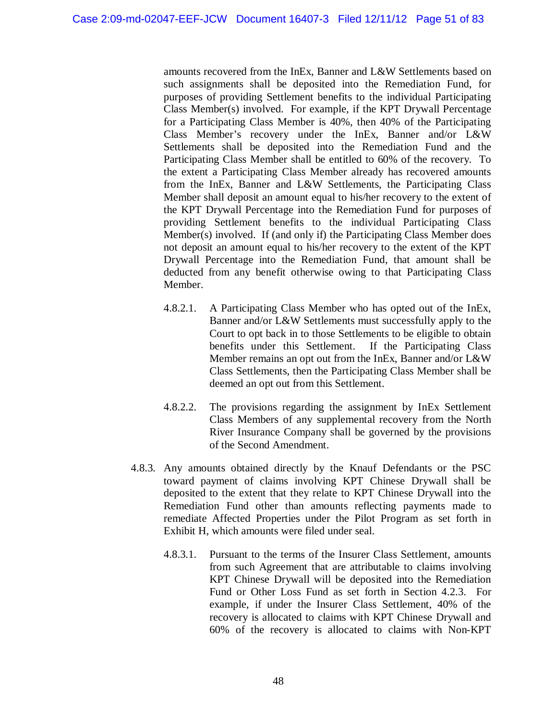amounts recovered from the InEx, Banner and L&W Settlements based on such assignments shall be deposited into the Remediation Fund, for purposes of providing Settlement benefits to the individual Participating Class Member(s) involved. For example, if the KPT Drywall Percentage for a Participating Class Member is 40%, then 40% of the Participating Class Member's recovery under the InEx, Banner and/or L&W Settlements shall be deposited into the Remediation Fund and the Participating Class Member shall be entitled to 60% of the recovery. To the extent a Participating Class Member already has recovered amounts from the InEx, Banner and L&W Settlements, the Participating Class Member shall deposit an amount equal to his/her recovery to the extent of the KPT Drywall Percentage into the Remediation Fund for purposes of providing Settlement benefits to the individual Participating Class Member(s) involved. If (and only if) the Participating Class Member does not deposit an amount equal to his/her recovery to the extent of the KPT Drywall Percentage into the Remediation Fund, that amount shall be deducted from any benefit otherwise owing to that Participating Class Member.

- 4.8.2.1. A Participating Class Member who has opted out of the InEx, Banner and/or L&W Settlements must successfully apply to the Court to opt back in to those Settlements to be eligible to obtain benefits under this Settlement. If the Participating Class Member remains an opt out from the InEx, Banner and/or L&W Class Settlements, then the Participating Class Member shall be deemed an opt out from this Settlement.
- 4.8.2.2. The provisions regarding the assignment by InEx Settlement Class Members of any supplemental recovery from the North River Insurance Company shall be governed by the provisions of the Second Amendment.
- 4.8.3. Any amounts obtained directly by the Knauf Defendants or the PSC toward payment of claims involving KPT Chinese Drywall shall be deposited to the extent that they relate to KPT Chinese Drywall into the Remediation Fund other than amounts reflecting payments made to remediate Affected Properties under the Pilot Program as set forth in Exhibit H, which amounts were filed under seal.
	- 4.8.3.1. Pursuant to the terms of the Insurer Class Settlement, amounts from such Agreement that are attributable to claims involving KPT Chinese Drywall will be deposited into the Remediation Fund or Other Loss Fund as set forth in Section 4.2.3. For example, if under the Insurer Class Settlement, 40% of the recovery is allocated to claims with KPT Chinese Drywall and 60% of the recovery is allocated to claims with Non-KPT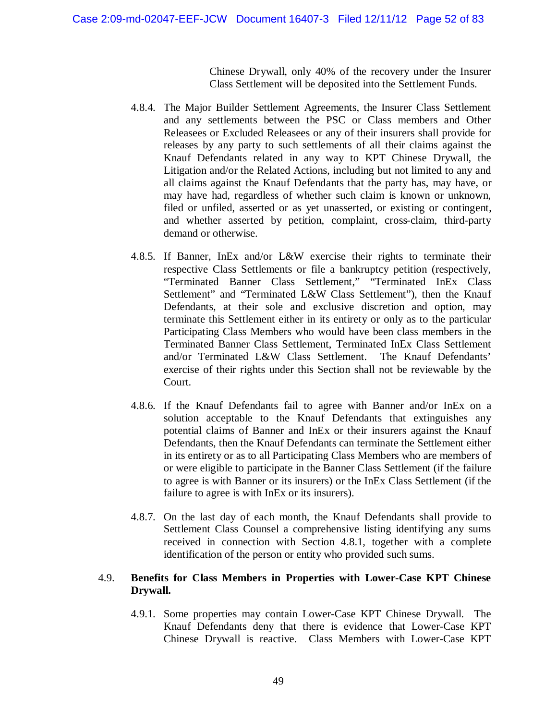Chinese Drywall, only 40% of the recovery under the Insurer Class Settlement will be deposited into the Settlement Funds.

- 4.8.4. The Major Builder Settlement Agreements, the Insurer Class Settlement and any settlements between the PSC or Class members and Other Releasees or Excluded Releasees or any of their insurers shall provide for releases by any party to such settlements of all their claims against the Knauf Defendants related in any way to KPT Chinese Drywall, the Litigation and/or the Related Actions, including but not limited to any and all claims against the Knauf Defendants that the party has, may have, or may have had, regardless of whether such claim is known or unknown, filed or unfiled, asserted or as yet unasserted, or existing or contingent, and whether asserted by petition, complaint, cross-claim, third-party demand or otherwise.
- 4.8.5. If Banner, InEx and/or L&W exercise their rights to terminate their respective Class Settlements or file a bankruptcy petition (respectively, "Terminated Banner Class Settlement," "Terminated InEx Class Settlement" and "Terminated L&W Class Settlement"), then the Knauf Defendants, at their sole and exclusive discretion and option, may terminate this Settlement either in its entirety or only as to the particular Participating Class Members who would have been class members in the Terminated Banner Class Settlement, Terminated InEx Class Settlement and/or Terminated L&W Class Settlement. The Knauf Defendants' exercise of their rights under this Section shall not be reviewable by the Court.
- 4.8.6. If the Knauf Defendants fail to agree with Banner and/or InEx on a solution acceptable to the Knauf Defendants that extinguishes any potential claims of Banner and InEx or their insurers against the Knauf Defendants, then the Knauf Defendants can terminate the Settlement either in its entirety or as to all Participating Class Members who are members of or were eligible to participate in the Banner Class Settlement (if the failure to agree is with Banner or its insurers) or the InEx Class Settlement (if the failure to agree is with InEx or its insurers).
- 4.8.7. On the last day of each month, the Knauf Defendants shall provide to Settlement Class Counsel a comprehensive listing identifying any sums received in connection with Section 4.8.1, together with a complete identification of the person or entity who provided such sums.

#### 4.9. **Benefits for Class Members in Properties with Lower-Case KPT Chinese Drywall.**

4.9.1. Some properties may contain Lower-Case KPT Chinese Drywall. The Knauf Defendants deny that there is evidence that Lower-Case KPT Chinese Drywall is reactive. Class Members with Lower-Case KPT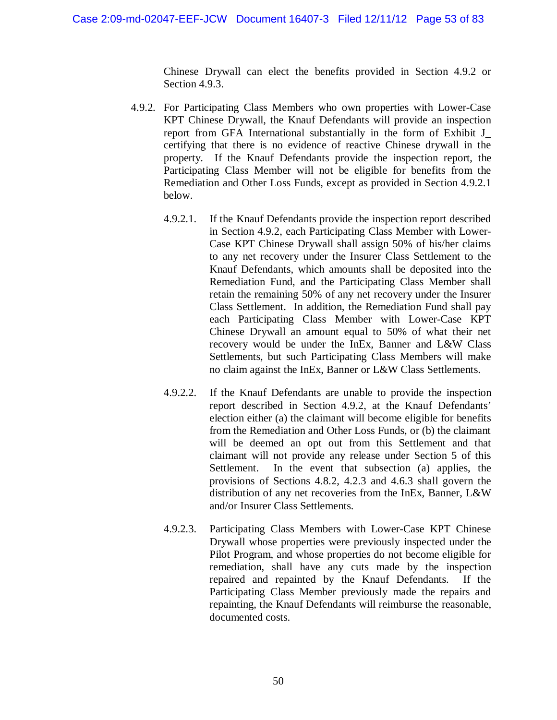Chinese Drywall can elect the benefits provided in Section 4.9.2 or Section 4.9.3.

- 4.9.2. For Participating Class Members who own properties with Lower-Case KPT Chinese Drywall, the Knauf Defendants will provide an inspection report from GFA International substantially in the form of Exhibit J\_ certifying that there is no evidence of reactive Chinese drywall in the property. If the Knauf Defendants provide the inspection report, the Participating Class Member will not be eligible for benefits from the Remediation and Other Loss Funds, except as provided in Section 4.9.2.1 below.
	- 4.9.2.1. If the Knauf Defendants provide the inspection report described in Section 4.9.2, each Participating Class Member with Lower-Case KPT Chinese Drywall shall assign 50% of his/her claims to any net recovery under the Insurer Class Settlement to the Knauf Defendants, which amounts shall be deposited into the Remediation Fund, and the Participating Class Member shall retain the remaining 50% of any net recovery under the Insurer Class Settlement. In addition, the Remediation Fund shall pay each Participating Class Member with Lower-Case KPT Chinese Drywall an amount equal to 50% of what their net recovery would be under the InEx, Banner and L&W Class Settlements, but such Participating Class Members will make no claim against the InEx, Banner or L&W Class Settlements.
	- 4.9.2.2. If the Knauf Defendants are unable to provide the inspection report described in Section 4.9.2, at the Knauf Defendants' election either (a) the claimant will become eligible for benefits from the Remediation and Other Loss Funds, or (b) the claimant will be deemed an opt out from this Settlement and that claimant will not provide any release under Section 5 of this Settlement. In the event that subsection (a) applies, the provisions of Sections 4.8.2, 4.2.3 and 4.6.3 shall govern the distribution of any net recoveries from the InEx, Banner, L&W and/or Insurer Class Settlements.
	- 4.9.2.3. Participating Class Members with Lower-Case KPT Chinese Drywall whose properties were previously inspected under the Pilot Program, and whose properties do not become eligible for remediation, shall have any cuts made by the inspection repaired and repainted by the Knauf Defendants. If the Participating Class Member previously made the repairs and repainting, the Knauf Defendants will reimburse the reasonable, documented costs.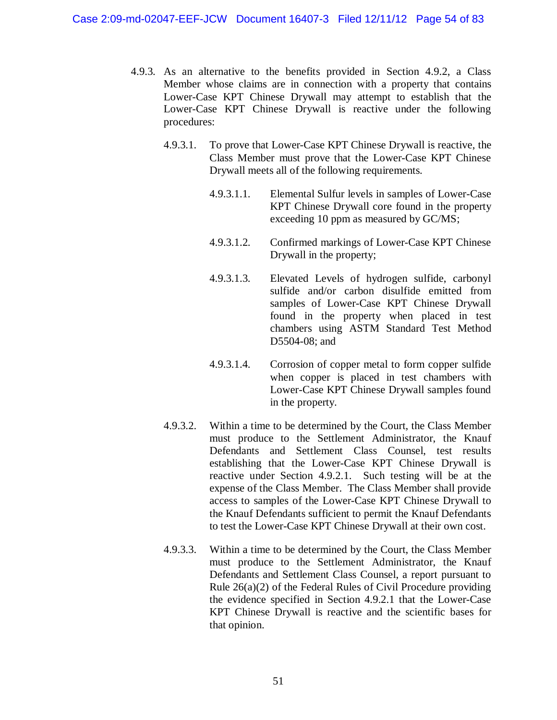- 4.9.3. As an alternative to the benefits provided in Section 4.9.2, a Class Member whose claims are in connection with a property that contains Lower-Case KPT Chinese Drywall may attempt to establish that the Lower-Case KPT Chinese Drywall is reactive under the following procedures:
	- 4.9.3.1. To prove that Lower-Case KPT Chinese Drywall is reactive, the Class Member must prove that the Lower-Case KPT Chinese Drywall meets all of the following requirements.
		- 4.9.3.1.1. Elemental Sulfur levels in samples of Lower-Case KPT Chinese Drywall core found in the property exceeding 10 ppm as measured by GC/MS;
		- 4.9.3.1.2. Confirmed markings of Lower-Case KPT Chinese Drywall in the property;
		- 4.9.3.1.3. Elevated Levels of hydrogen sulfide, carbonyl sulfide and/or carbon disulfide emitted from samples of Lower-Case KPT Chinese Drywall found in the property when placed in test chambers using ASTM Standard Test Method D5504-08; and
		- 4.9.3.1.4. Corrosion of copper metal to form copper sulfide when copper is placed in test chambers with Lower-Case KPT Chinese Drywall samples found in the property.
	- 4.9.3.2. Within a time to be determined by the Court, the Class Member must produce to the Settlement Administrator, the Knauf Defendants and Settlement Class Counsel, test results establishing that the Lower-Case KPT Chinese Drywall is reactive under Section 4.9.2.1. Such testing will be at the expense of the Class Member. The Class Member shall provide access to samples of the Lower-Case KPT Chinese Drywall to the Knauf Defendants sufficient to permit the Knauf Defendants to test the Lower-Case KPT Chinese Drywall at their own cost.
	- 4.9.3.3. Within a time to be determined by the Court, the Class Member must produce to the Settlement Administrator, the Knauf Defendants and Settlement Class Counsel, a report pursuant to Rule 26(a)(2) of the Federal Rules of Civil Procedure providing the evidence specified in Section 4.9.2.1 that the Lower-Case KPT Chinese Drywall is reactive and the scientific bases for that opinion.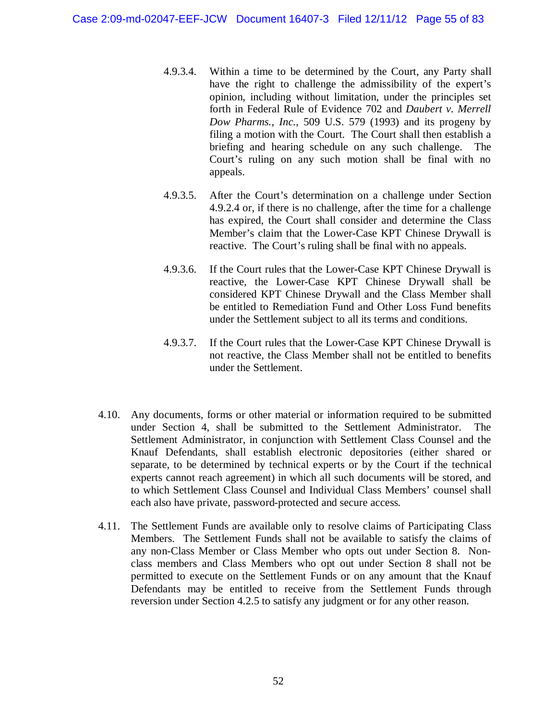- 4.9.3.4. Within a time to be determined by the Court, any Party shall have the right to challenge the admissibility of the expert's opinion, including without limitation, under the principles set forth in Federal Rule of Evidence 702 and *Daubert v. Merrell Dow Pharms., Inc.*, 509 U.S. 579 (1993) and its progeny by filing a motion with the Court. The Court shall then establish a briefing and hearing schedule on any such challenge. The Court's ruling on any such motion shall be final with no appeals.
- 4.9.3.5. After the Court's determination on a challenge under Section 4.9.2.4 or, if there is no challenge, after the time for a challenge has expired, the Court shall consider and determine the Class Member's claim that the Lower-Case KPT Chinese Drywall is reactive. The Court's ruling shall be final with no appeals.
- 4.9.3.6. If the Court rules that the Lower-Case KPT Chinese Drywall is reactive, the Lower-Case KPT Chinese Drywall shall be considered KPT Chinese Drywall and the Class Member shall be entitled to Remediation Fund and Other Loss Fund benefits under the Settlement subject to all its terms and conditions.
- 4.9.3.7. If the Court rules that the Lower-Case KPT Chinese Drywall is not reactive, the Class Member shall not be entitled to benefits under the Settlement.
- 4.10. Any documents, forms or other material or information required to be submitted under Section 4, shall be submitted to the Settlement Administrator. The Settlement Administrator, in conjunction with Settlement Class Counsel and the Knauf Defendants, shall establish electronic depositories (either shared or separate, to be determined by technical experts or by the Court if the technical experts cannot reach agreement) in which all such documents will be stored, and to which Settlement Class Counsel and Individual Class Members' counsel shall each also have private, password-protected and secure access.
- 4.11. The Settlement Funds are available only to resolve claims of Participating Class Members. The Settlement Funds shall not be available to satisfy the claims of any non-Class Member or Class Member who opts out under Section 8. Nonclass members and Class Members who opt out under Section 8 shall not be permitted to execute on the Settlement Funds or on any amount that the Knauf Defendants may be entitled to receive from the Settlement Funds through reversion under Section 4.2.5 to satisfy any judgment or for any other reason.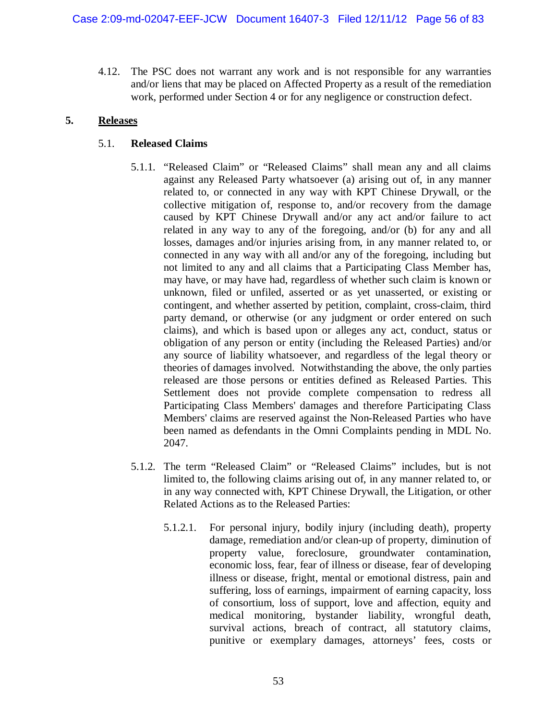4.12. The PSC does not warrant any work and is not responsible for any warranties and/or liens that may be placed on Affected Property as a result of the remediation work, performed under Section 4 or for any negligence or construction defect.

### **5. Releases**

# 5.1. **Released Claims**

- 5.1.1. "Released Claim" or "Released Claims" shall mean any and all claims against any Released Party whatsoever (a) arising out of, in any manner related to, or connected in any way with KPT Chinese Drywall, or the collective mitigation of, response to, and/or recovery from the damage caused by KPT Chinese Drywall and/or any act and/or failure to act related in any way to any of the foregoing, and/or (b) for any and all losses, damages and/or injuries arising from, in any manner related to, or connected in any way with all and/or any of the foregoing, including but not limited to any and all claims that a Participating Class Member has, may have, or may have had, regardless of whether such claim is known or unknown, filed or unfiled, asserted or as yet unasserted, or existing or contingent, and whether asserted by petition, complaint, cross-claim, third party demand, or otherwise (or any judgment or order entered on such claims), and which is based upon or alleges any act, conduct, status or obligation of any person or entity (including the Released Parties) and/or any source of liability whatsoever, and regardless of the legal theory or theories of damages involved. Notwithstanding the above, the only parties released are those persons or entities defined as Released Parties. This Settlement does not provide complete compensation to redress all Participating Class Members' damages and therefore Participating Class Members' claims are reserved against the Non-Released Parties who have been named as defendants in the Omni Complaints pending in MDL No. 2047.
- 5.1.2. The term "Released Claim" or "Released Claims" includes, but is not limited to, the following claims arising out of, in any manner related to, or in any way connected with, KPT Chinese Drywall, the Litigation, or other Related Actions as to the Released Parties:
	- 5.1.2.1. For personal injury, bodily injury (including death), property damage, remediation and/or clean-up of property, diminution of property value, foreclosure, groundwater contamination, economic loss, fear, fear of illness or disease, fear of developing illness or disease, fright, mental or emotional distress, pain and suffering, loss of earnings, impairment of earning capacity, loss of consortium, loss of support, love and affection, equity and medical monitoring, bystander liability, wrongful death, survival actions, breach of contract, all statutory claims, punitive or exemplary damages, attorneys' fees, costs or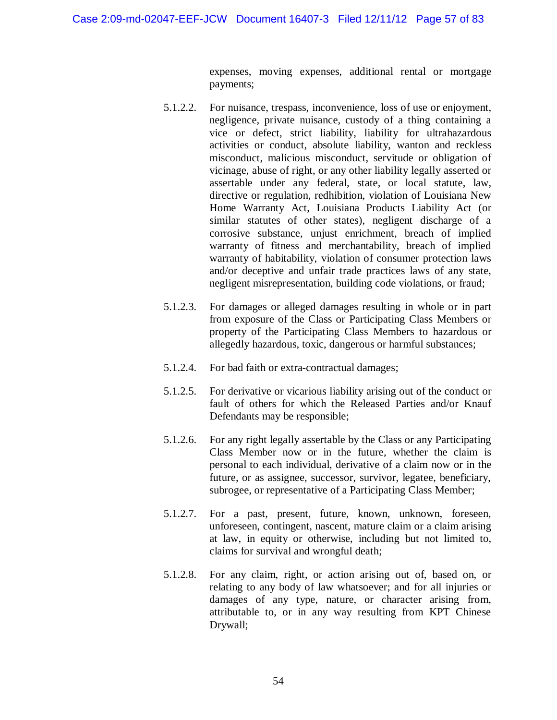expenses, moving expenses, additional rental or mortgage payments;

- 5.1.2.2. For nuisance, trespass, inconvenience, loss of use or enjoyment, negligence, private nuisance, custody of a thing containing a vice or defect, strict liability, liability for ultrahazardous activities or conduct, absolute liability, wanton and reckless misconduct, malicious misconduct, servitude or obligation of vicinage, abuse of right, or any other liability legally asserted or assertable under any federal, state, or local statute, law, directive or regulation, redhibition, violation of Louisiana New Home Warranty Act, Louisiana Products Liability Act (or similar statutes of other states), negligent discharge of a corrosive substance, unjust enrichment, breach of implied warranty of fitness and merchantability, breach of implied warranty of habitability, violation of consumer protection laws and/or deceptive and unfair trade practices laws of any state, negligent misrepresentation, building code violations, or fraud;
- 5.1.2.3. For damages or alleged damages resulting in whole or in part from exposure of the Class or Participating Class Members or property of the Participating Class Members to hazardous or allegedly hazardous, toxic, dangerous or harmful substances;
- 5.1.2.4. For bad faith or extra-contractual damages;
- 5.1.2.5. For derivative or vicarious liability arising out of the conduct or fault of others for which the Released Parties and/or Knauf Defendants may be responsible;
- 5.1.2.6. For any right legally assertable by the Class or any Participating Class Member now or in the future, whether the claim is personal to each individual, derivative of a claim now or in the future, or as assignee, successor, survivor, legatee, beneficiary, subrogee, or representative of a Participating Class Member;
- 5.1.2.7. For a past, present, future, known, unknown, foreseen, unforeseen, contingent, nascent, mature claim or a claim arising at law, in equity or otherwise, including but not limited to, claims for survival and wrongful death;
- 5.1.2.8. For any claim, right, or action arising out of, based on, or relating to any body of law whatsoever; and for all injuries or damages of any type, nature, or character arising from, attributable to, or in any way resulting from KPT Chinese Drywall;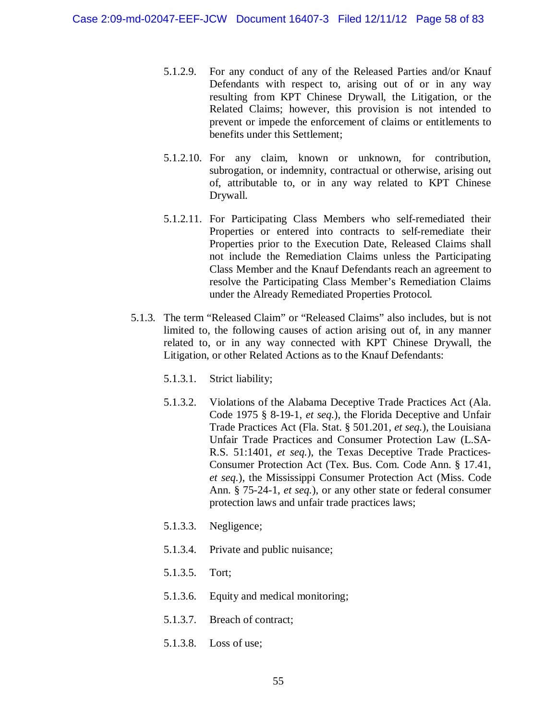- 5.1.2.9. For any conduct of any of the Released Parties and/or Knauf Defendants with respect to, arising out of or in any way resulting from KPT Chinese Drywall, the Litigation, or the Related Claims; however, this provision is not intended to prevent or impede the enforcement of claims or entitlements to benefits under this Settlement;
- 5.1.2.10. For any claim, known or unknown, for contribution, subrogation, or indemnity, contractual or otherwise, arising out of, attributable to, or in any way related to KPT Chinese Drywall.
- 5.1.2.11. For Participating Class Members who self-remediated their Properties or entered into contracts to self-remediate their Properties prior to the Execution Date, Released Claims shall not include the Remediation Claims unless the Participating Class Member and the Knauf Defendants reach an agreement to resolve the Participating Class Member's Remediation Claims under the Already Remediated Properties Protocol.
- 5.1.3. The term "Released Claim" or "Released Claims" also includes, but is not limited to, the following causes of action arising out of, in any manner related to, or in any way connected with KPT Chinese Drywall, the Litigation, or other Related Actions as to the Knauf Defendants:
	- 5.1.3.1. Strict liability;
	- 5.1.3.2. Violations of the Alabama Deceptive Trade Practices Act (Ala. Code 1975 § 8-19-1, *et seq.*), the Florida Deceptive and Unfair Trade Practices Act (Fla. Stat. § 501.201, *et seq.*), the Louisiana Unfair Trade Practices and Consumer Protection Law (L.SA-R.S. 51:1401, *et seq.*), the Texas Deceptive Trade Practices-Consumer Protection Act (Tex. Bus. Com. Code Ann. § 17.41, *et seq.*), the Mississippi Consumer Protection Act (Miss. Code Ann. § 75-24-1, *et seq.*), or any other state or federal consumer protection laws and unfair trade practices laws;
	- 5.1.3.3. Negligence;
	- 5.1.3.4. Private and public nuisance;
	- 5.1.3.5. Tort;
	- 5.1.3.6. Equity and medical monitoring;
	- 5.1.3.7. Breach of contract;
	- 5.1.3.8. Loss of use;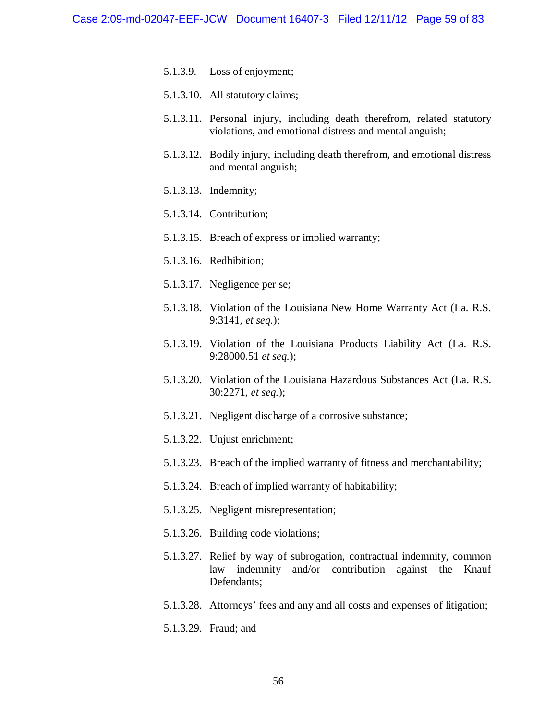- 5.1.3.9. Loss of enjoyment;
- 5.1.3.10. All statutory claims;
- 5.1.3.11. Personal injury, including death therefrom, related statutory violations, and emotional distress and mental anguish;
- 5.1.3.12. Bodily injury, including death therefrom, and emotional distress and mental anguish;
- 5.1.3.13. Indemnity;
- 5.1.3.14. Contribution;
- 5.1.3.15. Breach of express or implied warranty;
- 5.1.3.16. Redhibition;
- 5.1.3.17. Negligence per se;
- 5.1.3.18. Violation of the Louisiana New Home Warranty Act (La. R.S. 9:3141, *et seq.*);
- 5.1.3.19. Violation of the Louisiana Products Liability Act (La. R.S. 9:28000.51 *et seq.*);
- 5.1.3.20. Violation of the Louisiana Hazardous Substances Act (La. R.S. 30:2271, *et seq.*);
- 5.1.3.21. Negligent discharge of a corrosive substance;
- 5.1.3.22. Unjust enrichment;
- 5.1.3.23. Breach of the implied warranty of fitness and merchantability;
- 5.1.3.24. Breach of implied warranty of habitability;
- 5.1.3.25. Negligent misrepresentation;
- 5.1.3.26. Building code violations;
- 5.1.3.27. Relief by way of subrogation, contractual indemnity, common law indemnity and/or contribution against the Knauf Defendants;
- 5.1.3.28. Attorneys' fees and any and all costs and expenses of litigation;
- 5.1.3.29. Fraud; and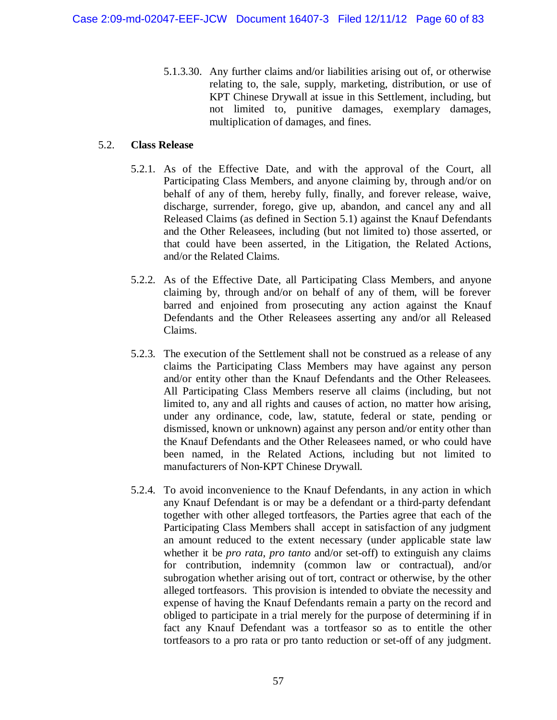5.1.3.30. Any further claims and/or liabilities arising out of, or otherwise relating to, the sale, supply, marketing, distribution, or use of KPT Chinese Drywall at issue in this Settlement, including, but not limited to, punitive damages, exemplary damages, multiplication of damages, and fines.

#### 5.2. **Class Release**

- 5.2.1. As of the Effective Date, and with the approval of the Court, all Participating Class Members, and anyone claiming by, through and/or on behalf of any of them, hereby fully, finally, and forever release, waive, discharge, surrender, forego, give up, abandon, and cancel any and all Released Claims (as defined in Section 5.1) against the Knauf Defendants and the Other Releasees, including (but not limited to) those asserted, or that could have been asserted, in the Litigation, the Related Actions, and/or the Related Claims.
- 5.2.2. As of the Effective Date, all Participating Class Members, and anyone claiming by, through and/or on behalf of any of them, will be forever barred and enjoined from prosecuting any action against the Knauf Defendants and the Other Releasees asserting any and/or all Released Claims.
- 5.2.3. The execution of the Settlement shall not be construed as a release of any claims the Participating Class Members may have against any person and/or entity other than the Knauf Defendants and the Other Releasees. All Participating Class Members reserve all claims (including, but not limited to, any and all rights and causes of action, no matter how arising, under any ordinance, code, law, statute, federal or state, pending or dismissed, known or unknown) against any person and/or entity other than the Knauf Defendants and the Other Releasees named, or who could have been named, in the Related Actions, including but not limited to manufacturers of Non-KPT Chinese Drywall.
- 5.2.4. To avoid inconvenience to the Knauf Defendants, in any action in which any Knauf Defendant is or may be a defendant or a third-party defendant together with other alleged tortfeasors, the Parties agree that each of the Participating Class Members shall accept in satisfaction of any judgment an amount reduced to the extent necessary (under applicable state law whether it be *pro rata*, *pro tanto* and/or set-off) to extinguish any claims for contribution, indemnity (common law or contractual), and/or subrogation whether arising out of tort, contract or otherwise, by the other alleged tortfeasors. This provision is intended to obviate the necessity and expense of having the Knauf Defendants remain a party on the record and obliged to participate in a trial merely for the purpose of determining if in fact any Knauf Defendant was a tortfeasor so as to entitle the other tortfeasors to a pro rata or pro tanto reduction or set-off of any judgment.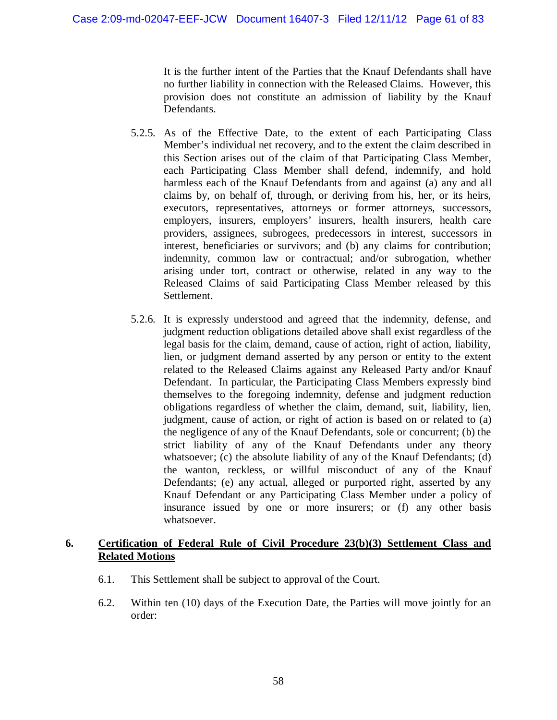It is the further intent of the Parties that the Knauf Defendants shall have no further liability in connection with the Released Claims. However, this provision does not constitute an admission of liability by the Knauf Defendants.

- 5.2.5. As of the Effective Date, to the extent of each Participating Class Member's individual net recovery, and to the extent the claim described in this Section arises out of the claim of that Participating Class Member, each Participating Class Member shall defend, indemnify, and hold harmless each of the Knauf Defendants from and against (a) any and all claims by, on behalf of, through, or deriving from his, her, or its heirs, executors, representatives, attorneys or former attorneys, successors, employers, insurers, employers' insurers, health insurers, health care providers, assignees, subrogees, predecessors in interest, successors in interest, beneficiaries or survivors; and (b) any claims for contribution; indemnity, common law or contractual; and/or subrogation, whether arising under tort, contract or otherwise, related in any way to the Released Claims of said Participating Class Member released by this Settlement.
- 5.2.6. It is expressly understood and agreed that the indemnity, defense, and judgment reduction obligations detailed above shall exist regardless of the legal basis for the claim, demand, cause of action, right of action, liability, lien, or judgment demand asserted by any person or entity to the extent related to the Released Claims against any Released Party and/or Knauf Defendant. In particular, the Participating Class Members expressly bind themselves to the foregoing indemnity, defense and judgment reduction obligations regardless of whether the claim, demand, suit, liability, lien, judgment, cause of action, or right of action is based on or related to (a) the negligence of any of the Knauf Defendants, sole or concurrent; (b) the strict liability of any of the Knauf Defendants under any theory whatsoever; (c) the absolute liability of any of the Knauf Defendants; (d) the wanton, reckless, or willful misconduct of any of the Knauf Defendants; (e) any actual, alleged or purported right, asserted by any Knauf Defendant or any Participating Class Member under a policy of insurance issued by one or more insurers; or (f) any other basis whatsoever.

### **6. Certification of Federal Rule of Civil Procedure 23(b)(3) Settlement Class and Related Motions**

- 6.1. This Settlement shall be subject to approval of the Court.
- 6.2. Within ten (10) days of the Execution Date, the Parties will move jointly for an order: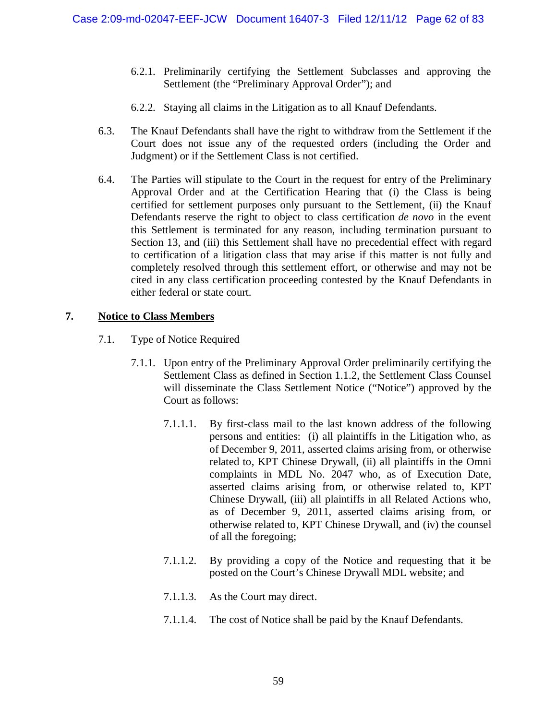- 6.2.1. Preliminarily certifying the Settlement Subclasses and approving the Settlement (the "Preliminary Approval Order"); and
- 6.2.2. Staying all claims in the Litigation as to all Knauf Defendants.
- 6.3. The Knauf Defendants shall have the right to withdraw from the Settlement if the Court does not issue any of the requested orders (including the Order and Judgment) or if the Settlement Class is not certified.
- 6.4. The Parties will stipulate to the Court in the request for entry of the Preliminary Approval Order and at the Certification Hearing that (i) the Class is being certified for settlement purposes only pursuant to the Settlement, (ii) the Knauf Defendants reserve the right to object to class certification *de novo* in the event this Settlement is terminated for any reason, including termination pursuant to Section 13, and (iii) this Settlement shall have no precedential effect with regard to certification of a litigation class that may arise if this matter is not fully and completely resolved through this settlement effort, or otherwise and may not be cited in any class certification proceeding contested by the Knauf Defendants in either federal or state court.

# **7. Notice to Class Members**

- 7.1. Type of Notice Required
	- 7.1.1. Upon entry of the Preliminary Approval Order preliminarily certifying the Settlement Class as defined in Section 1.1.2, the Settlement Class Counsel will disseminate the Class Settlement Notice ("Notice") approved by the Court as follows:
		- 7.1.1.1. By first-class mail to the last known address of the following persons and entities: (i) all plaintiffs in the Litigation who, as of December 9, 2011, asserted claims arising from, or otherwise related to, KPT Chinese Drywall, (ii) all plaintiffs in the Omni complaints in MDL No. 2047 who, as of Execution Date, asserted claims arising from, or otherwise related to, KPT Chinese Drywall, (iii) all plaintiffs in all Related Actions who, as of December 9, 2011, asserted claims arising from, or otherwise related to, KPT Chinese Drywall, and (iv) the counsel of all the foregoing;
		- 7.1.1.2. By providing a copy of the Notice and requesting that it be posted on the Court's Chinese Drywall MDL website; and
		- 7.1.1.3. As the Court may direct.
		- 7.1.1.4. The cost of Notice shall be paid by the Knauf Defendants.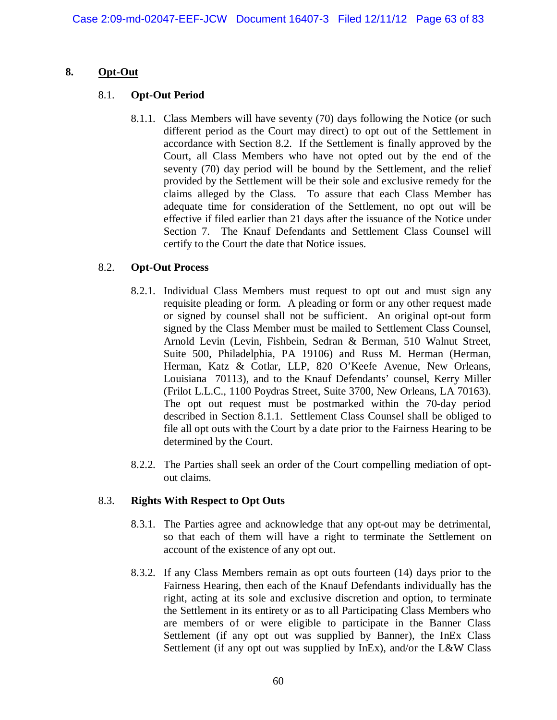### **8. Opt-Out**

### 8.1. **Opt-Out Period**

8.1.1. Class Members will have seventy (70) days following the Notice (or such different period as the Court may direct) to opt out of the Settlement in accordance with Section 8.2. If the Settlement is finally approved by the Court, all Class Members who have not opted out by the end of the seventy (70) day period will be bound by the Settlement, and the relief provided by the Settlement will be their sole and exclusive remedy for the claims alleged by the Class. To assure that each Class Member has adequate time for consideration of the Settlement, no opt out will be effective if filed earlier than 21 days after the issuance of the Notice under Section 7. The Knauf Defendants and Settlement Class Counsel will certify to the Court the date that Notice issues.

# 8.2. **Opt-Out Process**

- 8.2.1. Individual Class Members must request to opt out and must sign any requisite pleading or form. A pleading or form or any other request made or signed by counsel shall not be sufficient. An original opt-out form signed by the Class Member must be mailed to Settlement Class Counsel, Arnold Levin (Levin, Fishbein, Sedran & Berman, 510 Walnut Street, Suite 500, Philadelphia, PA 19106) and Russ M. Herman (Herman, Herman, Katz & Cotlar, LLP, 820 O'Keefe Avenue, New Orleans, Louisiana 70113), and to the Knauf Defendants' counsel, Kerry Miller (Frilot L.L.C., 1100 Poydras Street, Suite 3700, New Orleans, LA 70163). The opt out request must be postmarked within the 70-day period described in Section 8.1.1. Settlement Class Counsel shall be obliged to file all opt outs with the Court by a date prior to the Fairness Hearing to be determined by the Court.
- 8.2.2. The Parties shall seek an order of the Court compelling mediation of optout claims.

### 8.3. **Rights With Respect to Opt Outs**

- 8.3.1. The Parties agree and acknowledge that any opt-out may be detrimental, so that each of them will have a right to terminate the Settlement on account of the existence of any opt out.
- 8.3.2. If any Class Members remain as opt outs fourteen (14) days prior to the Fairness Hearing, then each of the Knauf Defendants individually has the right, acting at its sole and exclusive discretion and option, to terminate the Settlement in its entirety or as to all Participating Class Members who are members of or were eligible to participate in the Banner Class Settlement (if any opt out was supplied by Banner), the InEx Class Settlement (if any opt out was supplied by InEx), and/or the L&W Class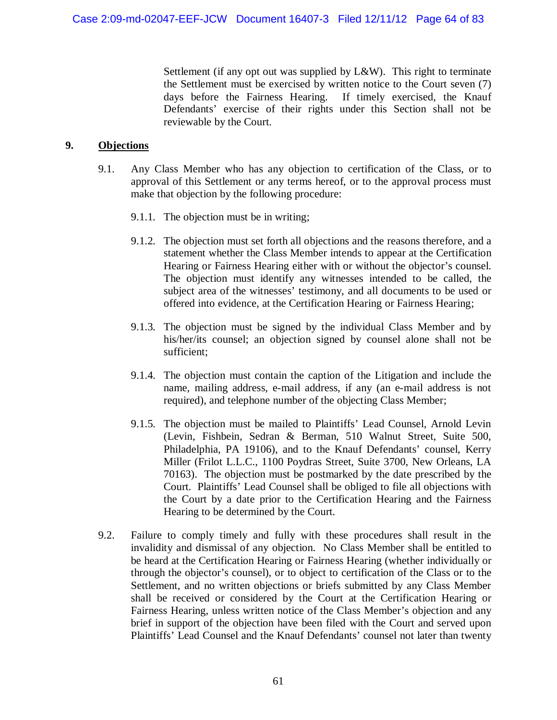Settlement (if any opt out was supplied by L&W). This right to terminate the Settlement must be exercised by written notice to the Court seven (7) days before the Fairness Hearing. If timely exercised, the Knauf Defendants' exercise of their rights under this Section shall not be reviewable by the Court.

#### **9. Objections**

- 9.1. Any Class Member who has any objection to certification of the Class, or to approval of this Settlement or any terms hereof, or to the approval process must make that objection by the following procedure:
	- 9.1.1. The objection must be in writing;
	- 9.1.2. The objection must set forth all objections and the reasons therefore, and a statement whether the Class Member intends to appear at the Certification Hearing or Fairness Hearing either with or without the objector's counsel. The objection must identify any witnesses intended to be called, the subject area of the witnesses' testimony, and all documents to be used or offered into evidence, at the Certification Hearing or Fairness Hearing;
	- 9.1.3. The objection must be signed by the individual Class Member and by his/her/its counsel; an objection signed by counsel alone shall not be sufficient;
	- 9.1.4. The objection must contain the caption of the Litigation and include the name, mailing address, e-mail address, if any (an e-mail address is not required), and telephone number of the objecting Class Member;
	- 9.1.5. The objection must be mailed to Plaintiffs' Lead Counsel, Arnold Levin (Levin, Fishbein, Sedran & Berman, 510 Walnut Street, Suite 500, Philadelphia, PA 19106), and to the Knauf Defendants' counsel, Kerry Miller (Frilot L.L.C., 1100 Poydras Street, Suite 3700, New Orleans, LA 70163). The objection must be postmarked by the date prescribed by the Court. Plaintiffs' Lead Counsel shall be obliged to file all objections with the Court by a date prior to the Certification Hearing and the Fairness Hearing to be determined by the Court.
- 9.2. Failure to comply timely and fully with these procedures shall result in the invalidity and dismissal of any objection. No Class Member shall be entitled to be heard at the Certification Hearing or Fairness Hearing (whether individually or through the objector's counsel), or to object to certification of the Class or to the Settlement, and no written objections or briefs submitted by any Class Member shall be received or considered by the Court at the Certification Hearing or Fairness Hearing, unless written notice of the Class Member's objection and any brief in support of the objection have been filed with the Court and served upon Plaintiffs' Lead Counsel and the Knauf Defendants' counsel not later than twenty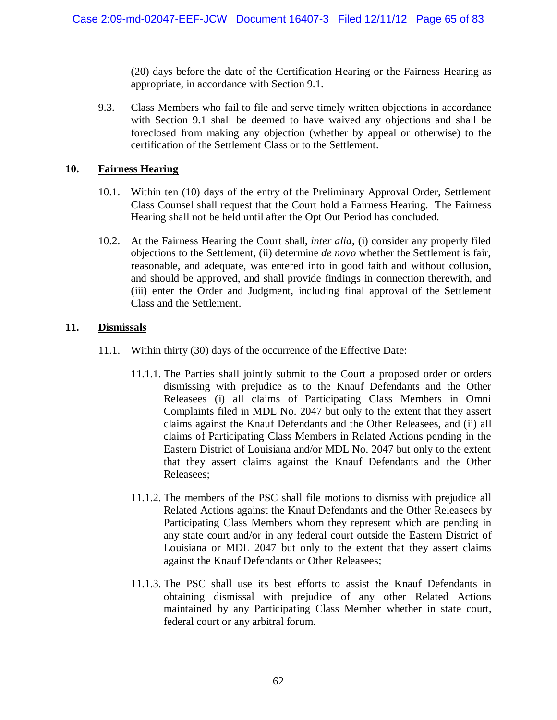(20) days before the date of the Certification Hearing or the Fairness Hearing as appropriate, in accordance with Section 9.1.

9.3. Class Members who fail to file and serve timely written objections in accordance with Section 9.1 shall be deemed to have waived any objections and shall be foreclosed from making any objection (whether by appeal or otherwise) to the certification of the Settlement Class or to the Settlement.

# **10. Fairness Hearing**

- 10.1. Within ten (10) days of the entry of the Preliminary Approval Order, Settlement Class Counsel shall request that the Court hold a Fairness Hearing. The Fairness Hearing shall not be held until after the Opt Out Period has concluded.
- 10.2. At the Fairness Hearing the Court shall, *inter alia*, (i) consider any properly filed objections to the Settlement, (ii) determine *de novo* whether the Settlement is fair, reasonable, and adequate, was entered into in good faith and without collusion, and should be approved, and shall provide findings in connection therewith, and (iii) enter the Order and Judgment, including final approval of the Settlement Class and the Settlement.

# **11. Dismissals**

- 11.1. Within thirty (30) days of the occurrence of the Effective Date:
	- 11.1.1. The Parties shall jointly submit to the Court a proposed order or orders dismissing with prejudice as to the Knauf Defendants and the Other Releasees (i) all claims of Participating Class Members in Omni Complaints filed in MDL No. 2047 but only to the extent that they assert claims against the Knauf Defendants and the Other Releasees, and (ii) all claims of Participating Class Members in Related Actions pending in the Eastern District of Louisiana and/or MDL No. 2047 but only to the extent that they assert claims against the Knauf Defendants and the Other Releasees;
	- 11.1.2. The members of the PSC shall file motions to dismiss with prejudice all Related Actions against the Knauf Defendants and the Other Releasees by Participating Class Members whom they represent which are pending in any state court and/or in any federal court outside the Eastern District of Louisiana or MDL 2047 but only to the extent that they assert claims against the Knauf Defendants or Other Releasees;
	- 11.1.3. The PSC shall use its best efforts to assist the Knauf Defendants in obtaining dismissal with prejudice of any other Related Actions maintained by any Participating Class Member whether in state court, federal court or any arbitral forum.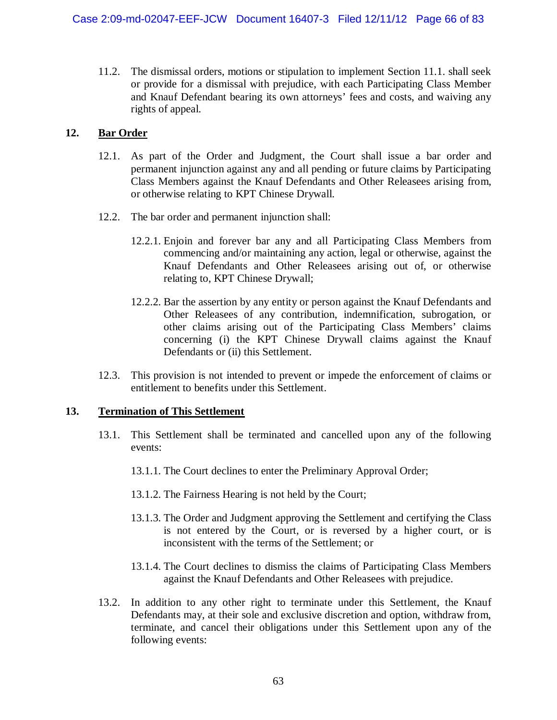11.2. The dismissal orders, motions or stipulation to implement Section 11.1. shall seek or provide for a dismissal with prejudice, with each Participating Class Member and Knauf Defendant bearing its own attorneys' fees and costs, and waiving any rights of appeal.

### **12. Bar Order**

- 12.1. As part of the Order and Judgment, the Court shall issue a bar order and permanent injunction against any and all pending or future claims by Participating Class Members against the Knauf Defendants and Other Releasees arising from, or otherwise relating to KPT Chinese Drywall.
- 12.2. The bar order and permanent injunction shall:
	- 12.2.1. Enjoin and forever bar any and all Participating Class Members from commencing and/or maintaining any action, legal or otherwise, against the Knauf Defendants and Other Releasees arising out of, or otherwise relating to, KPT Chinese Drywall;
	- 12.2.2. Bar the assertion by any entity or person against the Knauf Defendants and Other Releasees of any contribution, indemnification, subrogation, or other claims arising out of the Participating Class Members' claims concerning (i) the KPT Chinese Drywall claims against the Knauf Defendants or (ii) this Settlement.
- 12.3. This provision is not intended to prevent or impede the enforcement of claims or entitlement to benefits under this Settlement.

### **13. Termination of This Settlement**

- 13.1. This Settlement shall be terminated and cancelled upon any of the following events:
	- 13.1.1. The Court declines to enter the Preliminary Approval Order;
	- 13.1.2. The Fairness Hearing is not held by the Court;
	- 13.1.3. The Order and Judgment approving the Settlement and certifying the Class is not entered by the Court, or is reversed by a higher court, or is inconsistent with the terms of the Settlement; or
	- 13.1.4. The Court declines to dismiss the claims of Participating Class Members against the Knauf Defendants and Other Releasees with prejudice.
- 13.2. In addition to any other right to terminate under this Settlement, the Knauf Defendants may, at their sole and exclusive discretion and option, withdraw from, terminate, and cancel their obligations under this Settlement upon any of the following events: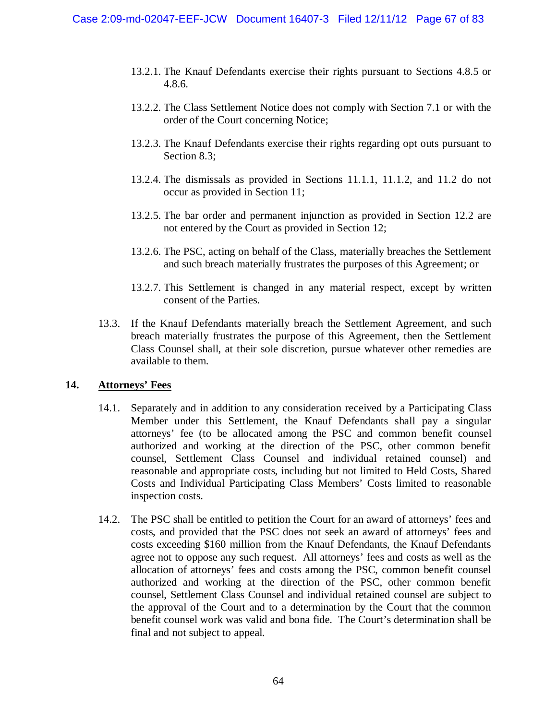- 13.2.1. The Knauf Defendants exercise their rights pursuant to Sections 4.8.5 or 4.8.6.
- 13.2.2. The Class Settlement Notice does not comply with Section 7.1 or with the order of the Court concerning Notice;
- 13.2.3. The Knauf Defendants exercise their rights regarding opt outs pursuant to Section 8.3;
- 13.2.4. The dismissals as provided in Sections 11.1.1, 11.1.2, and 11.2 do not occur as provided in Section 11;
- 13.2.5. The bar order and permanent injunction as provided in Section 12.2 are not entered by the Court as provided in Section 12;
- 13.2.6. The PSC, acting on behalf of the Class, materially breaches the Settlement and such breach materially frustrates the purposes of this Agreement; or
- 13.2.7. This Settlement is changed in any material respect, except by written consent of the Parties.
- 13.3. If the Knauf Defendants materially breach the Settlement Agreement, and such breach materially frustrates the purpose of this Agreement, then the Settlement Class Counsel shall, at their sole discretion, pursue whatever other remedies are available to them.

### **14. Attorneys' Fees**

- 14.1. Separately and in addition to any consideration received by a Participating Class Member under this Settlement, the Knauf Defendants shall pay a singular attorneys' fee (to be allocated among the PSC and common benefit counsel authorized and working at the direction of the PSC, other common benefit counsel, Settlement Class Counsel and individual retained counsel) and reasonable and appropriate costs, including but not limited to Held Costs, Shared Costs and Individual Participating Class Members' Costs limited to reasonable inspection costs.
- 14.2. The PSC shall be entitled to petition the Court for an award of attorneys' fees and costs, and provided that the PSC does not seek an award of attorneys' fees and costs exceeding \$160 million from the Knauf Defendants, the Knauf Defendants agree not to oppose any such request. All attorneys' fees and costs as well as the allocation of attorneys' fees and costs among the PSC, common benefit counsel authorized and working at the direction of the PSC, other common benefit counsel, Settlement Class Counsel and individual retained counsel are subject to the approval of the Court and to a determination by the Court that the common benefit counsel work was valid and bona fide. The Court's determination shall be final and not subject to appeal.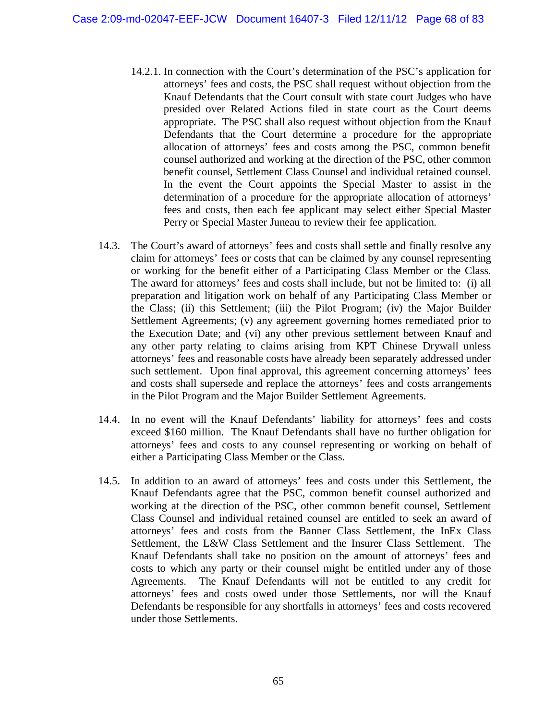- 14.2.1. In connection with the Court's determination of the PSC's application for attorneys' fees and costs, the PSC shall request without objection from the Knauf Defendants that the Court consult with state court Judges who have presided over Related Actions filed in state court as the Court deems appropriate. The PSC shall also request without objection from the Knauf Defendants that the Court determine a procedure for the appropriate allocation of attorneys' fees and costs among the PSC, common benefit counsel authorized and working at the direction of the PSC, other common benefit counsel, Settlement Class Counsel and individual retained counsel. In the event the Court appoints the Special Master to assist in the determination of a procedure for the appropriate allocation of attorneys' fees and costs, then each fee applicant may select either Special Master Perry or Special Master Juneau to review their fee application.
- 14.3. The Court's award of attorneys' fees and costs shall settle and finally resolve any claim for attorneys' fees or costs that can be claimed by any counsel representing or working for the benefit either of a Participating Class Member or the Class. The award for attorneys' fees and costs shall include, but not be limited to: (i) all preparation and litigation work on behalf of any Participating Class Member or the Class; (ii) this Settlement; (iii) the Pilot Program; (iv) the Major Builder Settlement Agreements; (v) any agreement governing homes remediated prior to the Execution Date; and (vi) any other previous settlement between Knauf and any other party relating to claims arising from KPT Chinese Drywall unless attorneys' fees and reasonable costs have already been separately addressed under such settlement. Upon final approval, this agreement concerning attorneys' fees and costs shall supersede and replace the attorneys' fees and costs arrangements in the Pilot Program and the Major Builder Settlement Agreements.
- 14.4. In no event will the Knauf Defendants' liability for attorneys' fees and costs exceed \$160 million. The Knauf Defendants shall have no further obligation for attorneys' fees and costs to any counsel representing or working on behalf of either a Participating Class Member or the Class.
- 14.5. In addition to an award of attorneys' fees and costs under this Settlement, the Knauf Defendants agree that the PSC, common benefit counsel authorized and working at the direction of the PSC, other common benefit counsel, Settlement Class Counsel and individual retained counsel are entitled to seek an award of attorneys' fees and costs from the Banner Class Settlement, the InEx Class Settlement, the L&W Class Settlement and the Insurer Class Settlement. The Knauf Defendants shall take no position on the amount of attorneys' fees and costs to which any party or their counsel might be entitled under any of those Agreements. The Knauf Defendants will not be entitled to any credit for attorneys' fees and costs owed under those Settlements, nor will the Knauf Defendants be responsible for any shortfalls in attorneys' fees and costs recovered under those Settlements.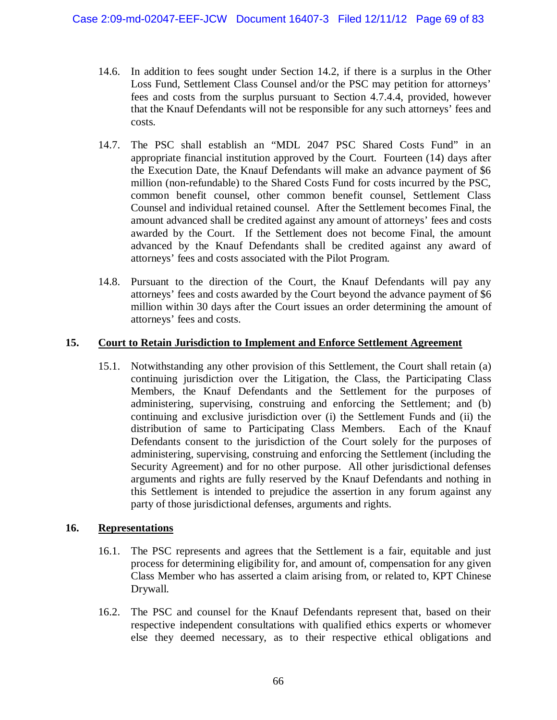- 14.6. In addition to fees sought under Section 14.2, if there is a surplus in the Other Loss Fund, Settlement Class Counsel and/or the PSC may petition for attorneys' fees and costs from the surplus pursuant to Section 4.7.4.4, provided, however that the Knauf Defendants will not be responsible for any such attorneys' fees and costs.
- 14.7. The PSC shall establish an "MDL 2047 PSC Shared Costs Fund" in an appropriate financial institution approved by the Court. Fourteen (14) days after the Execution Date, the Knauf Defendants will make an advance payment of \$6 million (non-refundable) to the Shared Costs Fund for costs incurred by the PSC, common benefit counsel, other common benefit counsel, Settlement Class Counsel and individual retained counsel. After the Settlement becomes Final, the amount advanced shall be credited against any amount of attorneys' fees and costs awarded by the Court. If the Settlement does not become Final, the amount advanced by the Knauf Defendants shall be credited against any award of attorneys' fees and costs associated with the Pilot Program.
- 14.8. Pursuant to the direction of the Court, the Knauf Defendants will pay any attorneys' fees and costs awarded by the Court beyond the advance payment of \$6 million within 30 days after the Court issues an order determining the amount of attorneys' fees and costs.

### **15. Court to Retain Jurisdiction to Implement and Enforce Settlement Agreement**

15.1. Notwithstanding any other provision of this Settlement, the Court shall retain (a) continuing jurisdiction over the Litigation, the Class, the Participating Class Members, the Knauf Defendants and the Settlement for the purposes of administering, supervising, construing and enforcing the Settlement; and (b) continuing and exclusive jurisdiction over (i) the Settlement Funds and (ii) the distribution of same to Participating Class Members. Each of the Knauf Defendants consent to the jurisdiction of the Court solely for the purposes of administering, supervising, construing and enforcing the Settlement (including the Security Agreement) and for no other purpose. All other jurisdictional defenses arguments and rights are fully reserved by the Knauf Defendants and nothing in this Settlement is intended to prejudice the assertion in any forum against any party of those jurisdictional defenses, arguments and rights.

### **16. Representations**

- 16.1. The PSC represents and agrees that the Settlement is a fair, equitable and just process for determining eligibility for, and amount of, compensation for any given Class Member who has asserted a claim arising from, or related to, KPT Chinese Drywall.
- 16.2. The PSC and counsel for the Knauf Defendants represent that, based on their respective independent consultations with qualified ethics experts or whomever else they deemed necessary, as to their respective ethical obligations and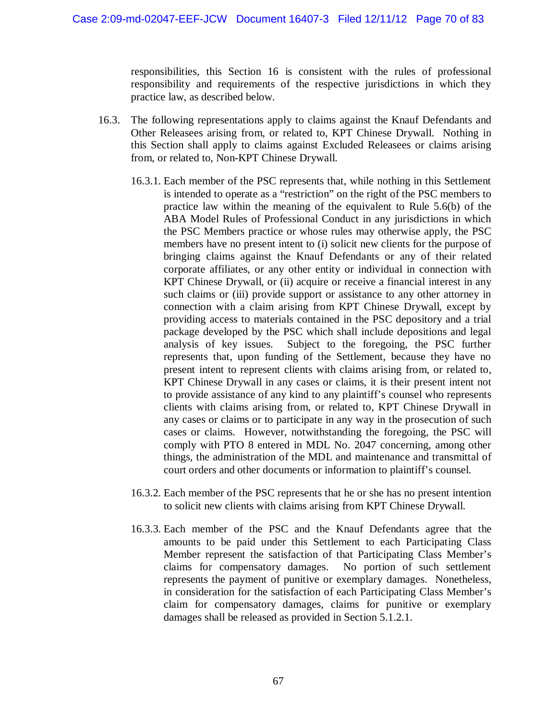responsibilities, this Section 16 is consistent with the rules of professional responsibility and requirements of the respective jurisdictions in which they practice law, as described below.

- 16.3. The following representations apply to claims against the Knauf Defendants and Other Releasees arising from, or related to, KPT Chinese Drywall. Nothing in this Section shall apply to claims against Excluded Releasees or claims arising from, or related to, Non-KPT Chinese Drywall.
	- 16.3.1. Each member of the PSC represents that, while nothing in this Settlement is intended to operate as a "restriction" on the right of the PSC members to practice law within the meaning of the equivalent to Rule 5.6(b) of the ABA Model Rules of Professional Conduct in any jurisdictions in which the PSC Members practice or whose rules may otherwise apply, the PSC members have no present intent to (i) solicit new clients for the purpose of bringing claims against the Knauf Defendants or any of their related corporate affiliates, or any other entity or individual in connection with KPT Chinese Drywall, or (ii) acquire or receive a financial interest in any such claims or (iii) provide support or assistance to any other attorney in connection with a claim arising from KPT Chinese Drywall, except by providing access to materials contained in the PSC depository and a trial package developed by the PSC which shall include depositions and legal analysis of key issues. Subject to the foregoing, the PSC further represents that, upon funding of the Settlement, because they have no present intent to represent clients with claims arising from, or related to, KPT Chinese Drywall in any cases or claims, it is their present intent not to provide assistance of any kind to any plaintiff's counsel who represents clients with claims arising from, or related to, KPT Chinese Drywall in any cases or claims or to participate in any way in the prosecution of such cases or claims. However, notwithstanding the foregoing, the PSC will comply with PTO 8 entered in MDL No. 2047 concerning, among other things, the administration of the MDL and maintenance and transmittal of court orders and other documents or information to plaintiff's counsel.
	- 16.3.2. Each member of the PSC represents that he or she has no present intention to solicit new clients with claims arising from KPT Chinese Drywall.
	- 16.3.3. Each member of the PSC and the Knauf Defendants agree that the amounts to be paid under this Settlement to each Participating Class Member represent the satisfaction of that Participating Class Member's claims for compensatory damages. No portion of such settlement represents the payment of punitive or exemplary damages. Nonetheless, in consideration for the satisfaction of each Participating Class Member's claim for compensatory damages, claims for punitive or exemplary damages shall be released as provided in Section 5.1.2.1.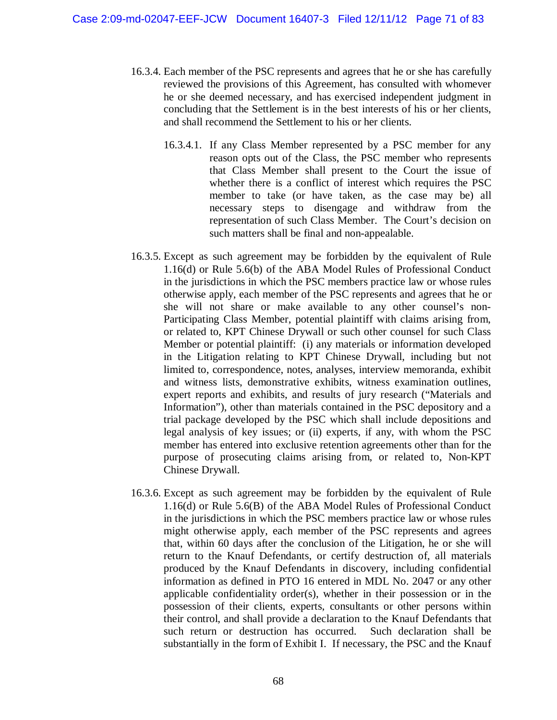- 16.3.4. Each member of the PSC represents and agrees that he or she has carefully reviewed the provisions of this Agreement, has consulted with whomever he or she deemed necessary, and has exercised independent judgment in concluding that the Settlement is in the best interests of his or her clients, and shall recommend the Settlement to his or her clients.
	- 16.3.4.1. If any Class Member represented by a PSC member for any reason opts out of the Class, the PSC member who represents that Class Member shall present to the Court the issue of whether there is a conflict of interest which requires the PSC member to take (or have taken, as the case may be) all necessary steps to disengage and withdraw from the representation of such Class Member. The Court's decision on such matters shall be final and non-appealable.
- 16.3.5. Except as such agreement may be forbidden by the equivalent of Rule 1.16(d) or Rule 5.6(b) of the ABA Model Rules of Professional Conduct in the jurisdictions in which the PSC members practice law or whose rules otherwise apply, each member of the PSC represents and agrees that he or she will not share or make available to any other counsel's non-Participating Class Member, potential plaintiff with claims arising from, or related to, KPT Chinese Drywall or such other counsel for such Class Member or potential plaintiff: (i) any materials or information developed in the Litigation relating to KPT Chinese Drywall, including but not limited to, correspondence, notes, analyses, interview memoranda, exhibit and witness lists, demonstrative exhibits, witness examination outlines, expert reports and exhibits, and results of jury research ("Materials and Information"), other than materials contained in the PSC depository and a trial package developed by the PSC which shall include depositions and legal analysis of key issues; or (ii) experts, if any, with whom the PSC member has entered into exclusive retention agreements other than for the purpose of prosecuting claims arising from, or related to, Non-KPT Chinese Drywall.
- 16.3.6. Except as such agreement may be forbidden by the equivalent of Rule 1.16(d) or Rule 5.6(B) of the ABA Model Rules of Professional Conduct in the jurisdictions in which the PSC members practice law or whose rules might otherwise apply, each member of the PSC represents and agrees that, within 60 days after the conclusion of the Litigation, he or she will return to the Knauf Defendants, or certify destruction of, all materials produced by the Knauf Defendants in discovery, including confidential information as defined in PTO 16 entered in MDL No. 2047 or any other applicable confidentiality order(s), whether in their possession or in the possession of their clients, experts, consultants or other persons within their control, and shall provide a declaration to the Knauf Defendants that such return or destruction has occurred. Such declaration shall be substantially in the form of Exhibit I. If necessary, the PSC and the Knauf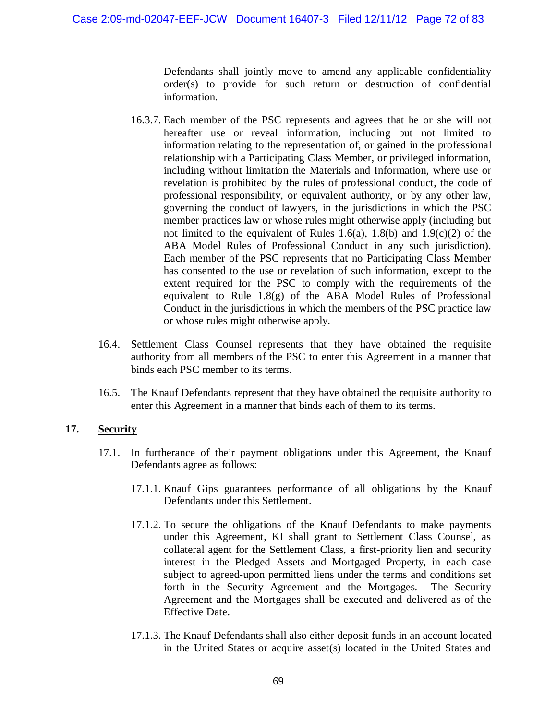Defendants shall jointly move to amend any applicable confidentiality order(s) to provide for such return or destruction of confidential information.

- 16.3.7. Each member of the PSC represents and agrees that he or she will not hereafter use or reveal information, including but not limited to information relating to the representation of, or gained in the professional relationship with a Participating Class Member, or privileged information, including without limitation the Materials and Information, where use or revelation is prohibited by the rules of professional conduct, the code of professional responsibility, or equivalent authority, or by any other law, governing the conduct of lawyers, in the jurisdictions in which the PSC member practices law or whose rules might otherwise apply (including but not limited to the equivalent of Rules 1.6(a), 1.8(b) and 1.9(c)(2) of the ABA Model Rules of Professional Conduct in any such jurisdiction). Each member of the PSC represents that no Participating Class Member has consented to the use or revelation of such information, except to the extent required for the PSC to comply with the requirements of the equivalent to Rule 1.8(g) of the ABA Model Rules of Professional Conduct in the jurisdictions in which the members of the PSC practice law or whose rules might otherwise apply.
- 16.4. Settlement Class Counsel represents that they have obtained the requisite authority from all members of the PSC to enter this Agreement in a manner that binds each PSC member to its terms.
- 16.5. The Knauf Defendants represent that they have obtained the requisite authority to enter this Agreement in a manner that binds each of them to its terms.

### **17. Security**

- 17.1. In furtherance of their payment obligations under this Agreement, the Knauf Defendants agree as follows:
	- 17.1.1. Knauf Gips guarantees performance of all obligations by the Knauf Defendants under this Settlement.
	- 17.1.2. To secure the obligations of the Knauf Defendants to make payments under this Agreement, KI shall grant to Settlement Class Counsel, as collateral agent for the Settlement Class, a first-priority lien and security interest in the Pledged Assets and Mortgaged Property, in each case subject to agreed-upon permitted liens under the terms and conditions set forth in the Security Agreement and the Mortgages. The Security Agreement and the Mortgages shall be executed and delivered as of the Effective Date.
	- 17.1.3. The Knauf Defendants shall also either deposit funds in an account located in the United States or acquire asset(s) located in the United States and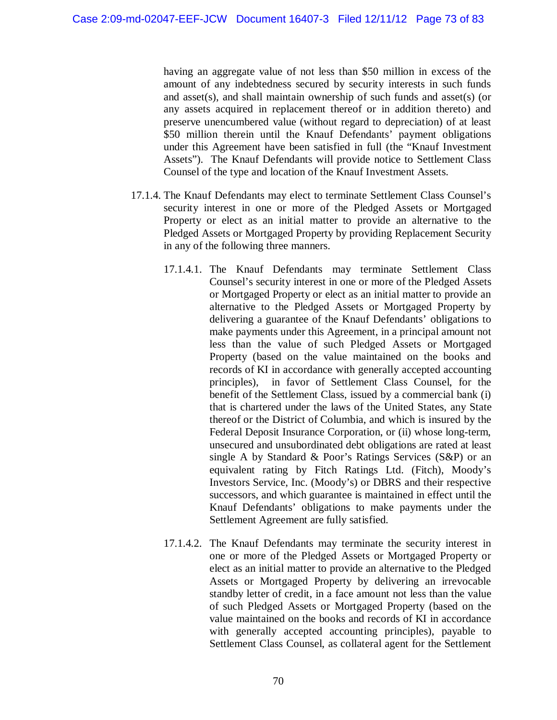having an aggregate value of not less than \$50 million in excess of the amount of any indebtedness secured by security interests in such funds and asset(s), and shall maintain ownership of such funds and asset(s) (or any assets acquired in replacement thereof or in addition thereto) and preserve unencumbered value (without regard to depreciation) of at least \$50 million therein until the Knauf Defendants' payment obligations under this Agreement have been satisfied in full (the "Knauf Investment Assets"). The Knauf Defendants will provide notice to Settlement Class Counsel of the type and location of the Knauf Investment Assets.

- 17.1.4. The Knauf Defendants may elect to terminate Settlement Class Counsel's security interest in one or more of the Pledged Assets or Mortgaged Property or elect as an initial matter to provide an alternative to the Pledged Assets or Mortgaged Property by providing Replacement Security in any of the following three manners.
	- 17.1.4.1. The Knauf Defendants may terminate Settlement Class Counsel's security interest in one or more of the Pledged Assets or Mortgaged Property or elect as an initial matter to provide an alternative to the Pledged Assets or Mortgaged Property by delivering a guarantee of the Knauf Defendants' obligations to make payments under this Agreement, in a principal amount not less than the value of such Pledged Assets or Mortgaged Property (based on the value maintained on the books and records of KI in accordance with generally accepted accounting principles), in favor of Settlement Class Counsel, for the benefit of the Settlement Class, issued by a commercial bank (i) that is chartered under the laws of the United States, any State thereof or the District of Columbia, and which is insured by the Federal Deposit Insurance Corporation, or (ii) whose long-term, unsecured and unsubordinated debt obligations are rated at least single A by Standard & Poor's Ratings Services (S&P) or an equivalent rating by Fitch Ratings Ltd. (Fitch), Moody's Investors Service, Inc. (Moody's) or DBRS and their respective successors, and which guarantee is maintained in effect until the Knauf Defendants' obligations to make payments under the Settlement Agreement are fully satisfied.
	- 17.1.4.2. The Knauf Defendants may terminate the security interest in one or more of the Pledged Assets or Mortgaged Property or elect as an initial matter to provide an alternative to the Pledged Assets or Mortgaged Property by delivering an irrevocable standby letter of credit, in a face amount not less than the value of such Pledged Assets or Mortgaged Property (based on the value maintained on the books and records of KI in accordance with generally accepted accounting principles), payable to Settlement Class Counsel, as collateral agent for the Settlement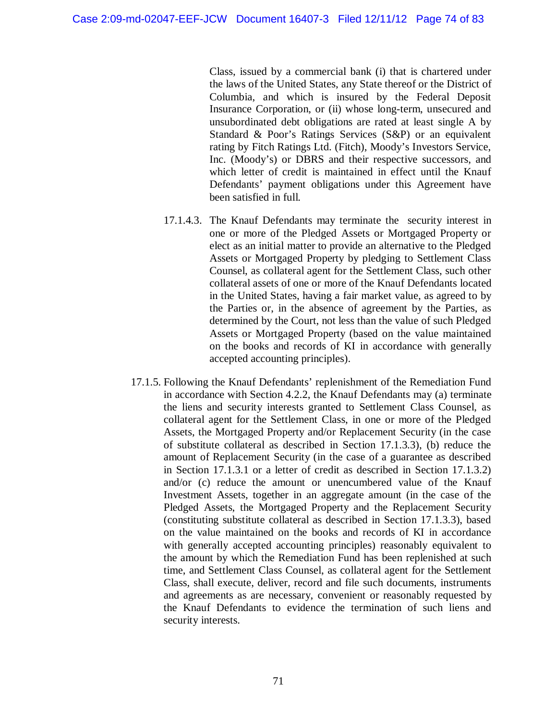Class, issued by a commercial bank (i) that is chartered under the laws of the United States, any State thereof or the District of Columbia, and which is insured by the Federal Deposit Insurance Corporation, or (ii) whose long-term, unsecured and unsubordinated debt obligations are rated at least single A by Standard & Poor's Ratings Services (S&P) or an equivalent rating by Fitch Ratings Ltd. (Fitch), Moody's Investors Service, Inc. (Moody's) or DBRS and their respective successors, and which letter of credit is maintained in effect until the Knauf Defendants' payment obligations under this Agreement have been satisfied in full.

- 17.1.4.3. The Knauf Defendants may terminate the security interest in one or more of the Pledged Assets or Mortgaged Property or elect as an initial matter to provide an alternative to the Pledged Assets or Mortgaged Property by pledging to Settlement Class Counsel, as collateral agent for the Settlement Class, such other collateral assets of one or more of the Knauf Defendants located in the United States, having a fair market value, as agreed to by the Parties or, in the absence of agreement by the Parties, as determined by the Court, not less than the value of such Pledged Assets or Mortgaged Property (based on the value maintained on the books and records of KI in accordance with generally accepted accounting principles).
- 17.1.5. Following the Knauf Defendants' replenishment of the Remediation Fund in accordance with Section 4.2.2, the Knauf Defendants may (a) terminate the liens and security interests granted to Settlement Class Counsel, as collateral agent for the Settlement Class, in one or more of the Pledged Assets, the Mortgaged Property and/or Replacement Security (in the case of substitute collateral as described in Section 17.1.3.3), (b) reduce the amount of Replacement Security (in the case of a guarantee as described in Section 17.1.3.1 or a letter of credit as described in Section 17.1.3.2) and/or (c) reduce the amount or unencumbered value of the Knauf Investment Assets, together in an aggregate amount (in the case of the Pledged Assets, the Mortgaged Property and the Replacement Security (constituting substitute collateral as described in Section 17.1.3.3), based on the value maintained on the books and records of KI in accordance with generally accepted accounting principles) reasonably equivalent to the amount by which the Remediation Fund has been replenished at such time, and Settlement Class Counsel, as collateral agent for the Settlement Class, shall execute, deliver, record and file such documents, instruments and agreements as are necessary, convenient or reasonably requested by the Knauf Defendants to evidence the termination of such liens and security interests.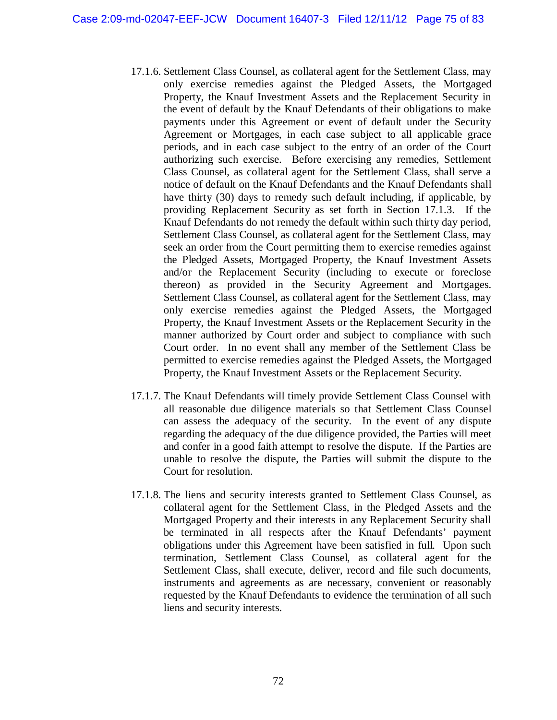- 17.1.6. Settlement Class Counsel, as collateral agent for the Settlement Class, may only exercise remedies against the Pledged Assets, the Mortgaged Property, the Knauf Investment Assets and the Replacement Security in the event of default by the Knauf Defendants of their obligations to make payments under this Agreement or event of default under the Security Agreement or Mortgages, in each case subject to all applicable grace periods, and in each case subject to the entry of an order of the Court authorizing such exercise. Before exercising any remedies, Settlement Class Counsel, as collateral agent for the Settlement Class, shall serve a notice of default on the Knauf Defendants and the Knauf Defendants shall have thirty (30) days to remedy such default including, if applicable, by providing Replacement Security as set forth in Section 17.1.3. If the Knauf Defendants do not remedy the default within such thirty day period, Settlement Class Counsel, as collateral agent for the Settlement Class, may seek an order from the Court permitting them to exercise remedies against the Pledged Assets, Mortgaged Property, the Knauf Investment Assets and/or the Replacement Security (including to execute or foreclose thereon) as provided in the Security Agreement and Mortgages. Settlement Class Counsel, as collateral agent for the Settlement Class, may only exercise remedies against the Pledged Assets, the Mortgaged Property, the Knauf Investment Assets or the Replacement Security in the manner authorized by Court order and subject to compliance with such Court order. In no event shall any member of the Settlement Class be permitted to exercise remedies against the Pledged Assets, the Mortgaged Property, the Knauf Investment Assets or the Replacement Security.
- 17.1.7. The Knauf Defendants will timely provide Settlement Class Counsel with all reasonable due diligence materials so that Settlement Class Counsel can assess the adequacy of the security. In the event of any dispute regarding the adequacy of the due diligence provided, the Parties will meet and confer in a good faith attempt to resolve the dispute. If the Parties are unable to resolve the dispute, the Parties will submit the dispute to the Court for resolution.
- 17.1.8. The liens and security interests granted to Settlement Class Counsel, as collateral agent for the Settlement Class, in the Pledged Assets and the Mortgaged Property and their interests in any Replacement Security shall be terminated in all respects after the Knauf Defendants' payment obligations under this Agreement have been satisfied in full. Upon such termination, Settlement Class Counsel, as collateral agent for the Settlement Class, shall execute, deliver, record and file such documents, instruments and agreements as are necessary, convenient or reasonably requested by the Knauf Defendants to evidence the termination of all such liens and security interests.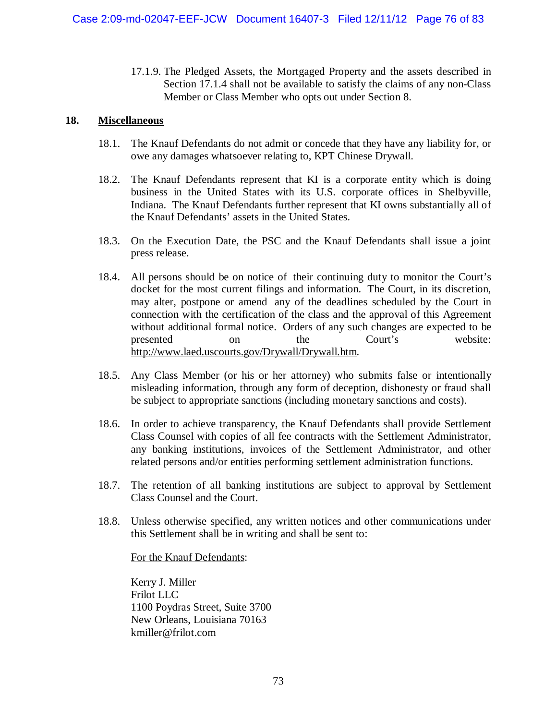17.1.9. The Pledged Assets, the Mortgaged Property and the assets described in Section 17.1.4 shall not be available to satisfy the claims of any non-Class Member or Class Member who opts out under Section 8.

#### **18. Miscellaneous**

- 18.1. The Knauf Defendants do not admit or concede that they have any liability for, or owe any damages whatsoever relating to, KPT Chinese Drywall.
- 18.2. The Knauf Defendants represent that KI is a corporate entity which is doing business in the United States with its U.S. corporate offices in Shelbyville, Indiana. The Knauf Defendants further represent that KI owns substantially all of the Knauf Defendants' assets in the United States.
- 18.3. On the Execution Date, the PSC and the Knauf Defendants shall issue a joint press release.
- 18.4. All persons should be on notice of their continuing duty to monitor the Court's docket for the most current filings and information. The Court, in its discretion, may alter, postpone or amend any of the deadlines scheduled by the Court in connection with the certification of the class and the approval of this Agreement without additional formal notice. Orders of any such changes are expected to be presented on the Court's website: http://www.laed.uscourts.gov/Drywall/Drywall.htm.
- 18.5. Any Class Member (or his or her attorney) who submits false or intentionally misleading information, through any form of deception, dishonesty or fraud shall be subject to appropriate sanctions (including monetary sanctions and costs).
- 18.6. In order to achieve transparency, the Knauf Defendants shall provide Settlement Class Counsel with copies of all fee contracts with the Settlement Administrator, any banking institutions, invoices of the Settlement Administrator, and other related persons and/or entities performing settlement administration functions.
- 18.7. The retention of all banking institutions are subject to approval by Settlement Class Counsel and the Court.
- 18.8. Unless otherwise specified, any written notices and other communications under this Settlement shall be in writing and shall be sent to:

For the Knauf Defendants:

Kerry J. Miller Frilot LLC 1100 Poydras Street, Suite 3700 New Orleans, Louisiana 70163 kmiller@frilot.com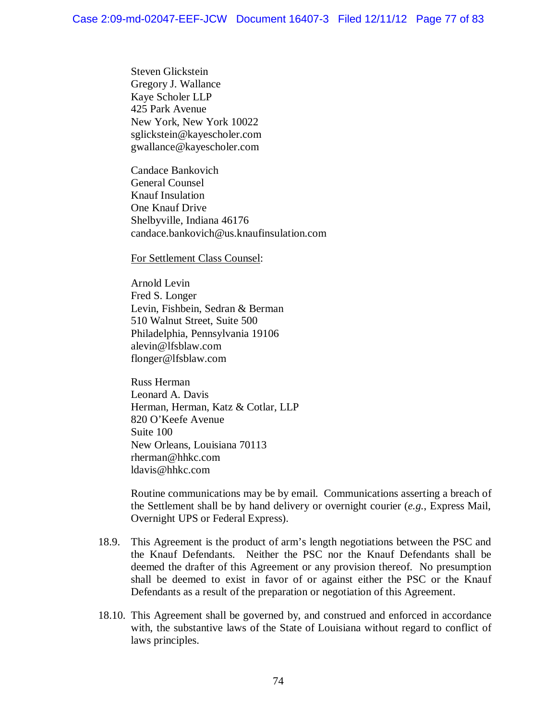Steven Glickstein Gregory J. Wallance Kaye Scholer LLP 425 Park Avenue New York, New York 10022 sglickstein@kayescholer.com gwallance@kayescholer.com

Candace Bankovich General Counsel Knauf Insulation One Knauf Drive Shelbyville, Indiana 46176 candace.bankovich@us.knaufinsulation.com

For Settlement Class Counsel:

Arnold Levin Fred S. Longer Levin, Fishbein, Sedran & Berman 510 Walnut Street, Suite 500 Philadelphia, Pennsylvania 19106 alevin@lfsblaw.com flonger@lfsblaw.com

Russ Herman Leonard A. Davis Herman, Herman, Katz & Cotlar, LLP 820 O'Keefe Avenue Suite 100 New Orleans, Louisiana 70113 rherman@hhkc.com ldavis@hhkc.com

Routine communications may be by email. Communications asserting a breach of the Settlement shall be by hand delivery or overnight courier (*e.g.*, Express Mail, Overnight UPS or Federal Express).

- 18.9. This Agreement is the product of arm's length negotiations between the PSC and the Knauf Defendants. Neither the PSC nor the Knauf Defendants shall be deemed the drafter of this Agreement or any provision thereof. No presumption shall be deemed to exist in favor of or against either the PSC or the Knauf Defendants as a result of the preparation or negotiation of this Agreement.
- 18.10. This Agreement shall be governed by, and construed and enforced in accordance with, the substantive laws of the State of Louisiana without regard to conflict of laws principles.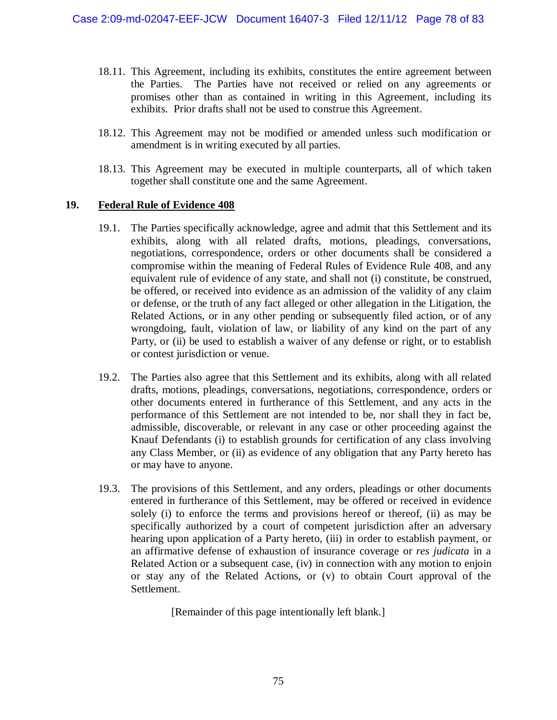- 18.11. This Agreement, including its exhibits, constitutes the entire agreement between the Parties. The Parties have not received or relied on any agreements or promises other than as contained in writing in this Agreement, including its exhibits. Prior drafts shall not be used to construe this Agreement.
- 18.12. This Agreement may not be modified or amended unless such modification or amendment is in writing executed by all parties.
- 18.13. This Agreement may be executed in multiple counterparts, all of which taken together shall constitute one and the same Agreement.

#### **19. Federal Rule of Evidence 408**

- 19.1. The Parties specifically acknowledge, agree and admit that this Settlement and its exhibits, along with all related drafts, motions, pleadings, conversations, negotiations, correspondence, orders or other documents shall be considered a compromise within the meaning of Federal Rules of Evidence Rule 408, and any equivalent rule of evidence of any state, and shall not (i) constitute, be construed, be offered, or received into evidence as an admission of the validity of any claim or defense, or the truth of any fact alleged or other allegation in the Litigation, the Related Actions, or in any other pending or subsequently filed action, or of any wrongdoing, fault, violation of law, or liability of any kind on the part of any Party, or (ii) be used to establish a waiver of any defense or right, or to establish or contest jurisdiction or venue.
- 19.2. The Parties also agree that this Settlement and its exhibits, along with all related drafts, motions, pleadings, conversations, negotiations, correspondence, orders or other documents entered in furtherance of this Settlement, and any acts in the performance of this Settlement are not intended to be, nor shall they in fact be, admissible, discoverable, or relevant in any case or other proceeding against the Knauf Defendants (i) to establish grounds for certification of any class involving any Class Member, or (ii) as evidence of any obligation that any Party hereto has or may have to anyone.
- 19.3. The provisions of this Settlement, and any orders, pleadings or other documents entered in furtherance of this Settlement, may be offered or received in evidence solely (i) to enforce the terms and provisions hereof or thereof, (ii) as may be specifically authorized by a court of competent jurisdiction after an adversary hearing upon application of a Party hereto, (iii) in order to establish payment, or an affirmative defense of exhaustion of insurance coverage or *res judicata* in a Related Action or a subsequent case, (iv) in connection with any motion to enjoin or stay any of the Related Actions, or (v) to obtain Court approval of the Settlement.

[Remainder of this page intentionally left blank.]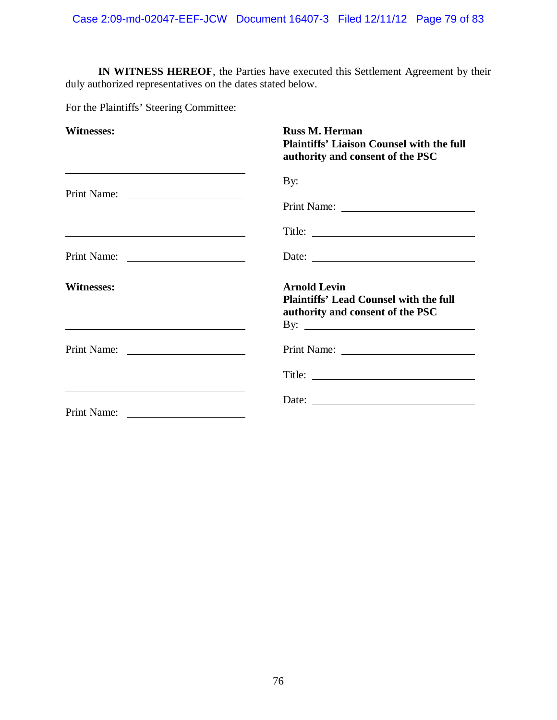**IN WITNESS HEREOF**, the Parties have executed this Settlement Agreement by their duly authorized representatives on the dates stated below.

For the Plaintiffs' Steering Committee:

| <b>Witnesses:</b>                                                                                                                                                                                                             | <b>Russ M. Herman</b><br><b>Plaintiffs' Liaison Counsel with the full</b><br>authority and consent of the PSC                                                                                                                                                                                                                                                                                                 |
|-------------------------------------------------------------------------------------------------------------------------------------------------------------------------------------------------------------------------------|---------------------------------------------------------------------------------------------------------------------------------------------------------------------------------------------------------------------------------------------------------------------------------------------------------------------------------------------------------------------------------------------------------------|
| the control of the control of the control of the control of the control of the control of the control of the control of the control of the control of the control of the control of the control of the control of the control | By: $\overline{\phantom{a}}$                                                                                                                                                                                                                                                                                                                                                                                  |
|                                                                                                                                                                                                                               |                                                                                                                                                                                                                                                                                                                                                                                                               |
| <u> 2008 - Andrea Britain, amerikan basar personal di sebagai personal di sebagai personal di sebagai personal d</u>                                                                                                          |                                                                                                                                                                                                                                                                                                                                                                                                               |
|                                                                                                                                                                                                                               | Date: $\frac{1}{\sqrt{1-\frac{1}{2}}\sqrt{1-\frac{1}{2}}\sqrt{1-\frac{1}{2}}\sqrt{1-\frac{1}{2}}\sqrt{1-\frac{1}{2}}\sqrt{1-\frac{1}{2}}\sqrt{1-\frac{1}{2}}\sqrt{1-\frac{1}{2}}\sqrt{1-\frac{1}{2}}\sqrt{1-\frac{1}{2}}\sqrt{1-\frac{1}{2}}\sqrt{1-\frac{1}{2}}\sqrt{1-\frac{1}{2}}\sqrt{1-\frac{1}{2}}\sqrt{1-\frac{1}{2}}\sqrt{1-\frac{1}{2}}\sqrt{1-\frac{1}{2}}\sqrt{1-\frac{1}{2}}\sqrt{1-\frac{1}{2}}$ |
| <b>Witnesses:</b>                                                                                                                                                                                                             | <b>Arnold Levin</b><br><b>Plaintiffs' Lead Counsel with the full</b><br>authority and consent of the PSC                                                                                                                                                                                                                                                                                                      |
|                                                                                                                                                                                                                               |                                                                                                                                                                                                                                                                                                                                                                                                               |
|                                                                                                                                                                                                                               |                                                                                                                                                                                                                                                                                                                                                                                                               |
| Print Name:                                                                                                                                                                                                                   | Date: $\frac{1}{\sqrt{1-\frac{1}{2}}\sqrt{1-\frac{1}{2}}\sqrt{1-\frac{1}{2}}\sqrt{1-\frac{1}{2}}\sqrt{1-\frac{1}{2}}\sqrt{1-\frac{1}{2}}\sqrt{1-\frac{1}{2}}\sqrt{1-\frac{1}{2}}\sqrt{1-\frac{1}{2}}\sqrt{1-\frac{1}{2}}\sqrt{1-\frac{1}{2}}\sqrt{1-\frac{1}{2}}\sqrt{1-\frac{1}{2}}\sqrt{1-\frac{1}{2}}\sqrt{1-\frac{1}{2}}\sqrt{1-\frac{1}{2}}\sqrt{1-\frac{1}{2}}\sqrt{1-\frac{1}{2}}\sqrt{1-\frac{1}{2}}$ |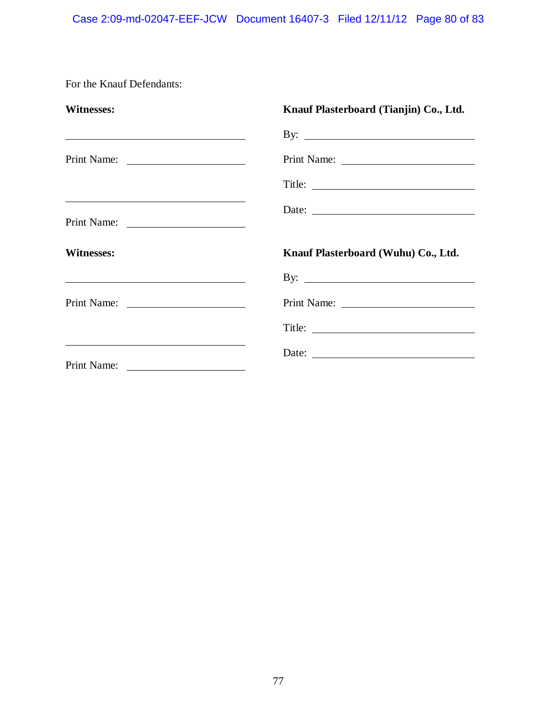#### Case 2:09-md-02047-EEF-JCW Document 16407-3 Filed 12/11/12 Page 80 of 83

For the Knauf Defendants:

| <b>Witnesses:</b>                                           | Knauf Plasterboard (Tianjin) Co., Ltd. |
|-------------------------------------------------------------|----------------------------------------|
| <u> 1989 - Andrea Stadt Britain, amerikansk politiker (</u> | By: $\qquad \qquad$                    |
|                                                             | Print Name:                            |
|                                                             | Title:                                 |
|                                                             |                                        |
| <b>Witnesses:</b>                                           | Knauf Plasterboard (Wuhu) Co., Ltd.    |
| <u> 1989 - Johann John Stone, Amerikaansk politiker (</u>   | By: $\qquad \qquad$                    |
|                                                             |                                        |
|                                                             |                                        |
|                                                             |                                        |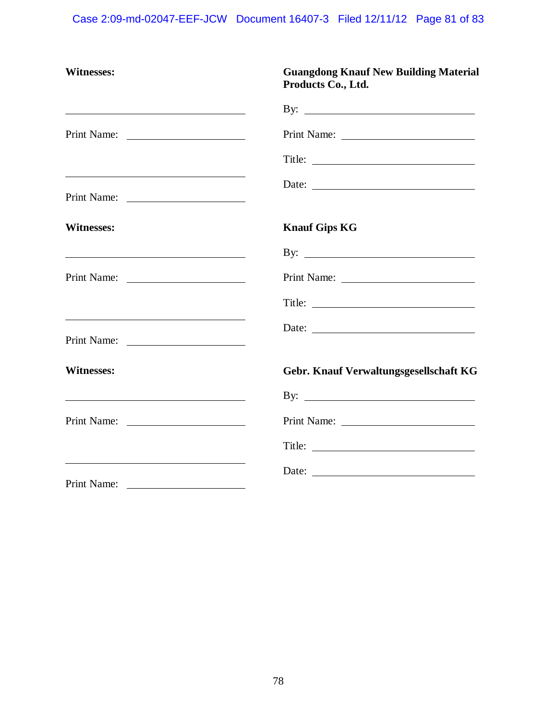# Case 2:09-md-02047-EEF-JCW Document 16407-3 Filed 12/11/12 Page 81 of 83

| <b>Witnesses:</b>                                                          | <b>Guangdong Knauf New Building Material</b><br>Products Co., Ltd. |
|----------------------------------------------------------------------------|--------------------------------------------------------------------|
| <u> 1989 - Johann Barbara, martin amerikan basar da</u>                    |                                                                    |
| Print Name:                                                                |                                                                    |
|                                                                            |                                                                    |
| Print Name:                                                                | Date:                                                              |
| <b>Witnesses:</b>                                                          | <b>Knauf Gips KG</b>                                               |
|                                                                            |                                                                    |
| Print Name:                                                                |                                                                    |
|                                                                            |                                                                    |
| <u> 2000 - Andrea Andrew Maria (h. 1888).</u>                              |                                                                    |
| <b>Witnesses:</b>                                                          | Gebr. Knauf Verwaltungsgesellschaft KG                             |
|                                                                            |                                                                    |
|                                                                            |                                                                    |
|                                                                            |                                                                    |
| <u> 1989 - Andrea Stadt Britain, amerikansk politiker (</u><br>Print Name: | Date:                                                              |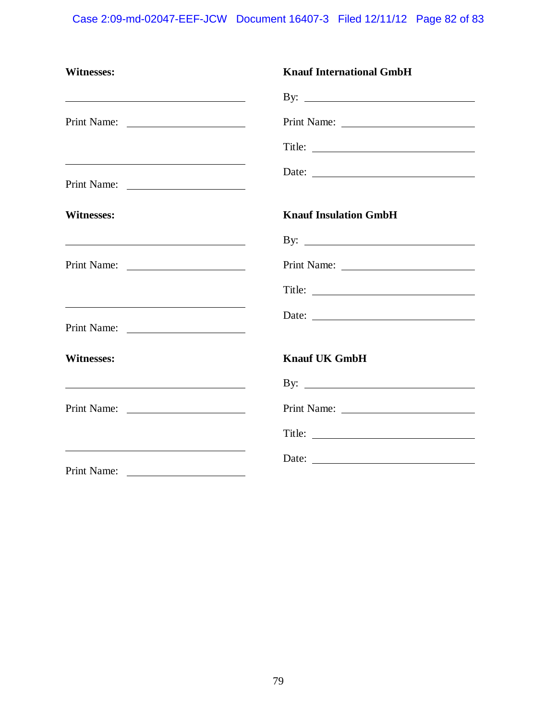# Case 2:09-md-02047-EEF-JCW Document 16407-3 Filed 12/11/12 Page 82 of 83

| Witnesses:                                                                                                                           | <b>Knauf International GmbH</b>                                                                                                                                                                                                                                                                                                                                                                               |
|--------------------------------------------------------------------------------------------------------------------------------------|---------------------------------------------------------------------------------------------------------------------------------------------------------------------------------------------------------------------------------------------------------------------------------------------------------------------------------------------------------------------------------------------------------------|
| <u> 2000 - Andrea Andrew Maria (h. 1878).</u>                                                                                        |                                                                                                                                                                                                                                                                                                                                                                                                               |
| Print Name:                                                                                                                          |                                                                                                                                                                                                                                                                                                                                                                                                               |
|                                                                                                                                      |                                                                                                                                                                                                                                                                                                                                                                                                               |
| Print Name:                                                                                                                          | Date:                                                                                                                                                                                                                                                                                                                                                                                                         |
| <b>Witnesses:</b>                                                                                                                    | <b>Knauf Insulation GmbH</b>                                                                                                                                                                                                                                                                                                                                                                                  |
|                                                                                                                                      |                                                                                                                                                                                                                                                                                                                                                                                                               |
|                                                                                                                                      |                                                                                                                                                                                                                                                                                                                                                                                                               |
|                                                                                                                                      |                                                                                                                                                                                                                                                                                                                                                                                                               |
| <u> 1989 - Johann Harry Harry Harry Harry Harry Harry Harry Harry Harry Harry Harry Harry Harry Harry Harry Harry</u><br>Print Name: | Date: $\frac{1}{\sqrt{1-\frac{1}{2}} \cdot \frac{1}{2}}$                                                                                                                                                                                                                                                                                                                                                      |
| <b>Witnesses:</b><br><u> 1989 - Johann Barbara, martxa alemaniar a</u>                                                               | <b>Knauf UK GmbH</b>                                                                                                                                                                                                                                                                                                                                                                                          |
|                                                                                                                                      |                                                                                                                                                                                                                                                                                                                                                                                                               |
|                                                                                                                                      |                                                                                                                                                                                                                                                                                                                                                                                                               |
|                                                                                                                                      |                                                                                                                                                                                                                                                                                                                                                                                                               |
| Print Name:                                                                                                                          | Date: $\frac{1}{\sqrt{1-\frac{1}{2}}\sqrt{1-\frac{1}{2}}\sqrt{1-\frac{1}{2}}\sqrt{1-\frac{1}{2}}\sqrt{1-\frac{1}{2}}\sqrt{1-\frac{1}{2}}\sqrt{1-\frac{1}{2}}\sqrt{1-\frac{1}{2}}\sqrt{1-\frac{1}{2}}\sqrt{1-\frac{1}{2}}\sqrt{1-\frac{1}{2}}\sqrt{1-\frac{1}{2}}\sqrt{1-\frac{1}{2}}\sqrt{1-\frac{1}{2}}\sqrt{1-\frac{1}{2}}\sqrt{1-\frac{1}{2}}\sqrt{1-\frac{1}{2}}\sqrt{1-\frac{1}{2}}\sqrt{1-\frac{1}{2}}$ |